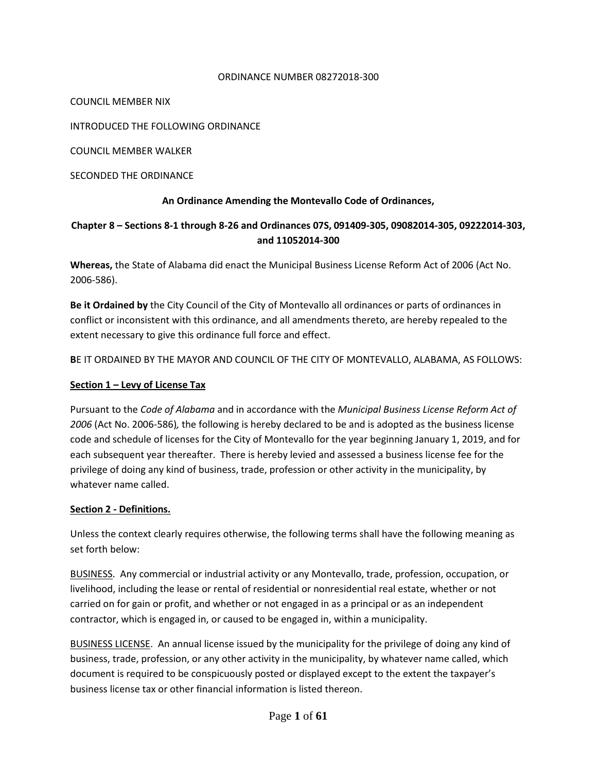#### ORDINANCE NUMBER 08272018-300

COUNCIL MEMBER NIX

INTRODUCED THE FOLLOWING ORDINANCE

COUNCIL MEMBER WALKER

SECONDED THE ORDINANCE

#### **An Ordinance Amending the Montevallo Code of Ordinances,**

#### **Chapter 8 – Sections 8-1 through 8-26 and Ordinances 07S, 091409-305, 09082014-305, 09222014-303, and 11052014-300**

**Whereas,** the State of Alabama did enact the Municipal Business License Reform Act of 2006 (Act No. 2006-586).

**Be it Ordained by** the City Council of the City of Montevallo all ordinances or parts of ordinances in conflict or inconsistent with this ordinance, and all amendments thereto, are hereby repealed to the extent necessary to give this ordinance full force and effect.

**B**E IT ORDAINED BY THE MAYOR AND COUNCIL OF THE CITY OF MONTEVALLO, ALABAMA, AS FOLLOWS:

#### **Section 1 – Levy of License Tax**

Pursuant to the *Code of Alabama* and in accordance with the *Municipal Business License Reform Act of 2006* (Act No. 2006-586)*,* the following is hereby declared to be and is adopted as the business license code and schedule of licenses for the City of Montevallo for the year beginning January 1, 2019, and for each subsequent year thereafter. There is hereby levied and assessed a business license fee for the privilege of doing any kind of business, trade, profession or other activity in the municipality, by whatever name called.

#### **Section 2 - Definitions.**

Unless the context clearly requires otherwise, the following terms shall have the following meaning as set forth below:

BUSINESS. Any commercial or industrial activity or any Montevallo, trade, profession, occupation, or livelihood, including the lease or rental of residential or nonresidential real estate, whether or not carried on for gain or profit, and whether or not engaged in as a principal or as an independent contractor, which is engaged in, or caused to be engaged in, within a municipality.

BUSINESS LICENSE. An annual license issued by the municipality for the privilege of doing any kind of business, trade, profession, or any other activity in the municipality, by whatever name called, which document is required to be conspicuously posted or displayed except to the extent the taxpayer's business license tax or other financial information is listed thereon.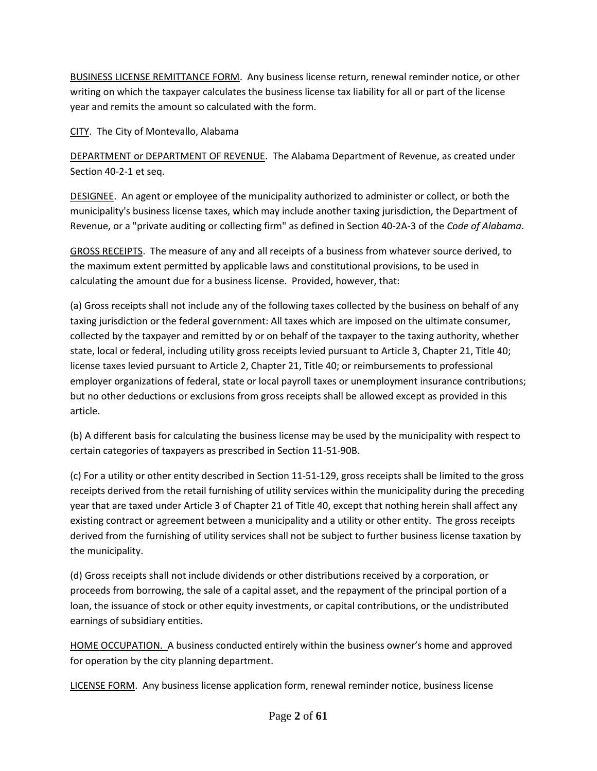BUSINESS LICENSE REMITTANCE FORM. Any business license return, renewal reminder notice, or other writing on which the taxpayer calculates the business license tax liability for all or part of the license year and remits the amount so calculated with the form.

CITY. The City of Montevallo, Alabama

DEPARTMENT or DEPARTMENT OF REVENUE. The Alabama Department of Revenue, as created under Section 40-2-1 et seq.

DESIGNEE. An agent or employee of the municipality authorized to administer or collect, or both the municipality's business license taxes, which may include another taxing jurisdiction, the Department of Revenue, or a "private auditing or collecting firm" as defined in Section 40-2A-3 of the *Code of Alabama*.

GROSS RECEIPTS. The measure of any and all receipts of a business from whatever source derived, to the maximum extent permitted by applicable laws and constitutional provisions, to be used in calculating the amount due for a business license. Provided, however, that:

(a) Gross receipts shall not include any of the following taxes collected by the business on behalf of any taxing jurisdiction or the federal government: All taxes which are imposed on the ultimate consumer, collected by the taxpayer and remitted by or on behalf of the taxpayer to the taxing authority, whether state, local or federal, including utility gross receipts levied pursuant to Article 3, Chapter 21, Title 40; license taxes levied pursuant to Article 2, Chapter 21, Title 40; or reimbursements to professional employer organizations of federal, state or local payroll taxes or unemployment insurance contributions; but no other deductions or exclusions from gross receipts shall be allowed except as provided in this article.

(b) A different basis for calculating the business license may be used by the municipality with respect to certain categories of taxpayers as prescribed in Section 11-51-90B.

(c) For a utility or other entity described in Section 11-51-129, gross receipts shall be limited to the gross receipts derived from the retail furnishing of utility services within the municipality during the preceding year that are taxed under Article 3 of Chapter 21 of Title 40, except that nothing herein shall affect any existing contract or agreement between a municipality and a utility or other entity. The gross receipts derived from the furnishing of utility services shall not be subject to further business license taxation by the municipality.

(d) Gross receipts shall not include dividends or other distributions received by a corporation, or proceeds from borrowing, the sale of a capital asset, and the repayment of the principal portion of a loan, the issuance of stock or other equity investments, or capital contributions, or the undistributed earnings of subsidiary entities.

HOME OCCUPATION. A business conducted entirely within the business owner's home and approved for operation by the city planning department.

LICENSE FORM. Any business license application form, renewal reminder notice, business license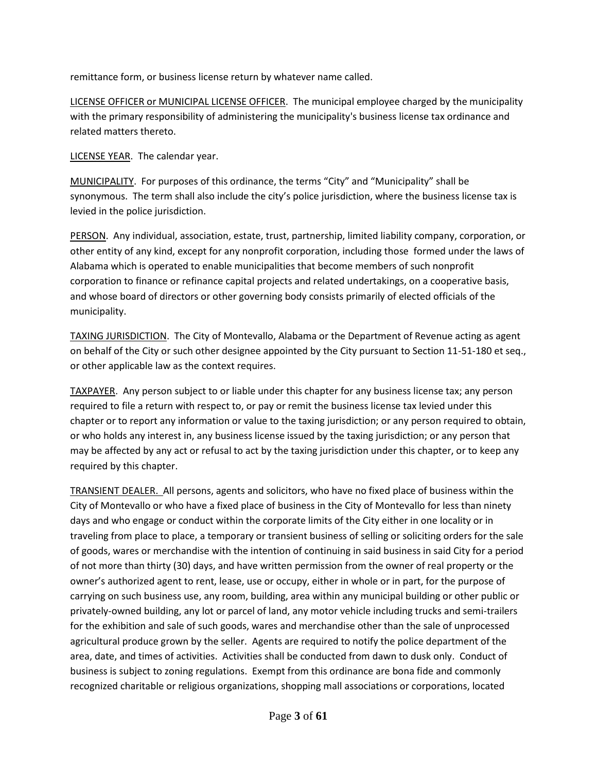remittance form, or business license return by whatever name called.

LICENSE OFFICER or MUNICIPAL LICENSE OFFICER. The municipal employee charged by the municipality with the primary responsibility of administering the municipality's business license tax ordinance and related matters thereto.

LICENSE YEAR. The calendar year.

MUNICIPALITY. For purposes of this ordinance, the terms "City" and "Municipality" shall be synonymous. The term shall also include the city's police jurisdiction, where the business license tax is levied in the police jurisdiction.

PERSON. Any individual, association, estate, trust, partnership, limited liability company, corporation, or other entity of any kind, except for any nonprofit corporation, including those formed under the laws of Alabama which is operated to enable municipalities that become members of such nonprofit corporation to finance or refinance capital projects and related undertakings, on a cooperative basis, and whose board of directors or other governing body consists primarily of elected officials of the municipality.

TAXING JURISDICTION. The City of Montevallo, Alabama or the Department of Revenue acting as agent on behalf of the City or such other designee appointed by the City pursuant to Section 11-51-180 et seq., or other applicable law as the context requires.

TAXPAYER. Any person subject to or liable under this chapter for any business license tax; any person required to file a return with respect to, or pay or remit the business license tax levied under this chapter or to report any information or value to the taxing jurisdiction; or any person required to obtain, or who holds any interest in, any business license issued by the taxing jurisdiction; or any person that may be affected by any act or refusal to act by the taxing jurisdiction under this chapter, or to keep any required by this chapter.

TRANSIENT DEALER. All persons, agents and solicitors, who have no fixed place of business within the City of Montevallo or who have a fixed place of business in the City of Montevallo for less than ninety days and who engage or conduct within the corporate limits of the City either in one locality or in traveling from place to place, a temporary or transient business of selling or soliciting orders for the sale of goods, wares or merchandise with the intention of continuing in said business in said City for a period of not more than thirty (30) days, and have written permission from the owner of real property or the owner's authorized agent to rent, lease, use or occupy, either in whole or in part, for the purpose of carrying on such business use, any room, building, area within any municipal building or other public or privately-owned building, any lot or parcel of land, any motor vehicle including trucks and semi-trailers for the exhibition and sale of such goods, wares and merchandise other than the sale of unprocessed agricultural produce grown by the seller. Agents are required to notify the police department of the area, date, and times of activities. Activities shall be conducted from dawn to dusk only. Conduct of business is subject to zoning regulations. Exempt from this ordinance are bona fide and commonly recognized charitable or religious organizations, shopping mall associations or corporations, located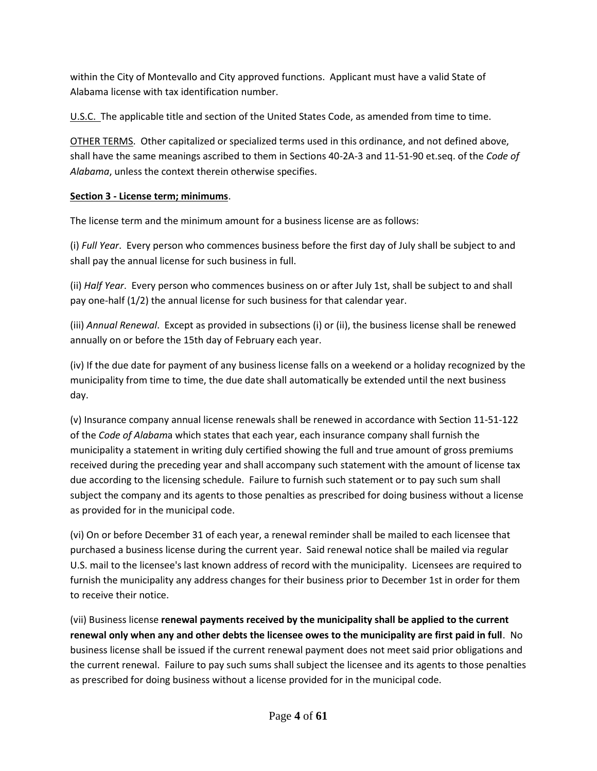within the City of Montevallo and City approved functions. Applicant must have a valid State of Alabama license with tax identification number.

U.S.C. The applicable title and section of the United States Code, as amended from time to time.

OTHER TERMS. Other capitalized or specialized terms used in this ordinance, and not defined above, shall have the same meanings ascribed to them in Sections 40-2A-3 and 11-51-90 et.seq. of the *Code of Alabama*, unless the context therein otherwise specifies.

### **Section 3 - License term; minimums**.

The license term and the minimum amount for a business license are as follows:

(i) *Full Year*. Every person who commences business before the first day of July shall be subject to and shall pay the annual license for such business in full.

(ii) *Half Year*. Every person who commences business on or after July 1st, shall be subject to and shall pay one-half (1/2) the annual license for such business for that calendar year.

(iii) *Annual Renewal*. Except as provided in subsections (i) or (ii), the business license shall be renewed annually on or before the 15th day of February each year.

(iv) If the due date for payment of any business license falls on a weekend or a holiday recognized by the municipality from time to time, the due date shall automatically be extended until the next business day.

(v) Insurance company annual license renewals shall be renewed in accordance with Section 11-51-122 of the *Code of Alabam*a which states that each year, each insurance company shall furnish the municipality a statement in writing duly certified showing the full and true amount of gross premiums received during the preceding year and shall accompany such statement with the amount of license tax due according to the licensing schedule. Failure to furnish such statement or to pay such sum shall subject the company and its agents to those penalties as prescribed for doing business without a license as provided for in the municipal code.

(vi) On or before December 31 of each year, a renewal reminder shall be mailed to each licensee that purchased a business license during the current year. Said renewal notice shall be mailed via regular U.S. mail to the licensee's last known address of record with the municipality. Licensees are required to furnish the municipality any address changes for their business prior to December 1st in order for them to receive their notice.

(vii) Business license **renewal payments received by the municipality shall be applied to the current renewal only when any and other debts the licensee owes to the municipality are first paid in full**. No business license shall be issued if the current renewal payment does not meet said prior obligations and the current renewal. Failure to pay such sums shall subject the licensee and its agents to those penalties as prescribed for doing business without a license provided for in the municipal code.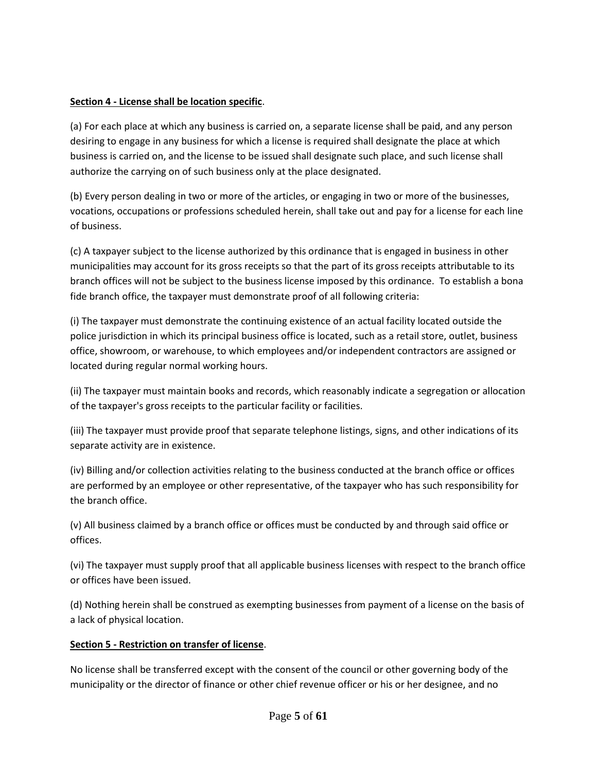#### **Section 4 - License shall be location specific**.

(a) For each place at which any business is carried on, a separate license shall be paid, and any person desiring to engage in any business for which a license is required shall designate the place at which business is carried on, and the license to be issued shall designate such place, and such license shall authorize the carrying on of such business only at the place designated.

(b) Every person dealing in two or more of the articles, or engaging in two or more of the businesses, vocations, occupations or professions scheduled herein, shall take out and pay for a license for each line of business.

(c) A taxpayer subject to the license authorized by this ordinance that is engaged in business in other municipalities may account for its gross receipts so that the part of its gross receipts attributable to its branch offices will not be subject to the business license imposed by this ordinance. To establish a bona fide branch office, the taxpayer must demonstrate proof of all following criteria:

(i) The taxpayer must demonstrate the continuing existence of an actual facility located outside the police jurisdiction in which its principal business office is located, such as a retail store, outlet, business office, showroom, or warehouse, to which employees and/or independent contractors are assigned or located during regular normal working hours.

(ii) The taxpayer must maintain books and records, which reasonably indicate a segregation or allocation of the taxpayer's gross receipts to the particular facility or facilities.

(iii) The taxpayer must provide proof that separate telephone listings, signs, and other indications of its separate activity are in existence.

(iv) Billing and/or collection activities relating to the business conducted at the branch office or offices are performed by an employee or other representative, of the taxpayer who has such responsibility for the branch office.

(v) All business claimed by a branch office or offices must be conducted by and through said office or offices.

(vi) The taxpayer must supply proof that all applicable business licenses with respect to the branch office or offices have been issued.

(d) Nothing herein shall be construed as exempting businesses from payment of a license on the basis of a lack of physical location.

### **Section 5 - Restriction on transfer of license**.

No license shall be transferred except with the consent of the council or other governing body of the municipality or the director of finance or other chief revenue officer or his or her designee, and no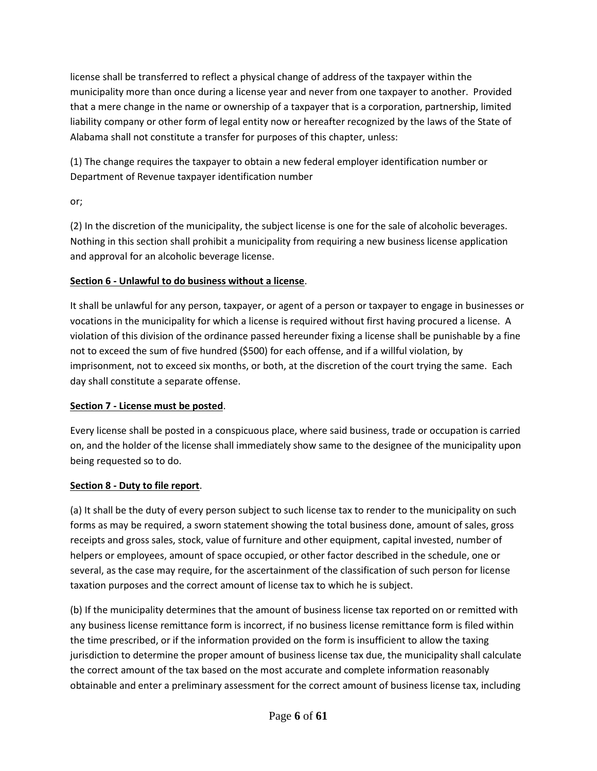license shall be transferred to reflect a physical change of address of the taxpayer within the municipality more than once during a license year and never from one taxpayer to another. Provided that a mere change in the name or ownership of a taxpayer that is a corporation, partnership, limited liability company or other form of legal entity now or hereafter recognized by the laws of the State of Alabama shall not constitute a transfer for purposes of this chapter, unless:

(1) The change requires the taxpayer to obtain a new federal employer identification number or Department of Revenue taxpayer identification number

or;

(2) In the discretion of the municipality, the subject license is one for the sale of alcoholic beverages. Nothing in this section shall prohibit a municipality from requiring a new business license application and approval for an alcoholic beverage license.

# **Section 6 - Unlawful to do business without a license**.

It shall be unlawful for any person, taxpayer, or agent of a person or taxpayer to engage in businesses or vocations in the municipality for which a license is required without first having procured a license. A violation of this division of the ordinance passed hereunder fixing a license shall be punishable by a fine not to exceed the sum of five hundred (\$500) for each offense, and if a willful violation, by imprisonment, not to exceed six months, or both, at the discretion of the court trying the same. Each day shall constitute a separate offense.

### **Section 7 - License must be posted**.

Every license shall be posted in a conspicuous place, where said business, trade or occupation is carried on, and the holder of the license shall immediately show same to the designee of the municipality upon being requested so to do.

### **Section 8 - Duty to file report**.

(a) It shall be the duty of every person subject to such license tax to render to the municipality on such forms as may be required, a sworn statement showing the total business done, amount of sales, gross receipts and gross sales, stock, value of furniture and other equipment, capital invested, number of helpers or employees, amount of space occupied, or other factor described in the schedule, one or several, as the case may require, for the ascertainment of the classification of such person for license taxation purposes and the correct amount of license tax to which he is subject.

(b) If the municipality determines that the amount of business license tax reported on or remitted with any business license remittance form is incorrect, if no business license remittance form is filed within the time prescribed, or if the information provided on the form is insufficient to allow the taxing jurisdiction to determine the proper amount of business license tax due, the municipality shall calculate the correct amount of the tax based on the most accurate and complete information reasonably obtainable and enter a preliminary assessment for the correct amount of business license tax, including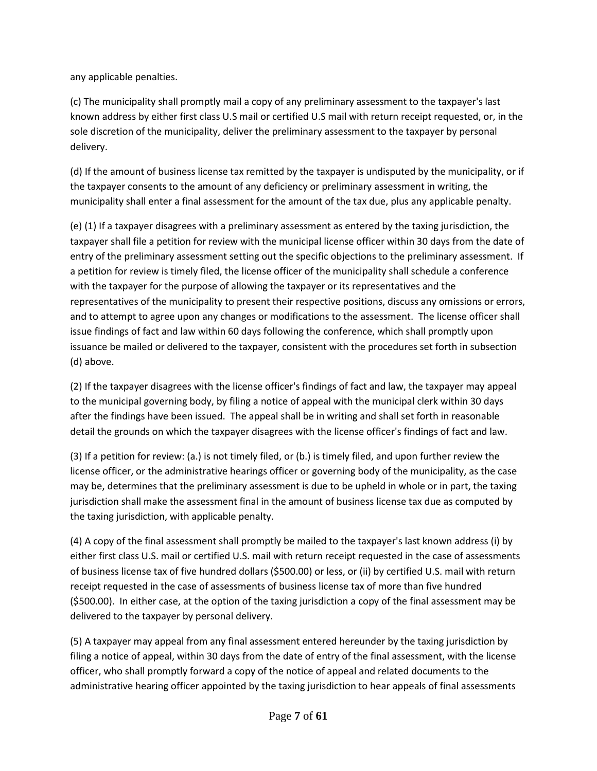any applicable penalties.

(c) The municipality shall promptly mail a copy of any preliminary assessment to the taxpayer's last known address by either first class U.S mail or certified U.S mail with return receipt requested, or, in the sole discretion of the municipality, deliver the preliminary assessment to the taxpayer by personal delivery.

(d) If the amount of business license tax remitted by the taxpayer is undisputed by the municipality, or if the taxpayer consents to the amount of any deficiency or preliminary assessment in writing, the municipality shall enter a final assessment for the amount of the tax due, plus any applicable penalty.

(e) (1) If a taxpayer disagrees with a preliminary assessment as entered by the taxing jurisdiction, the taxpayer shall file a petition for review with the municipal license officer within 30 days from the date of entry of the preliminary assessment setting out the specific objections to the preliminary assessment. If a petition for review is timely filed, the license officer of the municipality shall schedule a conference with the taxpayer for the purpose of allowing the taxpayer or its representatives and the representatives of the municipality to present their respective positions, discuss any omissions or errors, and to attempt to agree upon any changes or modifications to the assessment. The license officer shall issue findings of fact and law within 60 days following the conference, which shall promptly upon issuance be mailed or delivered to the taxpayer, consistent with the procedures set forth in subsection (d) above.

(2) If the taxpayer disagrees with the license officer's findings of fact and law, the taxpayer may appeal to the municipal governing body, by filing a notice of appeal with the municipal clerk within 30 days after the findings have been issued. The appeal shall be in writing and shall set forth in reasonable detail the grounds on which the taxpayer disagrees with the license officer's findings of fact and law.

(3) If a petition for review: (a.) is not timely filed, or (b.) is timely filed, and upon further review the license officer, or the administrative hearings officer or governing body of the municipality, as the case may be, determines that the preliminary assessment is due to be upheld in whole or in part, the taxing jurisdiction shall make the assessment final in the amount of business license tax due as computed by the taxing jurisdiction, with applicable penalty.

(4) A copy of the final assessment shall promptly be mailed to the taxpayer's last known address (i) by either first class U.S. mail or certified U.S. mail with return receipt requested in the case of assessments of business license tax of five hundred dollars (\$500.00) or less, or (ii) by certified U.S. mail with return receipt requested in the case of assessments of business license tax of more than five hundred (\$500.00). In either case, at the option of the taxing jurisdiction a copy of the final assessment may be delivered to the taxpayer by personal delivery.

(5) A taxpayer may appeal from any final assessment entered hereunder by the taxing jurisdiction by filing a notice of appeal, within 30 days from the date of entry of the final assessment, with the license officer, who shall promptly forward a copy of the notice of appeal and related documents to the administrative hearing officer appointed by the taxing jurisdiction to hear appeals of final assessments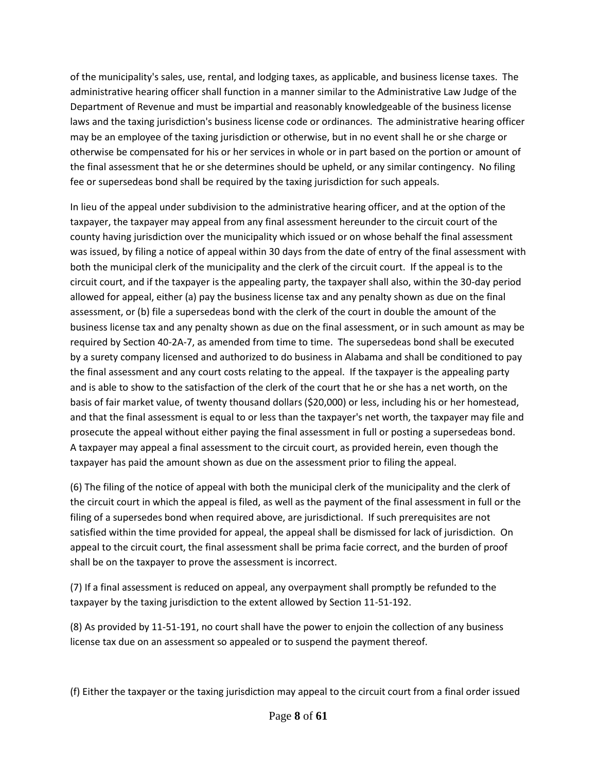of the municipality's sales, use, rental, and lodging taxes, as applicable, and business license taxes. The administrative hearing officer shall function in a manner similar to the Administrative Law Judge of the Department of Revenue and must be impartial and reasonably knowledgeable of the business license laws and the taxing jurisdiction's business license code or ordinances. The administrative hearing officer may be an employee of the taxing jurisdiction or otherwise, but in no event shall he or she charge or otherwise be compensated for his or her services in whole or in part based on the portion or amount of the final assessment that he or she determines should be upheld, or any similar contingency. No filing fee or supersedeas bond shall be required by the taxing jurisdiction for such appeals.

In lieu of the appeal under subdivision to the administrative hearing officer, and at the option of the taxpayer, the taxpayer may appeal from any final assessment hereunder to the circuit court of the county having jurisdiction over the municipality which issued or on whose behalf the final assessment was issued, by filing a notice of appeal within 30 days from the date of entry of the final assessment with both the municipal clerk of the municipality and the clerk of the circuit court. If the appeal is to the circuit court, and if the taxpayer is the appealing party, the taxpayer shall also, within the 30-day period allowed for appeal, either (a) pay the business license tax and any penalty shown as due on the final assessment, or (b) file a supersedeas bond with the clerk of the court in double the amount of the business license tax and any penalty shown as due on the final assessment, or in such amount as may be required by Section 40-2A-7, as amended from time to time. The supersedeas bond shall be executed by a surety company licensed and authorized to do business in Alabama and shall be conditioned to pay the final assessment and any court costs relating to the appeal. If the taxpayer is the appealing party and is able to show to the satisfaction of the clerk of the court that he or she has a net worth, on the basis of fair market value, of twenty thousand dollars (\$20,000) or less, including his or her homestead, and that the final assessment is equal to or less than the taxpayer's net worth, the taxpayer may file and prosecute the appeal without either paying the final assessment in full or posting a supersedeas bond. A taxpayer may appeal a final assessment to the circuit court, as provided herein, even though the taxpayer has paid the amount shown as due on the assessment prior to filing the appeal.

(6) The filing of the notice of appeal with both the municipal clerk of the municipality and the clerk of the circuit court in which the appeal is filed, as well as the payment of the final assessment in full or the filing of a supersedes bond when required above, are jurisdictional. If such prerequisites are not satisfied within the time provided for appeal, the appeal shall be dismissed for lack of jurisdiction. On appeal to the circuit court, the final assessment shall be prima facie correct, and the burden of proof shall be on the taxpayer to prove the assessment is incorrect.

(7) If a final assessment is reduced on appeal, any overpayment shall promptly be refunded to the taxpayer by the taxing jurisdiction to the extent allowed by Section 11-51-192.

(8) As provided by 11-51-191, no court shall have the power to enjoin the collection of any business license tax due on an assessment so appealed or to suspend the payment thereof.

(f) Either the taxpayer or the taxing jurisdiction may appeal to the circuit court from a final order issued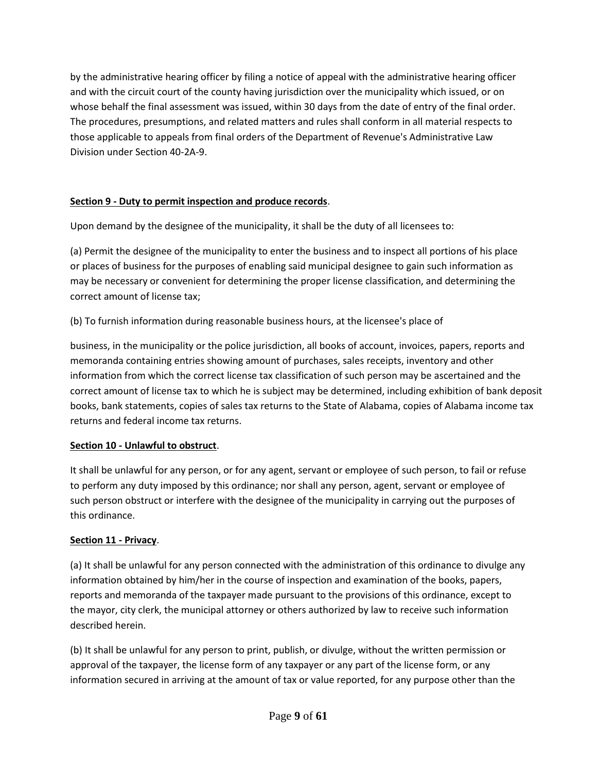by the administrative hearing officer by filing a notice of appeal with the administrative hearing officer and with the circuit court of the county having jurisdiction over the municipality which issued, or on whose behalf the final assessment was issued, within 30 days from the date of entry of the final order. The procedures, presumptions, and related matters and rules shall conform in all material respects to those applicable to appeals from final orders of the Department of Revenue's Administrative Law Division under Section 40-2A-9.

### **Section 9 - Duty to permit inspection and produce records**.

Upon demand by the designee of the municipality, it shall be the duty of all licensees to:

(a) Permit the designee of the municipality to enter the business and to inspect all portions of his place or places of business for the purposes of enabling said municipal designee to gain such information as may be necessary or convenient for determining the proper license classification, and determining the correct amount of license tax;

(b) To furnish information during reasonable business hours, at the licensee's place of

business, in the municipality or the police jurisdiction, all books of account, invoices, papers, reports and memoranda containing entries showing amount of purchases, sales receipts, inventory and other information from which the correct license tax classification of such person may be ascertained and the correct amount of license tax to which he is subject may be determined, including exhibition of bank deposit books, bank statements, copies of sales tax returns to the State of Alabama, copies of Alabama income tax returns and federal income tax returns.

#### **Section 10 - Unlawful to obstruct**.

It shall be unlawful for any person, or for any agent, servant or employee of such person, to fail or refuse to perform any duty imposed by this ordinance; nor shall any person, agent, servant or employee of such person obstruct or interfere with the designee of the municipality in carrying out the purposes of this ordinance.

#### **Section 11 - Privacy**.

(a) It shall be unlawful for any person connected with the administration of this ordinance to divulge any information obtained by him/her in the course of inspection and examination of the books, papers, reports and memoranda of the taxpayer made pursuant to the provisions of this ordinance, except to the mayor, city clerk, the municipal attorney or others authorized by law to receive such information described herein.

(b) It shall be unlawful for any person to print, publish, or divulge, without the written permission or approval of the taxpayer, the license form of any taxpayer or any part of the license form, or any information secured in arriving at the amount of tax or value reported, for any purpose other than the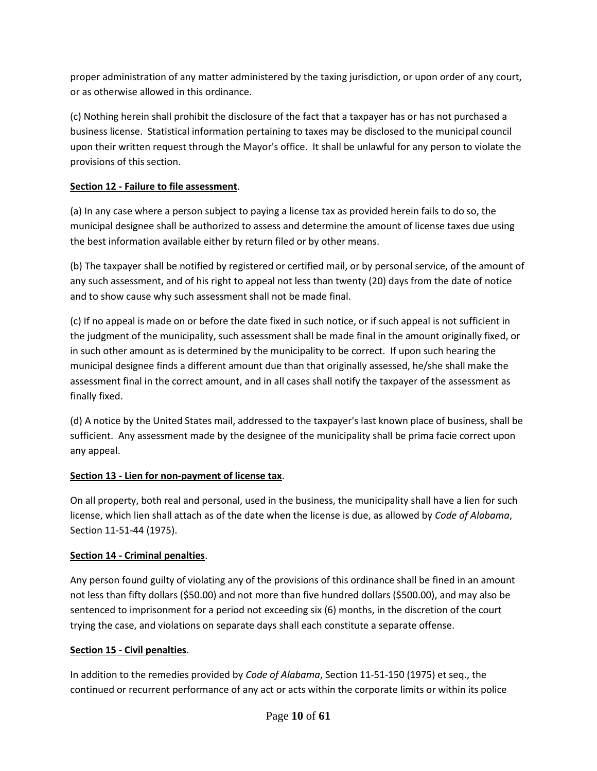proper administration of any matter administered by the taxing jurisdiction, or upon order of any court, or as otherwise allowed in this ordinance.

(c) Nothing herein shall prohibit the disclosure of the fact that a taxpayer has or has not purchased a business license. Statistical information pertaining to taxes may be disclosed to the municipal council upon their written request through the Mayor's office. It shall be unlawful for any person to violate the provisions of this section.

### **Section 12 - Failure to file assessment**.

(a) In any case where a person subject to paying a license tax as provided herein fails to do so, the municipal designee shall be authorized to assess and determine the amount of license taxes due using the best information available either by return filed or by other means.

(b) The taxpayer shall be notified by registered or certified mail, or by personal service, of the amount of any such assessment, and of his right to appeal not less than twenty (20) days from the date of notice and to show cause why such assessment shall not be made final.

(c) If no appeal is made on or before the date fixed in such notice, or if such appeal is not sufficient in the judgment of the municipality, such assessment shall be made final in the amount originally fixed, or in such other amount as is determined by the municipality to be correct. If upon such hearing the municipal designee finds a different amount due than that originally assessed, he/she shall make the assessment final in the correct amount, and in all cases shall notify the taxpayer of the assessment as finally fixed.

(d) A notice by the United States mail, addressed to the taxpayer's last known place of business, shall be sufficient. Any assessment made by the designee of the municipality shall be prima facie correct upon any appeal.

# **Section 13 - Lien for non-payment of license tax**.

On all property, both real and personal, used in the business, the municipality shall have a lien for such license, which lien shall attach as of the date when the license is due, as allowed by *Code of Alabama*, Section 11-51-44 (1975).

# **Section 14 - Criminal penalties**.

Any person found guilty of violating any of the provisions of this ordinance shall be fined in an amount not less than fifty dollars (\$50.00) and not more than five hundred dollars (\$500.00), and may also be sentenced to imprisonment for a period not exceeding six (6) months, in the discretion of the court trying the case, and violations on separate days shall each constitute a separate offense.

### **Section 15 - Civil penalties**.

In addition to the remedies provided by *Code of Alabama*, Section 11-51-150 (1975) et seq., the continued or recurrent performance of any act or acts within the corporate limits or within its police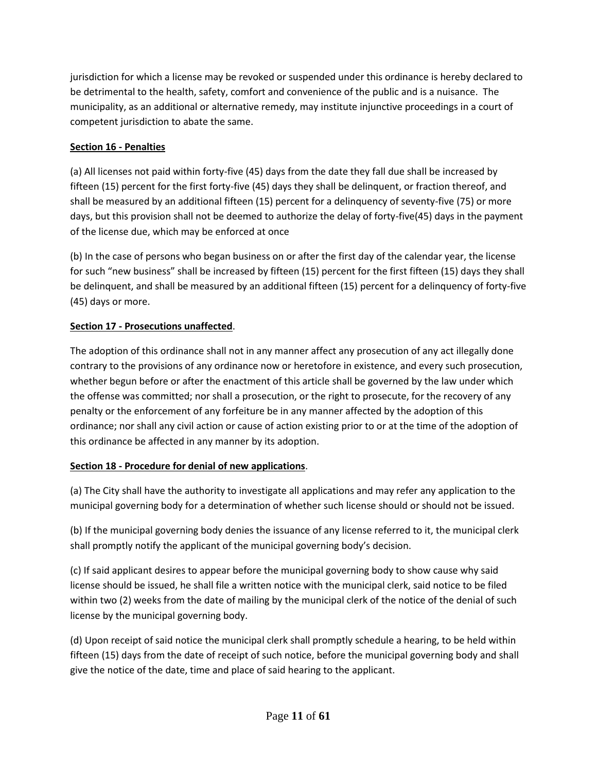jurisdiction for which a license may be revoked or suspended under this ordinance is hereby declared to be detrimental to the health, safety, comfort and convenience of the public and is a nuisance. The municipality, as an additional or alternative remedy, may institute injunctive proceedings in a court of competent jurisdiction to abate the same.

### **Section 16 - Penalties**

(a) All licenses not paid within forty-five (45) days from the date they fall due shall be increased by fifteen (15) percent for the first forty-five (45) days they shall be delinquent, or fraction thereof, and shall be measured by an additional fifteen (15) percent for a delinquency of seventy-five (75) or more days, but this provision shall not be deemed to authorize the delay of forty-five(45) days in the payment of the license due, which may be enforced at once

(b) In the case of persons who began business on or after the first day of the calendar year, the license for such "new business" shall be increased by fifteen (15) percent for the first fifteen (15) days they shall be delinquent, and shall be measured by an additional fifteen (15) percent for a delinquency of forty-five (45) days or more.

# **Section 17 - Prosecutions unaffected**.

The adoption of this ordinance shall not in any manner affect any prosecution of any act illegally done contrary to the provisions of any ordinance now or heretofore in existence, and every such prosecution, whether begun before or after the enactment of this article shall be governed by the law under which the offense was committed; nor shall a prosecution, or the right to prosecute, for the recovery of any penalty or the enforcement of any forfeiture be in any manner affected by the adoption of this ordinance; nor shall any civil action or cause of action existing prior to or at the time of the adoption of this ordinance be affected in any manner by its adoption.

### **Section 18 - Procedure for denial of new applications**.

(a) The City shall have the authority to investigate all applications and may refer any application to the municipal governing body for a determination of whether such license should or should not be issued.

(b) If the municipal governing body denies the issuance of any license referred to it, the municipal clerk shall promptly notify the applicant of the municipal governing body's decision.

(c) If said applicant desires to appear before the municipal governing body to show cause why said license should be issued, he shall file a written notice with the municipal clerk, said notice to be filed within two (2) weeks from the date of mailing by the municipal clerk of the notice of the denial of such license by the municipal governing body.

(d) Upon receipt of said notice the municipal clerk shall promptly schedule a hearing, to be held within fifteen (15) days from the date of receipt of such notice, before the municipal governing body and shall give the notice of the date, time and place of said hearing to the applicant.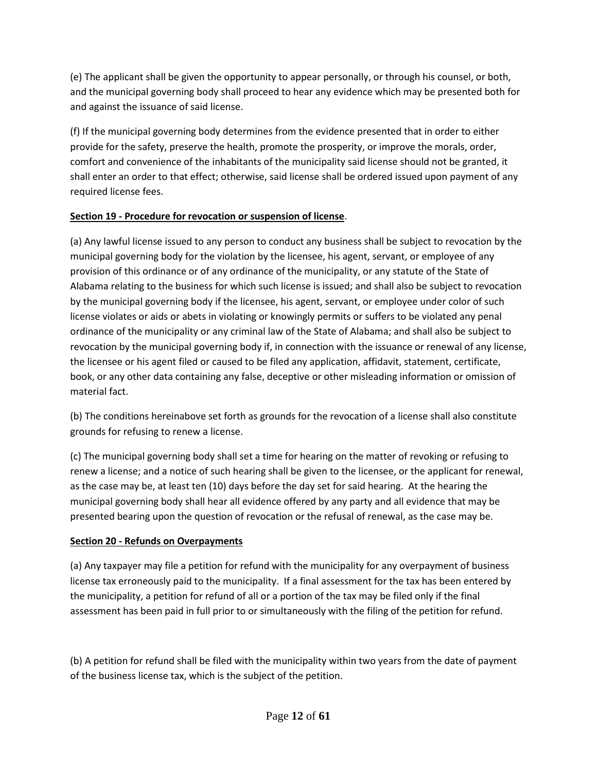(e) The applicant shall be given the opportunity to appear personally, or through his counsel, or both, and the municipal governing body shall proceed to hear any evidence which may be presented both for and against the issuance of said license.

(f) If the municipal governing body determines from the evidence presented that in order to either provide for the safety, preserve the health, promote the prosperity, or improve the morals, order, comfort and convenience of the inhabitants of the municipality said license should not be granted, it shall enter an order to that effect; otherwise, said license shall be ordered issued upon payment of any required license fees.

### **Section 19 - Procedure for revocation or suspension of license**.

(a) Any lawful license issued to any person to conduct any business shall be subject to revocation by the municipal governing body for the violation by the licensee, his agent, servant, or employee of any provision of this ordinance or of any ordinance of the municipality, or any statute of the State of Alabama relating to the business for which such license is issued; and shall also be subject to revocation by the municipal governing body if the licensee, his agent, servant, or employee under color of such license violates or aids or abets in violating or knowingly permits or suffers to be violated any penal ordinance of the municipality or any criminal law of the State of Alabama; and shall also be subject to revocation by the municipal governing body if, in connection with the issuance or renewal of any license, the licensee or his agent filed or caused to be filed any application, affidavit, statement, certificate, book, or any other data containing any false, deceptive or other misleading information or omission of material fact.

(b) The conditions hereinabove set forth as grounds for the revocation of a license shall also constitute grounds for refusing to renew a license.

(c) The municipal governing body shall set a time for hearing on the matter of revoking or refusing to renew a license; and a notice of such hearing shall be given to the licensee, or the applicant for renewal, as the case may be, at least ten (10) days before the day set for said hearing. At the hearing the municipal governing body shall hear all evidence offered by any party and all evidence that may be presented bearing upon the question of revocation or the refusal of renewal, as the case may be.

### **Section 20 - Refunds on Overpayments**

(a) Any taxpayer may file a petition for refund with the municipality for any overpayment of business license tax erroneously paid to the municipality. If a final assessment for the tax has been entered by the municipality, a petition for refund of all or a portion of the tax may be filed only if the final assessment has been paid in full prior to or simultaneously with the filing of the petition for refund.

(b) A petition for refund shall be filed with the municipality within two years from the date of payment of the business license tax, which is the subject of the petition.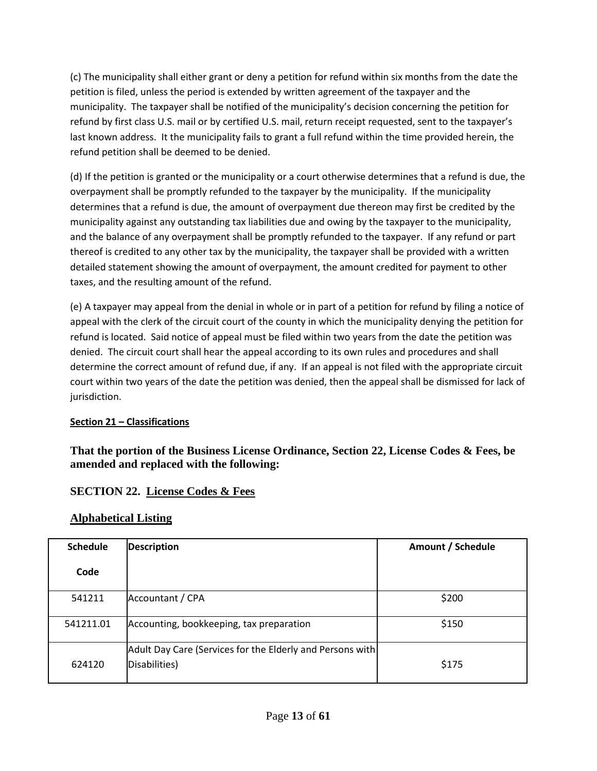(c) The municipality shall either grant or deny a petition for refund within six months from the date the petition is filed, unless the period is extended by written agreement of the taxpayer and the municipality. The taxpayer shall be notified of the municipality's decision concerning the petition for refund by first class U.S. mail or by certified U.S. mail, return receipt requested, sent to the taxpayer's last known address. It the municipality fails to grant a full refund within the time provided herein, the refund petition shall be deemed to be denied.

(d) If the petition is granted or the municipality or a court otherwise determines that a refund is due, the overpayment shall be promptly refunded to the taxpayer by the municipality. If the municipality determines that a refund is due, the amount of overpayment due thereon may first be credited by the municipality against any outstanding tax liabilities due and owing by the taxpayer to the municipality, and the balance of any overpayment shall be promptly refunded to the taxpayer. If any refund or part thereof is credited to any other tax by the municipality, the taxpayer shall be provided with a written detailed statement showing the amount of overpayment, the amount credited for payment to other taxes, and the resulting amount of the refund.

(e) A taxpayer may appeal from the denial in whole or in part of a petition for refund by filing a notice of appeal with the clerk of the circuit court of the county in which the municipality denying the petition for refund is located. Said notice of appeal must be filed within two years from the date the petition was denied. The circuit court shall hear the appeal according to its own rules and procedures and shall determine the correct amount of refund due, if any. If an appeal is not filed with the appropriate circuit court within two years of the date the petition was denied, then the appeal shall be dismissed for lack of jurisdiction.

### **Section 21 – Classifications**

**That the portion of the Business License Ordinance, Section 22, License Codes & Fees, be amended and replaced with the following:** 

### **SECTION 22. License Codes & Fees**

### **Alphabetical Listing**

| <b>Schedule</b> | <b>Description</b>                                                         | Amount / Schedule |
|-----------------|----------------------------------------------------------------------------|-------------------|
| Code            |                                                                            |                   |
| 541211          | Accountant / CPA                                                           | \$200             |
| 541211.01       | Accounting, bookkeeping, tax preparation                                   | \$150             |
| 624120          | Adult Day Care (Services for the Elderly and Persons with<br>Disabilities) | \$175             |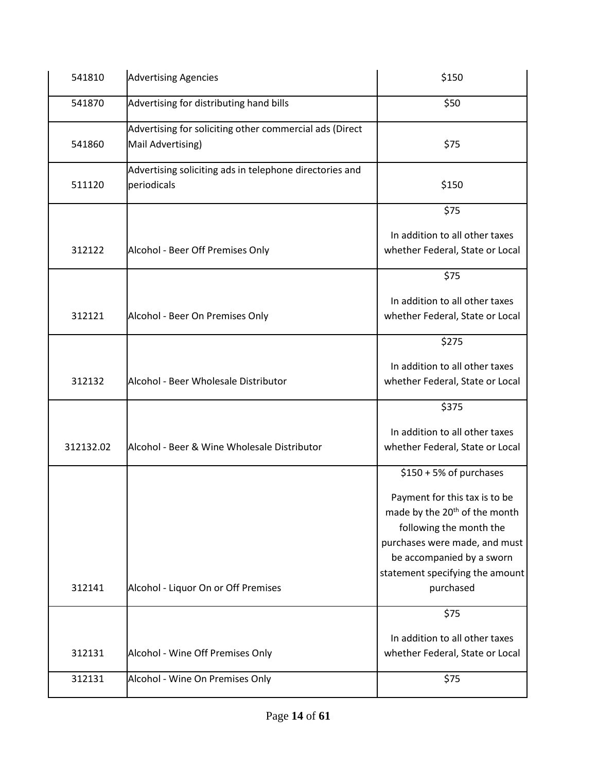| 541810    | <b>Advertising Agencies</b>                                                  | \$150                                                                                                                                                                                                  |
|-----------|------------------------------------------------------------------------------|--------------------------------------------------------------------------------------------------------------------------------------------------------------------------------------------------------|
| 541870    | Advertising for distributing hand bills                                      | \$50                                                                                                                                                                                                   |
| 541860    | Advertising for soliciting other commercial ads (Direct<br>Mail Advertising) | \$75                                                                                                                                                                                                   |
| 511120    | Advertising soliciting ads in telephone directories and<br>periodicals       | \$150                                                                                                                                                                                                  |
|           |                                                                              | \$75                                                                                                                                                                                                   |
| 312122    | Alcohol - Beer Off Premises Only                                             | In addition to all other taxes<br>whether Federal, State or Local                                                                                                                                      |
|           |                                                                              | \$75                                                                                                                                                                                                   |
| 312121    | Alcohol - Beer On Premises Only                                              | In addition to all other taxes<br>whether Federal, State or Local                                                                                                                                      |
|           |                                                                              | \$275                                                                                                                                                                                                  |
| 312132    | Alcohol - Beer Wholesale Distributor                                         | In addition to all other taxes<br>whether Federal, State or Local                                                                                                                                      |
|           |                                                                              | \$375                                                                                                                                                                                                  |
| 312132.02 | Alcohol - Beer & Wine Wholesale Distributor                                  | In addition to all other taxes<br>whether Federal, State or Local                                                                                                                                      |
|           |                                                                              | \$150 + 5% of purchases                                                                                                                                                                                |
|           |                                                                              | Payment for this tax is to be<br>made by the 20 <sup>th</sup> of the month<br>following the month the<br>purchases were made, and must<br>be accompanied by a sworn<br>statement specifying the amount |
| 312141    | Alcohol - Liquor On or Off Premises                                          | purchased                                                                                                                                                                                              |
|           |                                                                              | \$75                                                                                                                                                                                                   |
| 312131    | Alcohol - Wine Off Premises Only                                             | In addition to all other taxes<br>whether Federal, State or Local                                                                                                                                      |
| 312131    | Alcohol - Wine On Premises Only                                              | \$75                                                                                                                                                                                                   |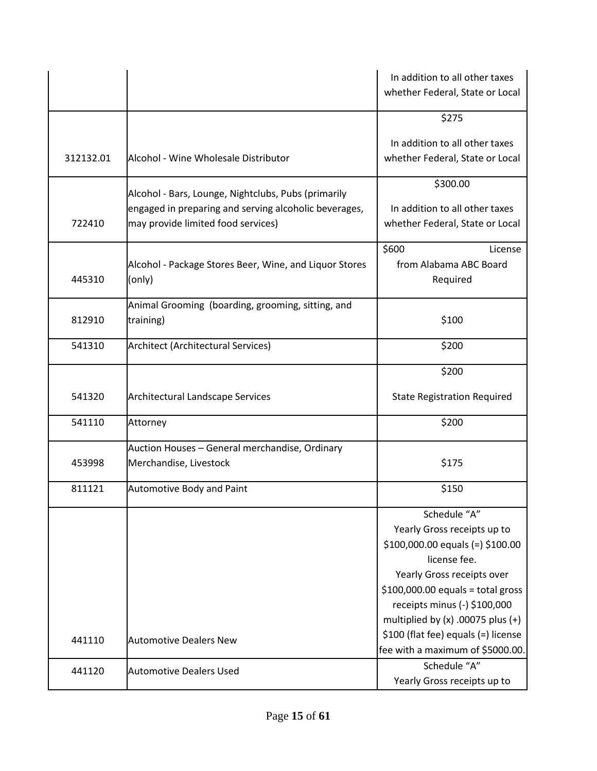|           |                                                                                                              | In addition to all other taxes<br>whether Federal, State or Local |
|-----------|--------------------------------------------------------------------------------------------------------------|-------------------------------------------------------------------|
|           |                                                                                                              |                                                                   |
|           |                                                                                                              | \$275                                                             |
|           |                                                                                                              | In addition to all other taxes                                    |
| 312132.01 | Alcohol - Wine Wholesale Distributor                                                                         | whether Federal, State or Local                                   |
|           |                                                                                                              | \$300.00                                                          |
|           | Alcohol - Bars, Lounge, Nightclubs, Pubs (primarily<br>engaged in preparing and serving alcoholic beverages, | In addition to all other taxes                                    |
| 722410    | may provide limited food services)                                                                           | whether Federal, State or Local                                   |
|           |                                                                                                              | \$600<br>License                                                  |
|           | Alcohol - Package Stores Beer, Wine, and Liquor Stores                                                       | from Alabama ABC Board                                            |
| 445310    | (only)                                                                                                       | Required                                                          |
|           | Animal Grooming (boarding, grooming, sitting, and                                                            |                                                                   |
| 812910    | training)                                                                                                    | \$100                                                             |
| 541310    | Architect (Architectural Services)                                                                           | \$200                                                             |
|           |                                                                                                              | \$200                                                             |
| 541320    | <b>Architectural Landscape Services</b>                                                                      | <b>State Registration Required</b>                                |
| 541110    | Attorney                                                                                                     | \$200                                                             |
|           | Auction Houses - General merchandise, Ordinary                                                               |                                                                   |
| 453998    | Merchandise, Livestock                                                                                       | \$175                                                             |
| 811121    | <b>Automotive Body and Paint</b>                                                                             | \$150                                                             |
|           |                                                                                                              | Schedule "A"                                                      |
|           |                                                                                                              | Yearly Gross receipts up to                                       |
|           |                                                                                                              | $$100,000.00$ equals (=) $$100.00$<br>license fee.                |
|           |                                                                                                              | Yearly Gross receipts over                                        |
|           |                                                                                                              | $$100,000.00$ equals = total gross                                |
|           |                                                                                                              | receipts minus (-) \$100,000                                      |
|           |                                                                                                              | multiplied by $(x)$ .00075 plus $(+)$                             |
| 441110    | <b>Automotive Dealers New</b>                                                                                | \$100 (flat fee) equals (=) license                               |
|           |                                                                                                              | fee with a maximum of \$5000.00.                                  |
| 441120    | <b>Automotive Dealers Used</b>                                                                               | Schedule "A"                                                      |
|           |                                                                                                              | Yearly Gross receipts up to                                       |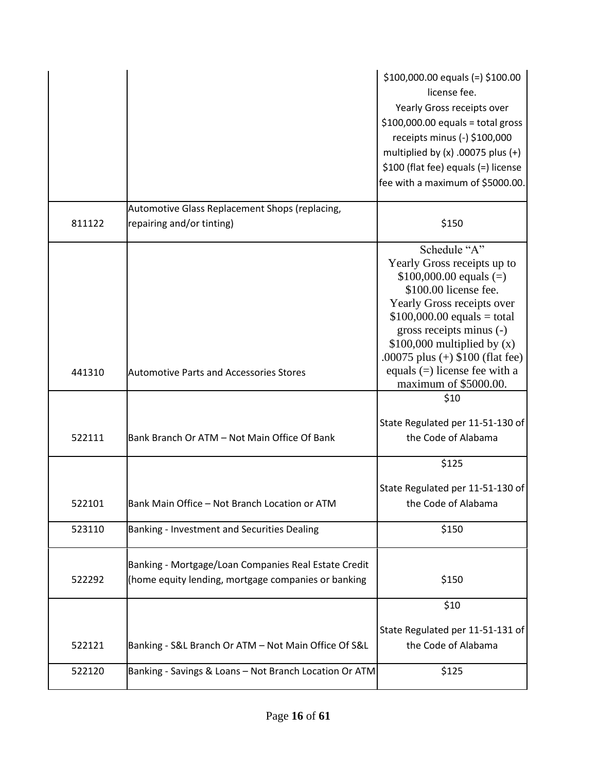|        |                                                                                                             | $$100,000.00$ equals (=) $$100.00$<br>license fee.<br>Yearly Gross receipts over<br>$$100,000.00$ equals = total gross<br>receipts minus (-) \$100,000<br>multiplied by $(x)$ .00075 plus $(+)$<br>\$100 (flat fee) equals (=) license<br>fee with a maximum of \$5000.00. |
|--------|-------------------------------------------------------------------------------------------------------------|----------------------------------------------------------------------------------------------------------------------------------------------------------------------------------------------------------------------------------------------------------------------------|
|        | Automotive Glass Replacement Shops (replacing,                                                              |                                                                                                                                                                                                                                                                            |
| 811122 | repairing and/or tinting)                                                                                   | \$150                                                                                                                                                                                                                                                                      |
|        |                                                                                                             | Schedule "A"<br>Yearly Gross receipts up to<br>$$100,000.00$ equals (=)<br>\$100.00 license fee.<br>Yearly Gross receipts over<br>$$100,000.00$ equals = total<br>gross receipts minus (-)<br>$$100,000$ multiplied by (x)<br>.00075 plus $(+)$ \$100 (flat fee)           |
| 441310 | <b>Automotive Parts and Accessories Stores</b>                                                              | equals $(=)$ license fee with a<br>maximum of \$5000.00.                                                                                                                                                                                                                   |
|        |                                                                                                             | \$10                                                                                                                                                                                                                                                                       |
| 522111 | Bank Branch Or ATM - Not Main Office Of Bank                                                                | State Regulated per 11-51-130 of<br>the Code of Alabama                                                                                                                                                                                                                    |
|        |                                                                                                             | \$125                                                                                                                                                                                                                                                                      |
| 522101 | Bank Main Office - Not Branch Location or ATM                                                               | State Regulated per 11-51-130 of<br>the Code of Alabama                                                                                                                                                                                                                    |
| 523110 | Banking - Investment and Securities Dealing                                                                 | \$150                                                                                                                                                                                                                                                                      |
| 522292 | Banking - Mortgage/Loan Companies Real Estate Credit<br>(home equity lending, mortgage companies or banking | \$150                                                                                                                                                                                                                                                                      |
|        |                                                                                                             | \$10                                                                                                                                                                                                                                                                       |
| 522121 | Banking - S&L Branch Or ATM - Not Main Office Of S&L                                                        | State Regulated per 11-51-131 of<br>the Code of Alabama                                                                                                                                                                                                                    |
| 522120 | Banking - Savings & Loans - Not Branch Location Or ATM                                                      | \$125                                                                                                                                                                                                                                                                      |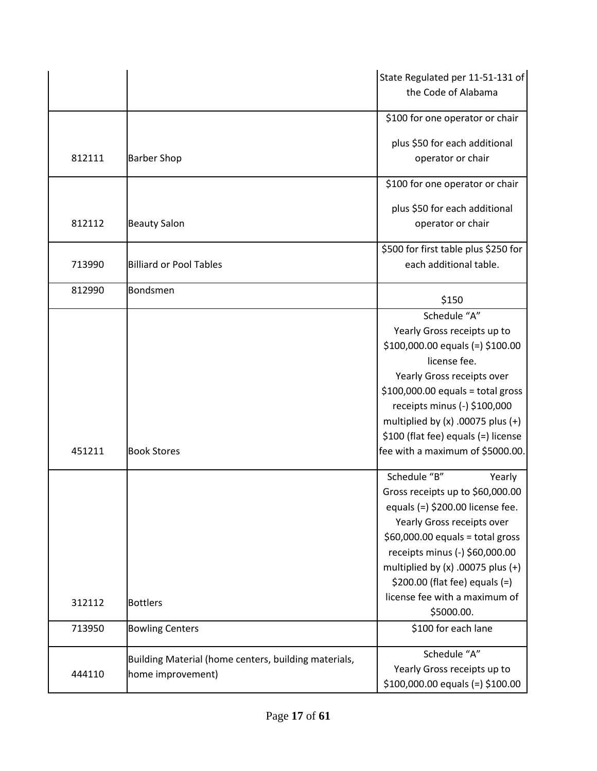|        |                                                      | State Regulated per 11-51-131 of      |
|--------|------------------------------------------------------|---------------------------------------|
|        |                                                      | the Code of Alabama                   |
|        |                                                      | \$100 for one operator or chair       |
|        |                                                      | plus \$50 for each additional         |
| 812111 | <b>Barber Shop</b>                                   | operator or chair                     |
|        |                                                      | \$100 for one operator or chair       |
|        |                                                      | plus \$50 for each additional         |
| 812112 | <b>Beauty Salon</b>                                  | operator or chair                     |
|        |                                                      | \$500 for first table plus \$250 for  |
| 713990 | <b>Billiard or Pool Tables</b>                       | each additional table.                |
| 812990 | Bondsmen                                             | \$150                                 |
|        |                                                      | Schedule "A"                          |
|        |                                                      | Yearly Gross receipts up to           |
|        |                                                      | $$100,000.00$ equals (=) $$100.00$    |
|        |                                                      | license fee.                          |
|        |                                                      | Yearly Gross receipts over            |
|        |                                                      | $$100,000.00$ equals = total gross    |
|        |                                                      | receipts minus (-) \$100,000          |
|        |                                                      | multiplied by $(x)$ .00075 plus $(+)$ |
|        |                                                      | \$100 (flat fee) equals (=) license   |
| 451211 | <b>Book Stores</b>                                   | fee with a maximum of \$5000.00.      |
|        |                                                      | Schedule "B"<br>Yearly                |
|        |                                                      | Gross receipts up to \$60,000.00      |
|        |                                                      | equals (=) \$200.00 license fee.      |
|        |                                                      | Yearly Gross receipts over            |
|        |                                                      | $$60,000.00$ equals = total gross     |
|        |                                                      | receipts minus (-) \$60,000.00        |
|        |                                                      | multiplied by $(x)$ .00075 plus $(+)$ |
|        |                                                      | \$200.00 (flat fee) equals $(=)$      |
| 312112 | <b>Bottlers</b>                                      | license fee with a maximum of         |
|        |                                                      | \$5000.00.                            |
| 713950 | <b>Bowling Centers</b>                               | \$100 for each lane                   |
|        | Building Material (home centers, building materials, | Schedule "A"                          |
| 444110 | home improvement)                                    | Yearly Gross receipts up to           |
|        |                                                      | \$100,000.00 equals (=) \$100.00      |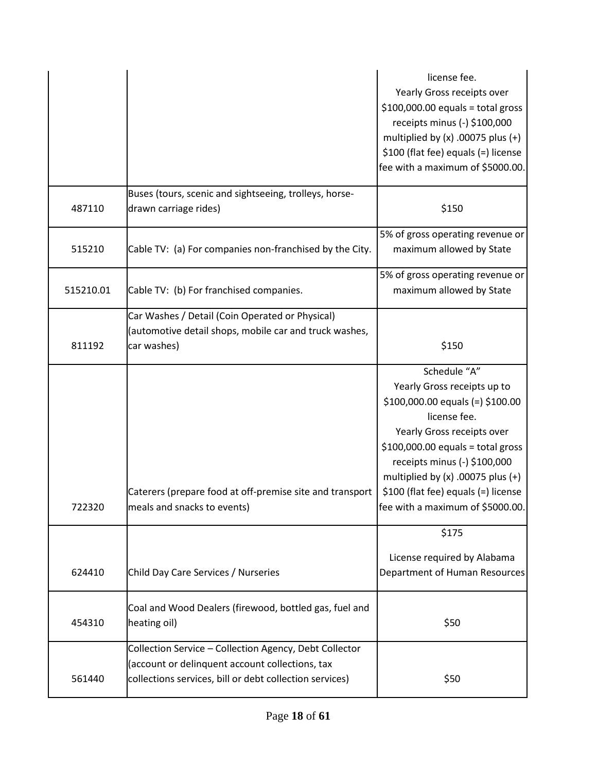|           |                                                                                                                                                                      | license fee.<br>Yearly Gross receipts over<br>$$100,000.00$ equals = total gross<br>receipts minus (-) \$100,000<br>multiplied by $(x)$ .00075 plus $(+)$<br>\$100 (flat fee) equals (=) license<br>fee with a maximum of \$5000.00.                                                                                      |
|-----------|----------------------------------------------------------------------------------------------------------------------------------------------------------------------|---------------------------------------------------------------------------------------------------------------------------------------------------------------------------------------------------------------------------------------------------------------------------------------------------------------------------|
| 487110    | Buses (tours, scenic and sightseeing, trolleys, horse-<br>drawn carriage rides)                                                                                      | \$150                                                                                                                                                                                                                                                                                                                     |
| 515210    | Cable TV: (a) For companies non-franchised by the City.                                                                                                              | 5% of gross operating revenue or<br>maximum allowed by State                                                                                                                                                                                                                                                              |
| 515210.01 | Cable TV: (b) For franchised companies.                                                                                                                              | 5% of gross operating revenue or<br>maximum allowed by State                                                                                                                                                                                                                                                              |
| 811192    | Car Washes / Detail (Coin Operated or Physical)<br>(automotive detail shops, mobile car and truck washes,<br>car washes)                                             | \$150                                                                                                                                                                                                                                                                                                                     |
| 722320    | Caterers (prepare food at off-premise site and transport<br>meals and snacks to events)                                                                              | Schedule "A"<br>Yearly Gross receipts up to<br>$$100,000.00$ equals (=) $$100.00$<br>license fee.<br>Yearly Gross receipts over<br>$$100,000.00$ equals = total gross<br>receipts minus (-) \$100,000<br>multiplied by $(x)$ .00075 plus $(+)$<br>\$100 (flat fee) equals (=) license<br>fee with a maximum of \$5000.00. |
| 624410    | Child Day Care Services / Nurseries                                                                                                                                  | \$175<br>License required by Alabama<br>Department of Human Resources                                                                                                                                                                                                                                                     |
| 454310    | Coal and Wood Dealers (firewood, bottled gas, fuel and<br>heating oil)                                                                                               | \$50                                                                                                                                                                                                                                                                                                                      |
| 561440    | Collection Service - Collection Agency, Debt Collector<br>(account or delinquent account collections, tax<br>collections services, bill or debt collection services) | \$50                                                                                                                                                                                                                                                                                                                      |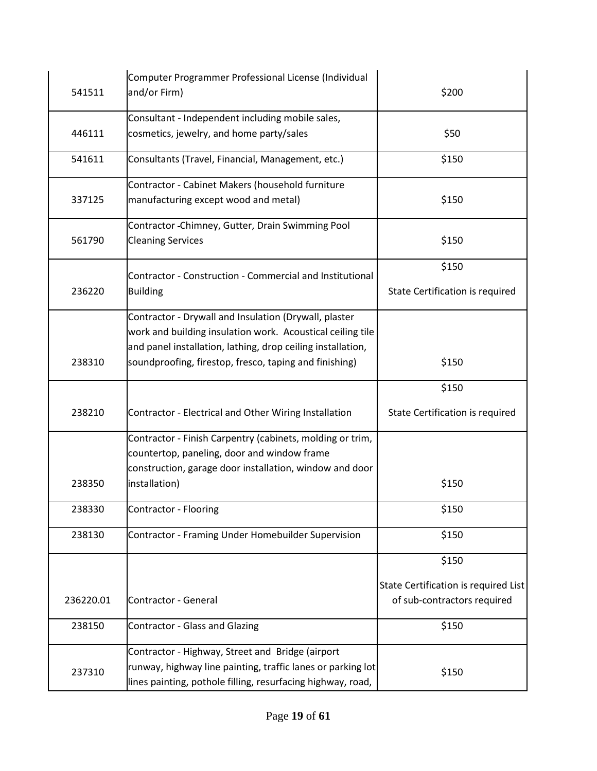| 541511    | Computer Programmer Professional License (Individual<br>and/or Firm)          | \$200                                                               |
|-----------|-------------------------------------------------------------------------------|---------------------------------------------------------------------|
|           | Consultant - Independent including mobile sales,                              |                                                                     |
| 446111    | cosmetics, jewelry, and home party/sales                                      | \$50                                                                |
| 541611    | Consultants (Travel, Financial, Management, etc.)                             | \$150                                                               |
|           | Contractor - Cabinet Makers (household furniture                              |                                                                     |
| 337125    | manufacturing except wood and metal)                                          | \$150                                                               |
| 561790    | Contractor - Chimney, Gutter, Drain Swimming Pool<br><b>Cleaning Services</b> | \$150                                                               |
|           |                                                                               |                                                                     |
|           | Contractor - Construction - Commercial and Institutional                      | \$150                                                               |
| 236220    | <b>Building</b>                                                               | State Certification is required                                     |
|           | Contractor - Drywall and Insulation (Drywall, plaster                         |                                                                     |
|           | work and building insulation work. Acoustical ceiling tile                    |                                                                     |
|           | and panel installation, lathing, drop ceiling installation,                   |                                                                     |
| 238310    | soundproofing, firestop, fresco, taping and finishing)                        | \$150                                                               |
|           |                                                                               |                                                                     |
|           |                                                                               | \$150                                                               |
| 238210    | Contractor - Electrical and Other Wiring Installation                         | State Certification is required                                     |
|           | Contractor - Finish Carpentry (cabinets, molding or trim,                     |                                                                     |
|           | countertop, paneling, door and window frame                                   |                                                                     |
|           | construction, garage door installation, window and door                       |                                                                     |
| 238350    | installation)                                                                 | \$150                                                               |
| 238330    | Contractor - Flooring                                                         | \$150                                                               |
| 238130    | Contractor - Framing Under Homebuilder Supervision                            | \$150                                                               |
|           |                                                                               | \$150                                                               |
|           |                                                                               |                                                                     |
| 236220.01 | Contractor - General                                                          | State Certification is required List<br>of sub-contractors required |
| 238150    | <b>Contractor - Glass and Glazing</b>                                         | \$150                                                               |
|           | Contractor - Highway, Street and Bridge (airport                              |                                                                     |
| 237310    | runway, highway line painting, traffic lanes or parking lot                   | \$150                                                               |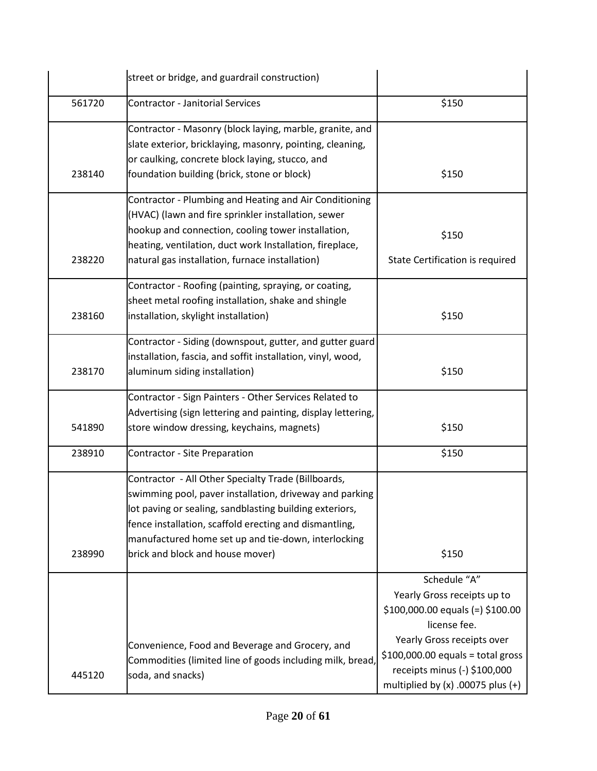|        | street or bridge, and guardrail construction)                                                                                                                                                                                                                                                                                  |                                                                                                                                                                                                                                                |
|--------|--------------------------------------------------------------------------------------------------------------------------------------------------------------------------------------------------------------------------------------------------------------------------------------------------------------------------------|------------------------------------------------------------------------------------------------------------------------------------------------------------------------------------------------------------------------------------------------|
| 561720 | <b>Contractor - Janitorial Services</b>                                                                                                                                                                                                                                                                                        | \$150                                                                                                                                                                                                                                          |
| 238140 | Contractor - Masonry (block laying, marble, granite, and<br>slate exterior, bricklaying, masonry, pointing, cleaning,<br>or caulking, concrete block laying, stucco, and<br>foundation building (brick, stone or block)                                                                                                        | \$150                                                                                                                                                                                                                                          |
| 238220 | Contractor - Plumbing and Heating and Air Conditioning<br>(HVAC) (lawn and fire sprinkler installation, sewer<br>hookup and connection, cooling tower installation,<br>heating, ventilation, duct work Installation, fireplace,<br>natural gas installation, furnace installation)                                             | \$150<br>State Certification is required                                                                                                                                                                                                       |
| 238160 | Contractor - Roofing (painting, spraying, or coating,<br>sheet metal roofing installation, shake and shingle<br>installation, skylight installation)                                                                                                                                                                           | \$150                                                                                                                                                                                                                                          |
| 238170 | Contractor - Siding (downspout, gutter, and gutter guard<br>installation, fascia, and soffit installation, vinyl, wood,<br>aluminum siding installation)                                                                                                                                                                       | \$150                                                                                                                                                                                                                                          |
| 541890 | Contractor - Sign Painters - Other Services Related to<br>Advertising (sign lettering and painting, display lettering,<br>store window dressing, keychains, magnets)                                                                                                                                                           | \$150                                                                                                                                                                                                                                          |
| 238910 | <b>Contractor - Site Preparation</b>                                                                                                                                                                                                                                                                                           | \$150                                                                                                                                                                                                                                          |
| 238990 | Contractor - All Other Specialty Trade (Billboards,<br>swimming pool, paver installation, driveway and parking<br>lot paving or sealing, sandblasting building exteriors,<br>fence installation, scaffold erecting and dismantling,<br>manufactured home set up and tie-down, interlocking<br>brick and block and house mover) | \$150                                                                                                                                                                                                                                          |
| 445120 | Convenience, Food and Beverage and Grocery, and<br>Commodities (limited line of goods including milk, bread,<br>soda, and snacks)                                                                                                                                                                                              | Schedule "A"<br>Yearly Gross receipts up to<br>$$100,000.00$ equals (=) $$100.00$<br>license fee.<br>Yearly Gross receipts over<br>$$100,000.00$ equals = total gross<br>receipts minus (-) \$100,000<br>multiplied by $(x)$ .00075 plus $(+)$ |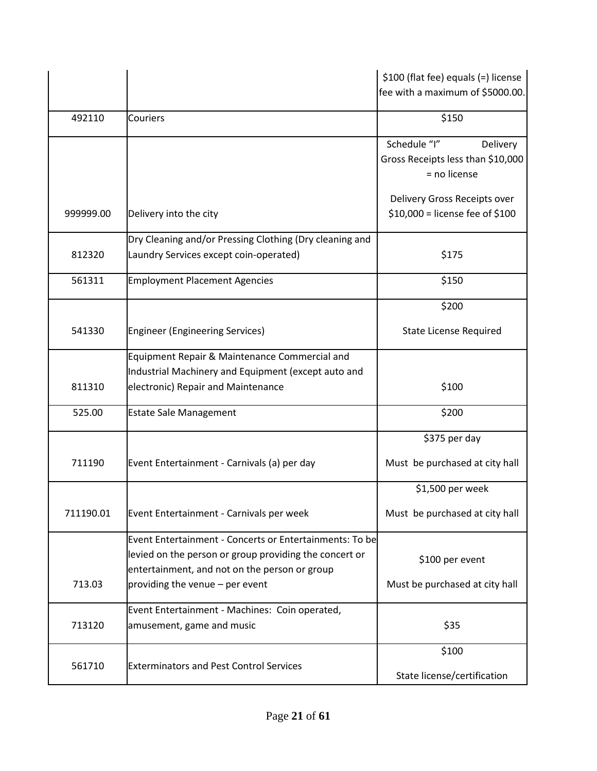|           |                                                         | \$100 (flat fee) equals (=) license               |
|-----------|---------------------------------------------------------|---------------------------------------------------|
|           |                                                         | fee with a maximum of \$5000.00.                  |
| 492110    | Couriers                                                | \$150                                             |
|           |                                                         | Schedule "I"<br>Delivery                          |
|           |                                                         | Gross Receipts less than \$10,000<br>= no license |
|           |                                                         |                                                   |
|           |                                                         | Delivery Gross Receipts over                      |
| 999999.00 | Delivery into the city                                  | \$10,000 = license fee of \$100                   |
|           | Dry Cleaning and/or Pressing Clothing (Dry cleaning and |                                                   |
| 812320    | Laundry Services except coin-operated)                  | \$175                                             |
| 561311    | <b>Employment Placement Agencies</b>                    | \$150                                             |
|           |                                                         | \$200                                             |
| 541330    | <b>Engineer (Engineering Services)</b>                  | <b>State License Required</b>                     |
|           | Equipment Repair & Maintenance Commercial and           |                                                   |
|           | Industrial Machinery and Equipment (except auto and     |                                                   |
| 811310    | electronic) Repair and Maintenance                      | \$100                                             |
| 525.00    | <b>Estate Sale Management</b>                           | \$200                                             |
|           |                                                         | \$375 per day                                     |
| 711190    | Event Entertainment - Carnivals (a) per day             | Must be purchased at city hall                    |
|           |                                                         | \$1,500 per week                                  |
| 711190.01 | Event Entertainment - Carnivals per week                | Must be purchased at city hall                    |
|           | Event Entertainment - Concerts or Entertainments: To be |                                                   |
|           | levied on the person or group providing the concert or  | \$100 per event                                   |
|           | entertainment, and not on the person or group           |                                                   |
| 713.03    | providing the venue - per event                         | Must be purchased at city hall                    |
|           | Event Entertainment - Machines: Coin operated,          |                                                   |
| 713120    | amusement, game and music                               | \$35                                              |
|           |                                                         | \$100                                             |
| 561710    | <b>Exterminators and Pest Control Services</b>          | State license/certification                       |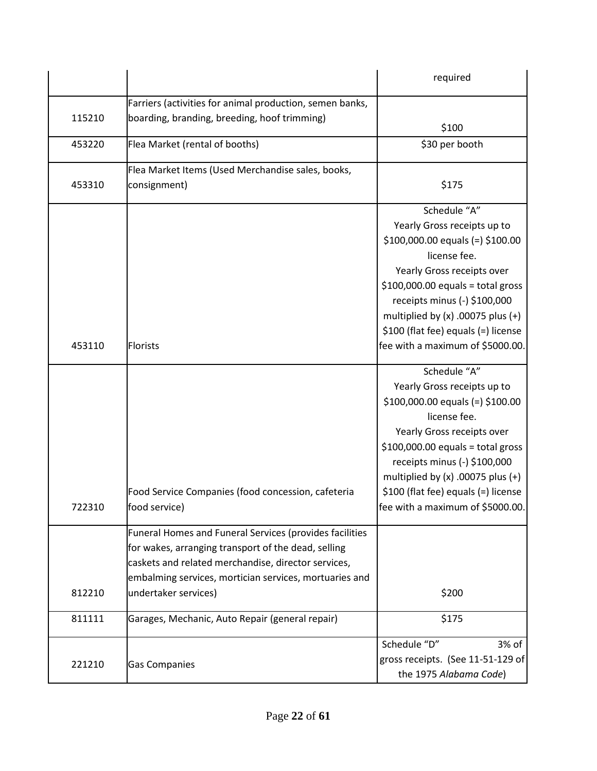|        |                                                          | required                              |
|--------|----------------------------------------------------------|---------------------------------------|
|        | Farriers (activities for animal production, semen banks, |                                       |
| 115210 | boarding, branding, breeding, hoof trimming)             | \$100                                 |
| 453220 | Flea Market (rental of booths)                           | \$30 per booth                        |
|        | Flea Market Items (Used Merchandise sales, books,        |                                       |
| 453310 | consignment)                                             | \$175                                 |
|        |                                                          | Schedule "A"                          |
|        |                                                          | Yearly Gross receipts up to           |
|        |                                                          | $$100,000.00$ equals (=) $$100.00$    |
|        |                                                          | license fee.                          |
|        |                                                          | Yearly Gross receipts over            |
|        |                                                          | $$100,000.00$ equals = total gross    |
|        |                                                          | receipts minus (-) \$100,000          |
|        |                                                          | multiplied by $(x)$ .00075 plus $(+)$ |
|        |                                                          | \$100 (flat fee) equals (=) license   |
| 453110 | <b>Florists</b>                                          | fee with a maximum of \$5000.00.      |
|        |                                                          | Schedule "A"                          |
|        |                                                          | Yearly Gross receipts up to           |
|        |                                                          | $$100,000.00$ equals (=) $$100.00$    |
|        |                                                          | license fee.                          |
|        |                                                          | Yearly Gross receipts over            |
|        |                                                          | $$100,000.00$ equals = total gross    |
|        |                                                          | receipts minus (-) \$100,000          |
|        |                                                          | multiplied by $(x)$ .00075 plus $(+)$ |
|        | Food Service Companies (food concession, cafeteria       | \$100 (flat fee) equals (=) license   |
| 722310 | food service)                                            | fee with a maximum of \$5000.00.      |
|        | Funeral Homes and Funeral Services (provides facilities  |                                       |
|        | for wakes, arranging transport of the dead, selling      |                                       |
|        | caskets and related merchandise, director services,      |                                       |
|        | embalming services, mortician services, mortuaries and   |                                       |
| 812210 | undertaker services)                                     | \$200                                 |
| 811111 | Garages, Mechanic, Auto Repair (general repair)          | \$175                                 |
|        |                                                          | Schedule "D"<br>3% of                 |
| 221210 |                                                          | gross receipts. (See 11-51-129 of     |
|        | <b>Gas Companies</b>                                     | the 1975 Alabama Code)                |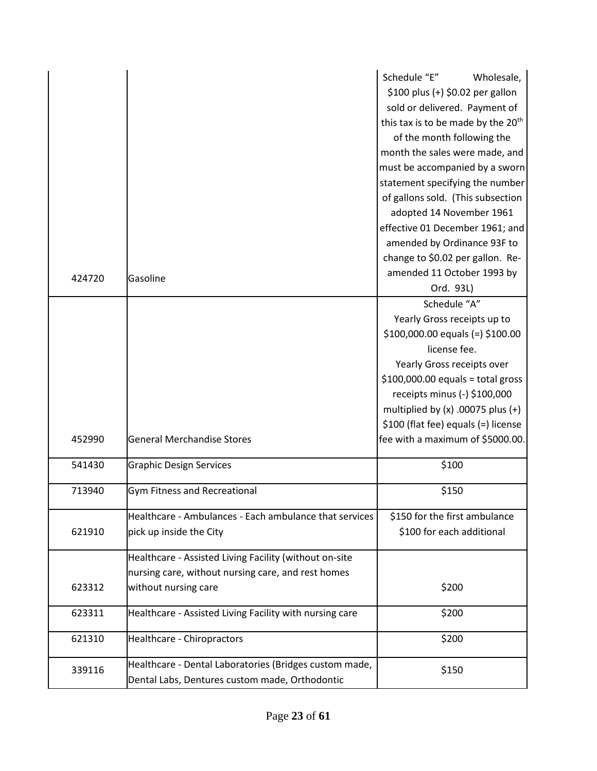|        |                                                         | Schedule "E"<br>Wholesale,                     |
|--------|---------------------------------------------------------|------------------------------------------------|
|        |                                                         | \$100 plus (+) \$0.02 per gallon               |
|        |                                                         | sold or delivered. Payment of                  |
|        |                                                         | this tax is to be made by the 20 <sup>th</sup> |
|        |                                                         | of the month following the                     |
|        |                                                         | month the sales were made, and                 |
|        |                                                         | must be accompanied by a sworn                 |
|        |                                                         | statement specifying the number                |
|        |                                                         | of gallons sold. (This subsection              |
|        |                                                         | adopted 14 November 1961                       |
|        |                                                         | effective 01 December 1961; and                |
|        |                                                         | amended by Ordinance 93F to                    |
|        |                                                         | change to \$0.02 per gallon. Re-               |
| 424720 | Gasoline                                                | amended 11 October 1993 by                     |
|        |                                                         | Ord. 93L)                                      |
|        |                                                         | Schedule "A"                                   |
|        |                                                         | Yearly Gross receipts up to                    |
|        |                                                         | $$100,000.00$ equals (=) $$100.00$             |
|        |                                                         | license fee.                                   |
|        |                                                         | Yearly Gross receipts over                     |
|        |                                                         | $$100,000.00$ equals = total gross             |
|        |                                                         | receipts minus (-) \$100,000                   |
|        |                                                         | multiplied by $(x)$ .00075 plus $(+)$          |
|        |                                                         | \$100 (flat fee) equals (=) license            |
| 452990 | <b>General Merchandise Stores</b>                       | fee with a maximum of \$5000.00.               |
| 541430 | <b>Graphic Design Services</b>                          | \$100                                          |
|        |                                                         |                                                |
| 713940 | <b>Gym Fitness and Recreational</b>                     | \$150                                          |
|        | Healthcare - Ambulances - Each ambulance that services  | \$150 for the first ambulance                  |
| 621910 | pick up inside the City                                 | \$100 for each additional                      |
|        | Healthcare - Assisted Living Facility (without on-site  |                                                |
|        | nursing care, without nursing care, and rest homes      |                                                |
| 623312 | without nursing care                                    | \$200                                          |
|        |                                                         |                                                |
| 623311 | Healthcare - Assisted Living Facility with nursing care | \$200                                          |
| 621310 | Healthcare - Chiropractors                              | \$200                                          |
| 339116 | Healthcare - Dental Laboratories (Bridges custom made,  | \$150                                          |
|        | Dental Labs, Dentures custom made, Orthodontic          |                                                |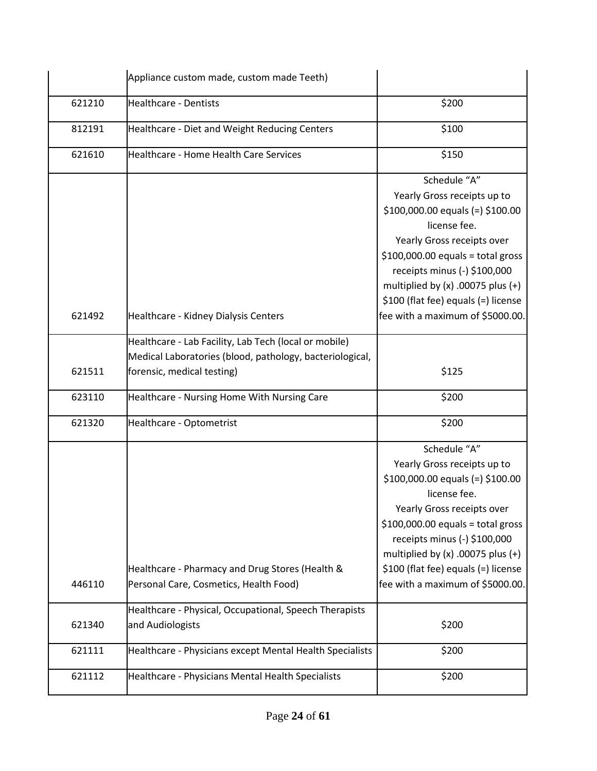|        | Appliance custom made, custom made Teeth)                                                                                                       |                                                                                                                                                                                                                                                                                                                           |
|--------|-------------------------------------------------------------------------------------------------------------------------------------------------|---------------------------------------------------------------------------------------------------------------------------------------------------------------------------------------------------------------------------------------------------------------------------------------------------------------------------|
| 621210 | <b>Healthcare - Dentists</b>                                                                                                                    | \$200                                                                                                                                                                                                                                                                                                                     |
| 812191 | Healthcare - Diet and Weight Reducing Centers                                                                                                   | \$100                                                                                                                                                                                                                                                                                                                     |
| 621610 | Healthcare - Home Health Care Services                                                                                                          | \$150                                                                                                                                                                                                                                                                                                                     |
|        |                                                                                                                                                 | Schedule "A"<br>Yearly Gross receipts up to<br>$$100,000.00$ equals (=) $$100.00$<br>license fee.<br>Yearly Gross receipts over<br>$$100,000.00$ equals = total gross<br>receipts minus (-) \$100,000<br>multiplied by $(x)$ .00075 plus $(+)$                                                                            |
| 621492 | Healthcare - Kidney Dialysis Centers                                                                                                            | \$100 (flat fee) equals (=) license<br>fee with a maximum of \$5000.00.                                                                                                                                                                                                                                                   |
| 621511 | Healthcare - Lab Facility, Lab Tech (local or mobile)<br>Medical Laboratories (blood, pathology, bacteriological,<br>forensic, medical testing) | \$125                                                                                                                                                                                                                                                                                                                     |
| 623110 | Healthcare - Nursing Home With Nursing Care                                                                                                     | \$200                                                                                                                                                                                                                                                                                                                     |
| 621320 | Healthcare - Optometrist                                                                                                                        | \$200                                                                                                                                                                                                                                                                                                                     |
| 446110 | Healthcare - Pharmacy and Drug Stores (Health &<br>Personal Care, Cosmetics, Health Food)                                                       | Schedule "A"<br>Yearly Gross receipts up to<br>$$100,000.00$ equals (=) $$100.00$<br>license fee.<br>Yearly Gross receipts over<br>$$100,000.00$ equals = total gross<br>receipts minus (-) \$100,000<br>multiplied by $(x)$ .00075 plus $(+)$<br>\$100 (flat fee) equals (=) license<br>fee with a maximum of \$5000.00. |
|        | Healthcare - Physical, Occupational, Speech Therapists                                                                                          |                                                                                                                                                                                                                                                                                                                           |
| 621340 | and Audiologists                                                                                                                                | \$200                                                                                                                                                                                                                                                                                                                     |
| 621111 | Healthcare - Physicians except Mental Health Specialists                                                                                        | \$200                                                                                                                                                                                                                                                                                                                     |
| 621112 | Healthcare - Physicians Mental Health Specialists                                                                                               | \$200                                                                                                                                                                                                                                                                                                                     |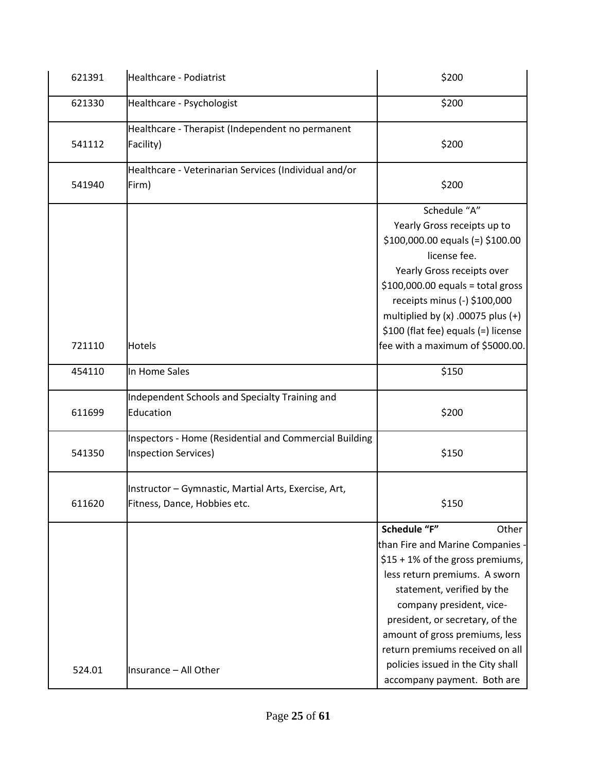| 621391 | Healthcare - Podiatrist                                                                      | \$200                                                                                                                                                                                                                                                                                                                                                                  |
|--------|----------------------------------------------------------------------------------------------|------------------------------------------------------------------------------------------------------------------------------------------------------------------------------------------------------------------------------------------------------------------------------------------------------------------------------------------------------------------------|
| 621330 | Healthcare - Psychologist                                                                    | \$200                                                                                                                                                                                                                                                                                                                                                                  |
| 541112 | Healthcare - Therapist (Independent no permanent<br>Facility)                                | \$200                                                                                                                                                                                                                                                                                                                                                                  |
| 541940 | Healthcare - Veterinarian Services (Individual and/or<br>Firm)                               | \$200                                                                                                                                                                                                                                                                                                                                                                  |
| 721110 | Hotels                                                                                       | Schedule "A"<br>Yearly Gross receipts up to<br>$$100,000.00$ equals (=) $$100.00$<br>license fee.<br>Yearly Gross receipts over<br>$$100,000.00$ equals = total gross<br>receipts minus (-) \$100,000<br>multiplied by $(x)$ .00075 plus $(+)$<br>\$100 (flat fee) equals (=) license<br>fee with a maximum of \$5000.00.                                              |
| 454110 | In Home Sales                                                                                | \$150                                                                                                                                                                                                                                                                                                                                                                  |
| 611699 | Independent Schools and Specialty Training and<br>Education                                  | \$200                                                                                                                                                                                                                                                                                                                                                                  |
| 541350 | <b>Inspectors - Home (Residential and Commercial Building</b><br><b>Inspection Services)</b> | \$150                                                                                                                                                                                                                                                                                                                                                                  |
| 611620 | Instructor - Gymnastic, Martial Arts, Exercise, Art,<br>Fitness, Dance, Hobbies etc.         | \$150                                                                                                                                                                                                                                                                                                                                                                  |
| 524.01 | Insurance - All Other                                                                        | Schedule "F"<br>Other<br>than Fire and Marine Companies -<br>$$15 + 1\%$ of the gross premiums,<br>less return premiums. A sworn<br>statement, verified by the<br>company president, vice-<br>president, or secretary, of the<br>amount of gross premiums, less<br>return premiums received on all<br>policies issued in the City shall<br>accompany payment. Both are |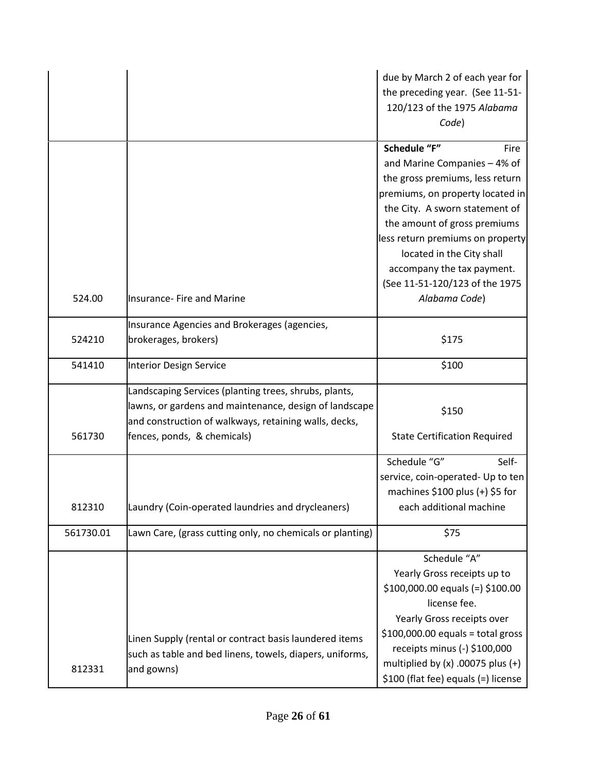|           |                                                           | due by March 2 of each year for<br>the preceding year. (See 11-51-<br>120/123 of the 1975 Alabama<br>Code) |
|-----------|-----------------------------------------------------------|------------------------------------------------------------------------------------------------------------|
|           |                                                           | Schedule "F"<br>Fire                                                                                       |
|           |                                                           | and Marine Companies - 4% of                                                                               |
|           |                                                           | the gross premiums, less return                                                                            |
|           |                                                           | premiums, on property located in                                                                           |
|           |                                                           | the City. A sworn statement of                                                                             |
|           |                                                           | the amount of gross premiums                                                                               |
|           |                                                           | less return premiums on property                                                                           |
|           |                                                           | located in the City shall                                                                                  |
|           |                                                           | accompany the tax payment.                                                                                 |
|           |                                                           | (See 11-51-120/123 of the 1975                                                                             |
| 524.00    | <b>Insurance- Fire and Marine</b>                         | Alabama Code)                                                                                              |
|           | Insurance Agencies and Brokerages (agencies,              |                                                                                                            |
| 524210    | brokerages, brokers)                                      | \$175                                                                                                      |
| 541410    | <b>Interior Design Service</b>                            | \$100                                                                                                      |
|           | Landscaping Services (planting trees, shrubs, plants,     |                                                                                                            |
|           | lawns, or gardens and maintenance, design of landscape    |                                                                                                            |
|           | and construction of walkways, retaining walls, decks,     | \$150                                                                                                      |
| 561730    | fences, ponds, & chemicals)                               | <b>State Certification Required</b>                                                                        |
|           |                                                           | Schedule "G"<br>Self-                                                                                      |
|           |                                                           | service, coin-operated- Up to ten                                                                          |
|           |                                                           | machines $$100$ plus (+) $$5$ for                                                                          |
| 812310    | Laundry (Coin-operated laundries and drycleaners)         | each additional machine                                                                                    |
| 561730.01 | Lawn Care, (grass cutting only, no chemicals or planting) | \$75                                                                                                       |
|           |                                                           | Schedule "A"                                                                                               |
|           |                                                           | Yearly Gross receipts up to                                                                                |
|           |                                                           | $$100,000.00$ equals (=) $$100.00$                                                                         |
|           |                                                           | license fee.                                                                                               |
|           |                                                           | Yearly Gross receipts over                                                                                 |
|           |                                                           | $$100,000.00$ equals = total gross                                                                         |
|           | Linen Supply (rental or contract basis laundered items    | receipts minus (-) \$100,000                                                                               |
|           | such as table and bed linens, towels, diapers, uniforms,  | multiplied by $(x)$ .00075 plus $(+)$                                                                      |
| 812331    | and gowns)                                                | \$100 (flat fee) equals (=) license                                                                        |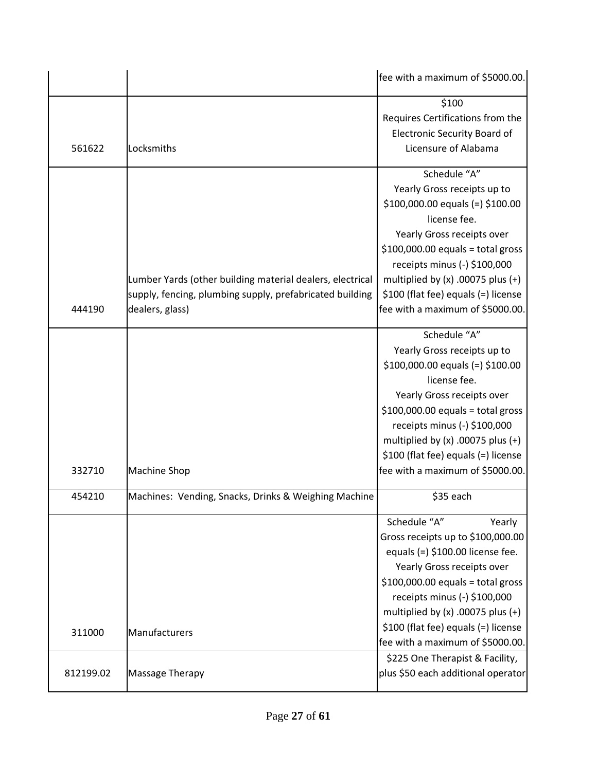|           |                                                                             | fee with a maximum of \$5000.00.                                                                                                                                                                                                                                                                                          |
|-----------|-----------------------------------------------------------------------------|---------------------------------------------------------------------------------------------------------------------------------------------------------------------------------------------------------------------------------------------------------------------------------------------------------------------------|
| 561622    | Locksmiths                                                                  | \$100<br>Requires Certifications from the<br><b>Electronic Security Board of</b><br>Licensure of Alabama                                                                                                                                                                                                                  |
|           | Lumber Yards (other building material dealers, electrical                   | Schedule "A"<br>Yearly Gross receipts up to<br>$$100,000.00$ equals (=) $$100.00$<br>license fee.<br>Yearly Gross receipts over<br>$$100,000.00$ equals = total gross<br>receipts minus (-) \$100,000<br>multiplied by $(x)$ .00075 plus $(+)$                                                                            |
| 444190    | supply, fencing, plumbing supply, prefabricated building<br>dealers, glass) | \$100 (flat fee) equals (=) license<br>fee with a maximum of \$5000.00.                                                                                                                                                                                                                                                   |
| 332710    | <b>Machine Shop</b>                                                         | Schedule "A"<br>Yearly Gross receipts up to<br>$$100,000.00$ equals (=) $$100.00$<br>license fee.<br>Yearly Gross receipts over<br>$$100,000.00$ equals = total gross<br>receipts minus (-) \$100,000<br>multiplied by $(x)$ .00075 plus $(+)$<br>\$100 (flat fee) equals (=) license<br>fee with a maximum of \$5000.00. |
| 454210    | Machines: Vending, Snacks, Drinks & Weighing Machine                        | \$35 each                                                                                                                                                                                                                                                                                                                 |
|           |                                                                             | Schedule "A"<br>Yearly<br>Gross receipts up to \$100,000.00<br>equals $(=)$ \$100.00 license fee.<br>Yearly Gross receipts over<br>$$100,000.00$ equals = total gross<br>receipts minus (-) \$100,000<br>multiplied by $(x)$ .00075 plus $(+)$                                                                            |
| 311000    | Manufacturers                                                               | \$100 (flat fee) equals (=) license<br>fee with a maximum of \$5000.00.                                                                                                                                                                                                                                                   |
| 812199.02 | Massage Therapy                                                             | \$225 One Therapist & Facility,<br>plus \$50 each additional operator                                                                                                                                                                                                                                                     |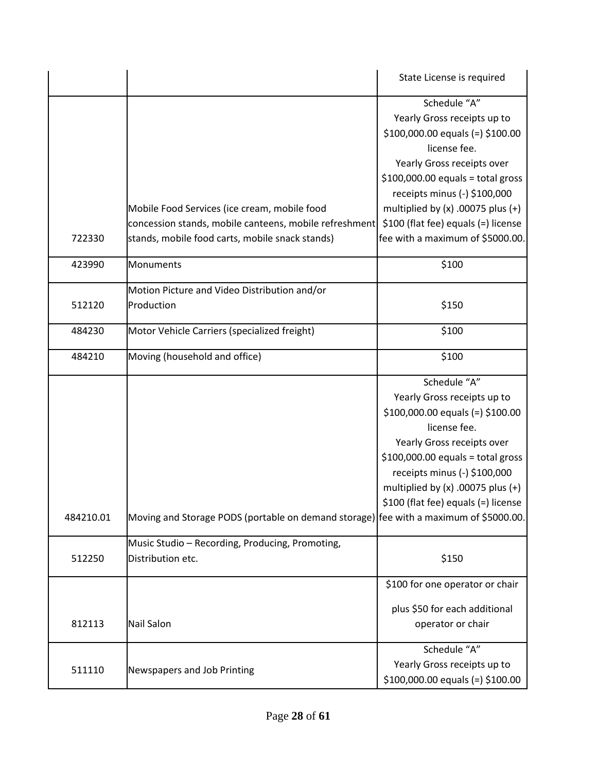|           |                                                                                       | State License is required             |
|-----------|---------------------------------------------------------------------------------------|---------------------------------------|
|           |                                                                                       | Schedule "A"                          |
|           |                                                                                       | Yearly Gross receipts up to           |
|           |                                                                                       | $$100,000.00$ equals (=) $$100.00$    |
|           |                                                                                       | license fee.                          |
|           |                                                                                       | Yearly Gross receipts over            |
|           |                                                                                       | $$100,000.00$ equals = total gross    |
|           |                                                                                       | receipts minus (-) \$100,000          |
|           | Mobile Food Services (ice cream, mobile food                                          | multiplied by $(x)$ .00075 plus $(+)$ |
|           | concession stands, mobile canteens, mobile refreshment                                | \$100 (flat fee) equals (=) license   |
| 722330    | stands, mobile food carts, mobile snack stands)                                       | fee with a maximum of \$5000.00.      |
|           |                                                                                       |                                       |
| 423990    | Monuments                                                                             | \$100                                 |
|           | Motion Picture and Video Distribution and/or                                          |                                       |
| 512120    | Production                                                                            | \$150                                 |
|           |                                                                                       |                                       |
| 484230    | Motor Vehicle Carriers (specialized freight)                                          | \$100                                 |
| 484210    | Moving (household and office)                                                         | \$100                                 |
|           |                                                                                       | Schedule "A"                          |
|           |                                                                                       | Yearly Gross receipts up to           |
|           |                                                                                       | $$100,000.00$ equals (=) $$100.00$    |
|           |                                                                                       | license fee.                          |
|           |                                                                                       | Yearly Gross receipts over            |
|           |                                                                                       | $$100,000.00$ equals = total gross    |
|           |                                                                                       | receipts minus (-) \$100,000          |
|           |                                                                                       | multiplied by $(x)$ .00075 plus $(+)$ |
|           |                                                                                       | \$100 (flat fee) equals (=) license   |
| 484210.01 | Moving and Storage PODS (portable on demand storage) fee with a maximum of \$5000.00. |                                       |
|           | Music Studio - Recording, Producing, Promoting,                                       |                                       |
| 512250    | Distribution etc.                                                                     | \$150                                 |
|           |                                                                                       |                                       |
|           |                                                                                       | \$100 for one operator or chair       |
|           |                                                                                       | plus \$50 for each additional         |
| 812113    | <b>Nail Salon</b>                                                                     | operator or chair                     |
|           |                                                                                       | Schedule "A"                          |
| 511110    | Newspapers and Job Printing                                                           | Yearly Gross receipts up to           |
|           |                                                                                       | $$100,000.00$ equals (=) $$100.00$    |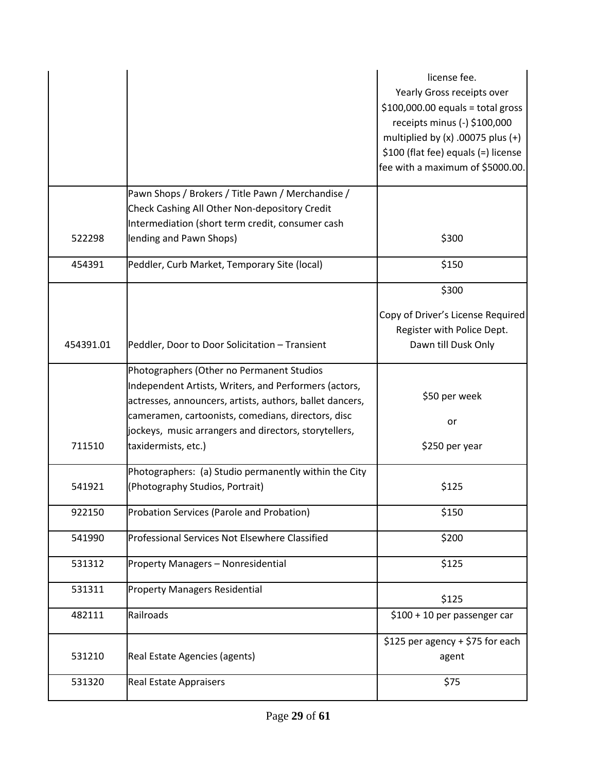|           |                                                                                                                                                                                                                                                                                                      | license fee.<br>Yearly Gross receipts over<br>$$100,000.00$ equals = total gross<br>receipts minus (-) \$100,000<br>multiplied by $(x)$ .00075 plus $(+)$<br>\$100 (flat fee) equals (=) license<br>fee with a maximum of \$5000.00. |
|-----------|------------------------------------------------------------------------------------------------------------------------------------------------------------------------------------------------------------------------------------------------------------------------------------------------------|--------------------------------------------------------------------------------------------------------------------------------------------------------------------------------------------------------------------------------------|
|           | Pawn Shops / Brokers / Title Pawn / Merchandise /<br>Check Cashing All Other Non-depository Credit                                                                                                                                                                                                   |                                                                                                                                                                                                                                      |
|           | Intermediation (short term credit, consumer cash                                                                                                                                                                                                                                                     |                                                                                                                                                                                                                                      |
| 522298    | lending and Pawn Shops)                                                                                                                                                                                                                                                                              | \$300                                                                                                                                                                                                                                |
| 454391    | Peddler, Curb Market, Temporary Site (local)                                                                                                                                                                                                                                                         | \$150                                                                                                                                                                                                                                |
|           |                                                                                                                                                                                                                                                                                                      | \$300                                                                                                                                                                                                                                |
| 454391.01 | Peddler, Door to Door Solicitation - Transient                                                                                                                                                                                                                                                       | Copy of Driver's License Required<br>Register with Police Dept.<br>Dawn till Dusk Only                                                                                                                                               |
| 711510    | Photographers (Other no Permanent Studios<br>Independent Artists, Writers, and Performers (actors,<br>actresses, announcers, artists, authors, ballet dancers,<br>cameramen, cartoonists, comedians, directors, disc<br>jockeys, music arrangers and directors, storytellers,<br>taxidermists, etc.) | \$50 per week<br>or<br>\$250 per year                                                                                                                                                                                                |
| 541921    | Photographers: (a) Studio permanently within the City<br>(Photography Studios, Portrait)                                                                                                                                                                                                             | \$125                                                                                                                                                                                                                                |
| 922150    | Probation Services (Parole and Probation)                                                                                                                                                                                                                                                            | \$150                                                                                                                                                                                                                                |
| 541990    | Professional Services Not Elsewhere Classified                                                                                                                                                                                                                                                       | \$200                                                                                                                                                                                                                                |
| 531312    | Property Managers - Nonresidential                                                                                                                                                                                                                                                                   | \$125                                                                                                                                                                                                                                |
| 531311    | <b>Property Managers Residential</b>                                                                                                                                                                                                                                                                 | \$125                                                                                                                                                                                                                                |
| 482111    | Railroads                                                                                                                                                                                                                                                                                            | \$100 + 10 per passenger car                                                                                                                                                                                                         |
| 531210    | Real Estate Agencies (agents)                                                                                                                                                                                                                                                                        | \$125 per agency + \$75 for each<br>agent                                                                                                                                                                                            |
| 531320    | <b>Real Estate Appraisers</b>                                                                                                                                                                                                                                                                        | \$75                                                                                                                                                                                                                                 |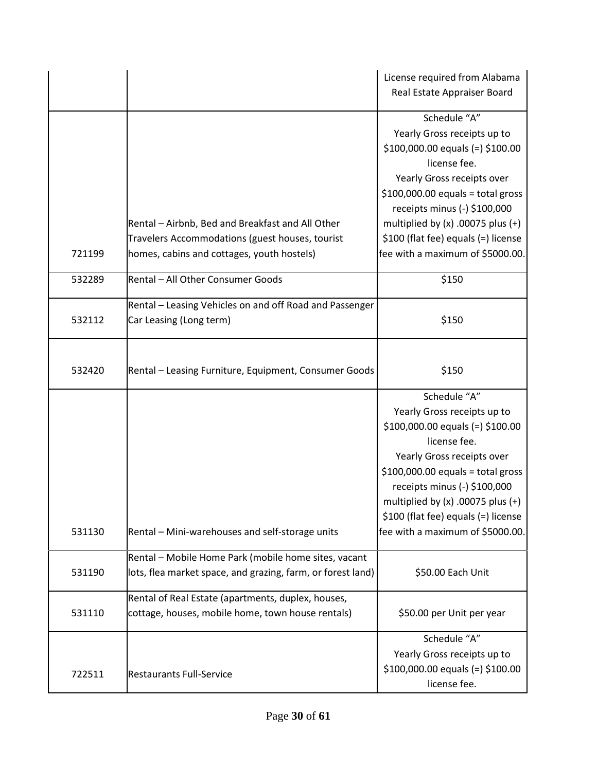|        |                                                                                                                                                   | License required from Alabama<br>Real Estate Appraiser Board                                                                                                                                                                                                                                                              |
|--------|---------------------------------------------------------------------------------------------------------------------------------------------------|---------------------------------------------------------------------------------------------------------------------------------------------------------------------------------------------------------------------------------------------------------------------------------------------------------------------------|
| 721199 | Rental - Airbnb, Bed and Breakfast and All Other<br>Travelers Accommodations (guest houses, tourist<br>homes, cabins and cottages, youth hostels) | Schedule "A"<br>Yearly Gross receipts up to<br>\$100,000.00 equals (=) \$100.00<br>license fee.<br>Yearly Gross receipts over<br>$$100,000.00$ equals = total gross<br>receipts minus (-) \$100,000<br>multiplied by $(x)$ .00075 plus $(+)$<br>\$100 (flat fee) equals (=) license<br>fee with a maximum of \$5000.00.   |
|        |                                                                                                                                                   |                                                                                                                                                                                                                                                                                                                           |
| 532289 | Rental - All Other Consumer Goods                                                                                                                 | \$150                                                                                                                                                                                                                                                                                                                     |
| 532112 | Rental - Leasing Vehicles on and off Road and Passenger<br>Car Leasing (Long term)                                                                | \$150                                                                                                                                                                                                                                                                                                                     |
| 532420 | Rental - Leasing Furniture, Equipment, Consumer Goods                                                                                             | \$150                                                                                                                                                                                                                                                                                                                     |
| 531130 | Rental - Mini-warehouses and self-storage units                                                                                                   | Schedule "A"<br>Yearly Gross receipts up to<br>$$100,000.00$ equals (=) $$100.00$<br>license fee.<br>Yearly Gross receipts over<br>$$100,000.00$ equals = total gross<br>receipts minus (-) \$100,000<br>multiplied by $(x)$ .00075 plus $(+)$<br>\$100 (flat fee) equals (=) license<br>fee with a maximum of \$5000.00. |
| 531190 | Rental - Mobile Home Park (mobile home sites, vacant<br>lots, flea market space, and grazing, farm, or forest land)                               | \$50.00 Each Unit                                                                                                                                                                                                                                                                                                         |
| 531110 | Rental of Real Estate (apartments, duplex, houses,<br>cottage, houses, mobile home, town house rentals)                                           | \$50.00 per Unit per year                                                                                                                                                                                                                                                                                                 |
| 722511 | <b>Restaurants Full-Service</b>                                                                                                                   | Schedule "A"<br>Yearly Gross receipts up to<br>$$100,000.00$ equals (=) $$100.00$<br>license fee.                                                                                                                                                                                                                         |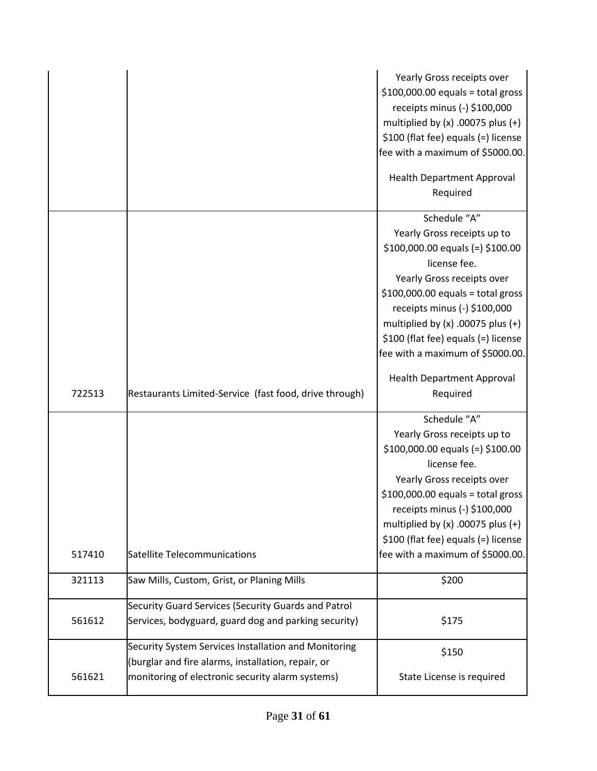|        |                                                                                                                                                                | Yearly Gross receipts over<br>$$100,000.00$ equals = total gross<br>receipts minus (-) \$100,000<br>multiplied by $(x)$ .00075 plus $(+)$<br>\$100 (flat fee) equals (=) license<br>fee with a maximum of \$5000.00.<br><b>Health Department Approval</b><br>Required                                                     |
|--------|----------------------------------------------------------------------------------------------------------------------------------------------------------------|---------------------------------------------------------------------------------------------------------------------------------------------------------------------------------------------------------------------------------------------------------------------------------------------------------------------------|
|        |                                                                                                                                                                | Schedule "A"<br>Yearly Gross receipts up to<br>$$100,000.00$ equals (=) $$100.00$<br>license fee.<br>Yearly Gross receipts over<br>$$100,000.00$ equals = total gross<br>receipts minus (-) \$100,000<br>multiplied by $(x)$ .00075 plus $(+)$<br>\$100 (flat fee) equals (=) license<br>fee with a maximum of \$5000.00. |
| 722513 | Restaurants Limited-Service (fast food, drive through)                                                                                                         | <b>Health Department Approval</b><br>Required                                                                                                                                                                                                                                                                             |
| 517410 | Satellite Telecommunications                                                                                                                                   | Schedule "A"<br>Yearly Gross receipts up to<br>$$100,000.00$ equals (=) $$100.00$<br>license fee.<br>Yearly Gross receipts over<br>$$100,000.00$ equals = total gross<br>receipts minus (-) \$100,000<br>multiplied by $(x)$ .00075 plus $(+)$<br>\$100 (flat fee) equals (=) license<br>fee with a maximum of \$5000.00. |
| 321113 | Saw Mills, Custom, Grist, or Planing Mills                                                                                                                     | \$200                                                                                                                                                                                                                                                                                                                     |
| 561612 | Security Guard Services (Security Guards and Patrol<br>Services, bodyguard, guard dog and parking security)                                                    | \$175                                                                                                                                                                                                                                                                                                                     |
| 561621 | Security System Services Installation and Monitoring<br>(burglar and fire alarms, installation, repair, or<br>monitoring of electronic security alarm systems) | \$150<br>State License is required                                                                                                                                                                                                                                                                                        |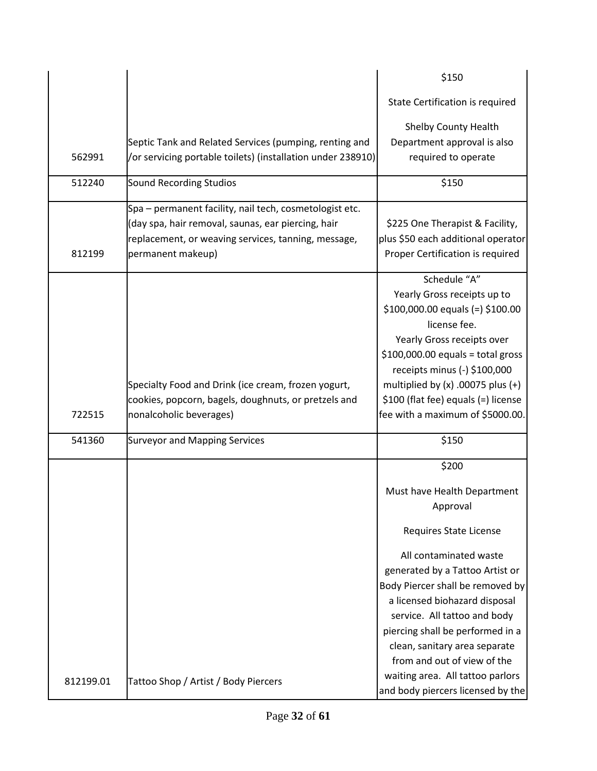|           |                                                             | \$150                                                                 |
|-----------|-------------------------------------------------------------|-----------------------------------------------------------------------|
|           |                                                             | State Certification is required                                       |
|           |                                                             | <b>Shelby County Health</b>                                           |
|           | Septic Tank and Related Services (pumping, renting and      | Department approval is also                                           |
| 562991    | /or servicing portable toilets) (installation under 238910) | required to operate                                                   |
| 512240    | <b>Sound Recording Studios</b>                              | \$150                                                                 |
|           | Spa – permanent facility, nail tech, cosmetologist etc.     |                                                                       |
|           | (day spa, hair removal, saunas, ear piercing, hair          | \$225 One Therapist & Facility,                                       |
|           | replacement, or weaving services, tanning, message,         | plus \$50 each additional operator                                    |
| 812199    | permanent makeup)                                           | Proper Certification is required                                      |
|           |                                                             | Schedule "A"                                                          |
|           |                                                             | Yearly Gross receipts up to                                           |
|           |                                                             | $$100,000.00$ equals (=) $$100.00$                                    |
|           |                                                             | license fee.                                                          |
|           |                                                             | Yearly Gross receipts over                                            |
|           |                                                             | $$100,000.00$ equals = total gross<br>receipts minus (-) \$100,000    |
|           | Specialty Food and Drink (ice cream, frozen yogurt,         | multiplied by $(x)$ .00075 plus $(+)$                                 |
|           | cookies, popcorn, bagels, doughnuts, or pretzels and        | \$100 (flat fee) equals (=) license                                   |
| 722515    | nonalcoholic beverages)                                     | fee with a maximum of \$5000.00.                                      |
| 541360    | <b>Surveyor and Mapping Services</b>                        | \$150                                                                 |
|           |                                                             |                                                                       |
|           |                                                             | \$200                                                                 |
|           |                                                             | Must have Health Department                                           |
|           |                                                             | Approval                                                              |
|           |                                                             | Requires State License                                                |
|           |                                                             | All contaminated waste                                                |
|           |                                                             | generated by a Tattoo Artist or                                       |
|           |                                                             | Body Piercer shall be removed by                                      |
|           |                                                             | a licensed biohazard disposal                                         |
|           |                                                             | service. All tattoo and body                                          |
|           |                                                             | piercing shall be performed in a                                      |
|           |                                                             | clean, sanitary area separate                                         |
|           |                                                             | from and out of view of the                                           |
| 812199.01 | Tattoo Shop / Artist / Body Piercers                        | waiting area. All tattoo parlors<br>and body piercers licensed by the |
|           |                                                             |                                                                       |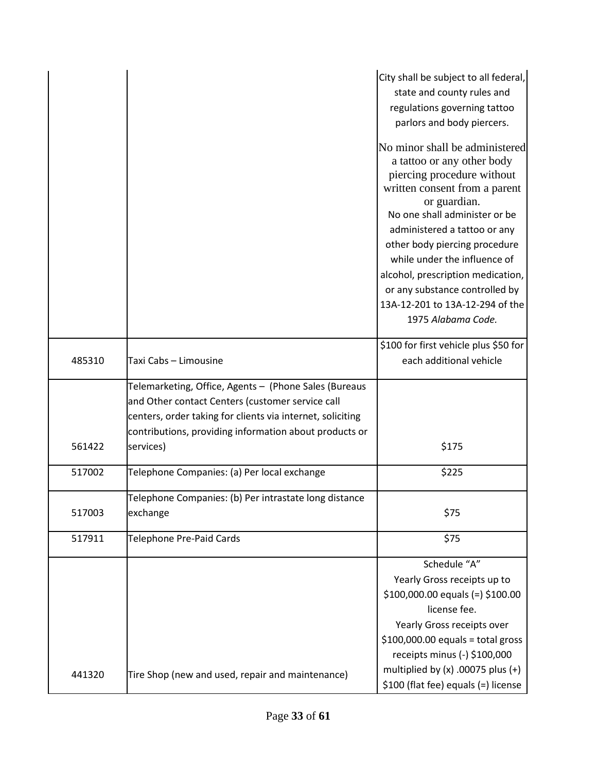|        |                                                                                                                                                                                                                                                | City shall be subject to all federal,<br>state and county rules and<br>regulations governing tattoo<br>parlors and body piercers.                                                                                                                                                                                                                                                                             |
|--------|------------------------------------------------------------------------------------------------------------------------------------------------------------------------------------------------------------------------------------------------|---------------------------------------------------------------------------------------------------------------------------------------------------------------------------------------------------------------------------------------------------------------------------------------------------------------------------------------------------------------------------------------------------------------|
|        |                                                                                                                                                                                                                                                | No minor shall be administered<br>a tattoo or any other body<br>piercing procedure without<br>written consent from a parent<br>or guardian.<br>No one shall administer or be<br>administered a tattoo or any<br>other body piercing procedure<br>while under the influence of<br>alcohol, prescription medication,<br>or any substance controlled by<br>13A-12-201 to 13A-12-294 of the<br>1975 Alabama Code. |
| 485310 | Taxi Cabs - Limousine                                                                                                                                                                                                                          | \$100 for first vehicle plus \$50 for<br>each additional vehicle                                                                                                                                                                                                                                                                                                                                              |
| 561422 | Telemarketing, Office, Agents - (Phone Sales (Bureaus<br>and Other contact Centers (customer service call<br>centers, order taking for clients via internet, soliciting<br>contributions, providing information about products or<br>services) | \$175                                                                                                                                                                                                                                                                                                                                                                                                         |
| 517002 | Telephone Companies: (a) Per local exchange                                                                                                                                                                                                    | \$225                                                                                                                                                                                                                                                                                                                                                                                                         |
| 517003 | Telephone Companies: (b) Per intrastate long distance<br>exchange                                                                                                                                                                              | \$75                                                                                                                                                                                                                                                                                                                                                                                                          |
| 517911 | Telephone Pre-Paid Cards                                                                                                                                                                                                                       | \$75                                                                                                                                                                                                                                                                                                                                                                                                          |
|        |                                                                                                                                                                                                                                                | Schedule "A"<br>Yearly Gross receipts up to<br>$$100,000.00$ equals (=) $$100.00$<br>license fee.<br>Yearly Gross receipts over<br>$$100,000.00$ equals = total gross<br>receipts minus (-) \$100,000                                                                                                                                                                                                         |
| 441320 | Tire Shop (new and used, repair and maintenance)                                                                                                                                                                                               | multiplied by $(x)$ .00075 plus $(+)$<br>\$100 (flat fee) equals (=) license                                                                                                                                                                                                                                                                                                                                  |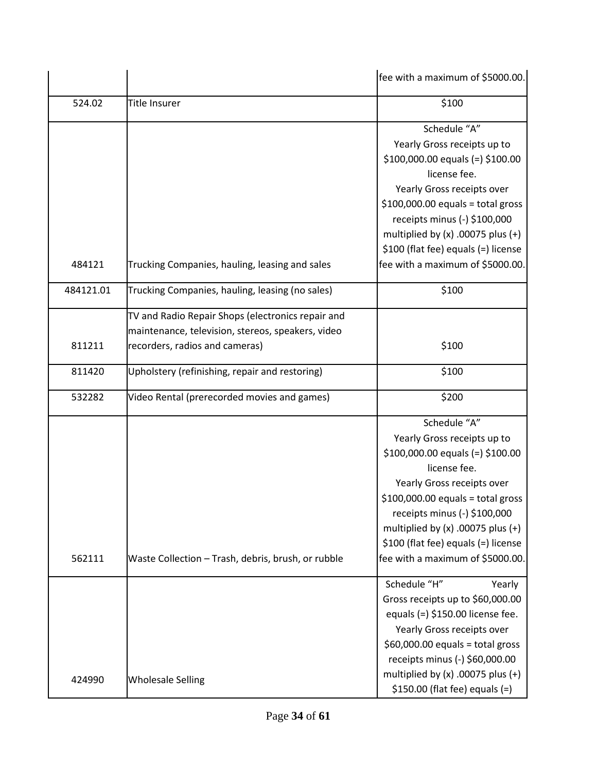|           |                                                                                                                                          | fee with a maximum of \$5000.00.                                                                                                                                                                                                                                                                                          |
|-----------|------------------------------------------------------------------------------------------------------------------------------------------|---------------------------------------------------------------------------------------------------------------------------------------------------------------------------------------------------------------------------------------------------------------------------------------------------------------------------|
| 524.02    | Title Insurer                                                                                                                            | \$100                                                                                                                                                                                                                                                                                                                     |
| 484121    | Trucking Companies, hauling, leasing and sales                                                                                           | Schedule "A"<br>Yearly Gross receipts up to<br>$$100,000.00$ equals (=) $$100.00$<br>license fee.<br>Yearly Gross receipts over<br>$$100,000.00$ equals = total gross<br>receipts minus (-) \$100,000<br>multiplied by $(x)$ .00075 plus $(+)$<br>\$100 (flat fee) equals (=) license<br>fee with a maximum of \$5000.00. |
| 484121.01 | Trucking Companies, hauling, leasing (no sales)                                                                                          | \$100                                                                                                                                                                                                                                                                                                                     |
| 811211    | TV and Radio Repair Shops (electronics repair and<br>maintenance, television, stereos, speakers, video<br>recorders, radios and cameras) | \$100                                                                                                                                                                                                                                                                                                                     |
| 811420    | Upholstery (refinishing, repair and restoring)                                                                                           | \$100                                                                                                                                                                                                                                                                                                                     |
| 532282    | Video Rental (prerecorded movies and games)                                                                                              | \$200                                                                                                                                                                                                                                                                                                                     |
| 562111    | Waste Collection - Trash, debris, brush, or rubble                                                                                       | Schedule "A"<br>Yearly Gross receipts up to<br>$$100,000.00$ equals (=) $$100.00$<br>license fee.<br>Yearly Gross receipts over<br>$$100,000.00$ equals = total gross<br>receipts minus (-) \$100,000<br>multiplied by $(x)$ .00075 plus $(+)$<br>\$100 (flat fee) equals (=) license<br>fee with a maximum of \$5000.00. |
| 424990    | <b>Wholesale Selling</b>                                                                                                                 | Schedule "H"<br>Yearly<br>Gross receipts up to \$60,000.00<br>equals $(=)$ \$150.00 license fee.<br>Yearly Gross receipts over<br>$$60,000.00$ equals = total gross<br>receipts minus (-) \$60,000.00<br>multiplied by $(x)$ .00075 plus $(+)$<br>$$150.00$ (flat fee) equals (=)                                         |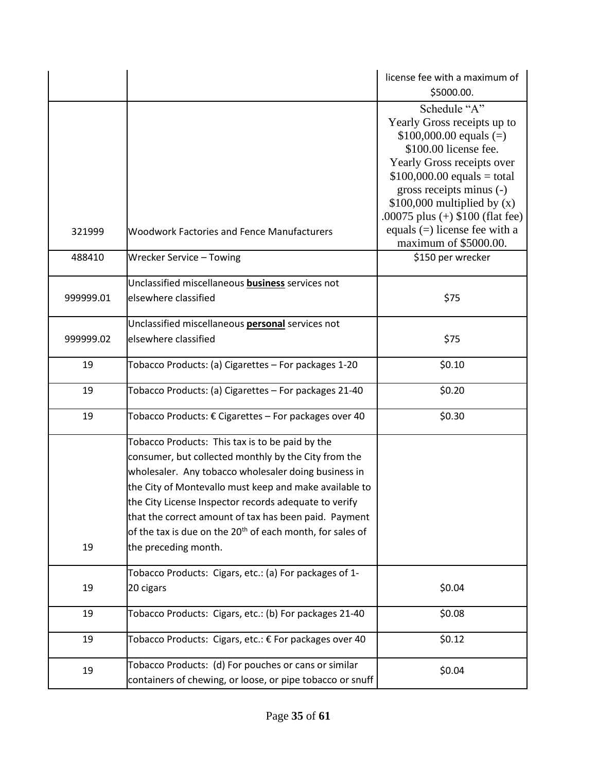|           |                                                                                                                                                                                                                                                                                                                                                                                                                                              | license fee with a maximum of<br>\$5000.00.                                                                                                                                                                                                                                                         |
|-----------|----------------------------------------------------------------------------------------------------------------------------------------------------------------------------------------------------------------------------------------------------------------------------------------------------------------------------------------------------------------------------------------------------------------------------------------------|-----------------------------------------------------------------------------------------------------------------------------------------------------------------------------------------------------------------------------------------------------------------------------------------------------|
| 321999    | <b>Woodwork Factories and Fence Manufacturers</b>                                                                                                                                                                                                                                                                                                                                                                                            | Schedule "A"<br>Yearly Gross receipts up to<br>$$100,000.00$ equals (=)<br>\$100.00 license fee.<br>Yearly Gross receipts over<br>$$100,000.00$ equals = total<br>gross receipts minus (-)<br>$$100,000$ multiplied by (x)<br>.00075 plus $(+)$ \$100 (flat fee)<br>equals $(=)$ license fee with a |
| 488410    | Wrecker Service - Towing                                                                                                                                                                                                                                                                                                                                                                                                                     | maximum of \$5000.00.<br>\$150 per wrecker                                                                                                                                                                                                                                                          |
| 999999.01 | Unclassified miscellaneous <b>business</b> services not<br>elsewhere classified                                                                                                                                                                                                                                                                                                                                                              | \$75                                                                                                                                                                                                                                                                                                |
| 999999.02 | Unclassified miscellaneous <b>personal</b> services not<br>elsewhere classified                                                                                                                                                                                                                                                                                                                                                              | \$75                                                                                                                                                                                                                                                                                                |
| 19        | Tobacco Products: (a) Cigarettes - For packages 1-20                                                                                                                                                                                                                                                                                                                                                                                         | \$0.10                                                                                                                                                                                                                                                                                              |
| 19        | Tobacco Products: (a) Cigarettes - For packages 21-40                                                                                                                                                                                                                                                                                                                                                                                        | \$0.20                                                                                                                                                                                                                                                                                              |
| 19        | Tobacco Products: € Cigarettes - For packages over 40                                                                                                                                                                                                                                                                                                                                                                                        | \$0.30                                                                                                                                                                                                                                                                                              |
| 19        | Tobacco Products: This tax is to be paid by the<br>consumer, but collected monthly by the City from the<br>wholesaler. Any tobacco wholesaler doing business in<br>the City of Montevallo must keep and make available to<br>the City License Inspector records adequate to verify<br>that the correct amount of tax has been paid. Payment<br>of the tax is due on the 20 <sup>th</sup> of each month, for sales of<br>the preceding month. |                                                                                                                                                                                                                                                                                                     |
| 19        | Tobacco Products: Cigars, etc.: (a) For packages of 1-<br>20 cigars                                                                                                                                                                                                                                                                                                                                                                          | \$0.04                                                                                                                                                                                                                                                                                              |
| 19        | Tobacco Products: Cigars, etc.: (b) For packages 21-40                                                                                                                                                                                                                                                                                                                                                                                       | \$0.08                                                                                                                                                                                                                                                                                              |
| 19        | Tobacco Products: Cigars, etc.: € For packages over 40                                                                                                                                                                                                                                                                                                                                                                                       | \$0.12                                                                                                                                                                                                                                                                                              |
| 19        | Tobacco Products: (d) For pouches or cans or similar<br>containers of chewing, or loose, or pipe tobacco or snuff                                                                                                                                                                                                                                                                                                                            | \$0.04                                                                                                                                                                                                                                                                                              |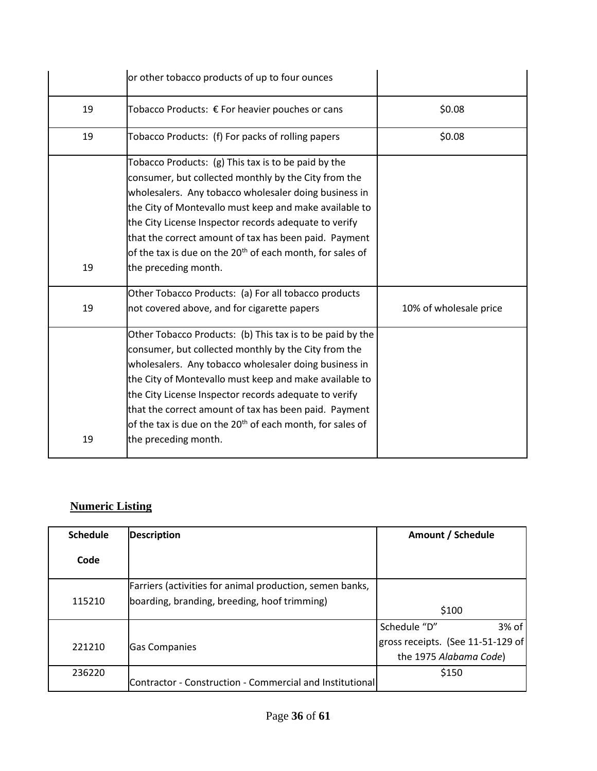|    | or other tobacco products of up to four ounces                                                                                                                                                                                                                                                                                                                                                                                                          |                        |
|----|---------------------------------------------------------------------------------------------------------------------------------------------------------------------------------------------------------------------------------------------------------------------------------------------------------------------------------------------------------------------------------------------------------------------------------------------------------|------------------------|
| 19 | Tobacco Products: € For heavier pouches or cans                                                                                                                                                                                                                                                                                                                                                                                                         | \$0.08                 |
| 19 | Tobacco Products: (f) For packs of rolling papers                                                                                                                                                                                                                                                                                                                                                                                                       | \$0.08                 |
| 19 | Tobacco Products: (g) This tax is to be paid by the<br>consumer, but collected monthly by the City from the<br>wholesalers. Any tobacco wholesaler doing business in<br>the City of Montevallo must keep and make available to<br>the City License Inspector records adequate to verify<br>that the correct amount of tax has been paid. Payment<br>of the tax is due on the 20 <sup>th</sup> of each month, for sales of<br>the preceding month.       |                        |
| 19 | Other Tobacco Products: (a) For all tobacco products<br>not covered above, and for cigarette papers                                                                                                                                                                                                                                                                                                                                                     | 10% of wholesale price |
| 19 | Other Tobacco Products: (b) This tax is to be paid by the<br>consumer, but collected monthly by the City from the<br>wholesalers. Any tobacco wholesaler doing business in<br>the City of Montevallo must keep and make available to<br>the City License Inspector records adequate to verify<br>that the correct amount of tax has been paid. Payment<br>of the tax is due on the 20 <sup>th</sup> of each month, for sales of<br>the preceding month. |                        |

# **Numeric Listing**

| <b>Schedule</b> | <b>Description</b>                                       | Amount / Schedule                 |
|-----------------|----------------------------------------------------------|-----------------------------------|
| Code            |                                                          |                                   |
|                 | Farriers (activities for animal production, semen banks, |                                   |
| 115210          | boarding, branding, breeding, hoof trimming)             | \$100                             |
|                 |                                                          | $3%$ of<br>Schedule "D"           |
| 221210          | <b>Gas Companies</b>                                     | gross receipts. (See 11-51-129 of |
|                 |                                                          | the 1975 Alabama Code)            |
| 236220          | Contractor - Construction - Commercial and Institutional | \$150                             |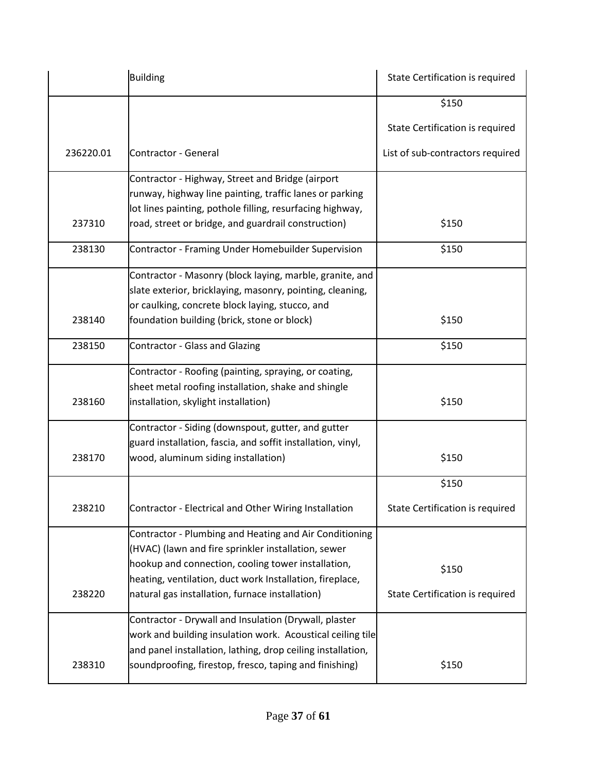|           | <b>Building</b>                                             | State Certification is required  |
|-----------|-------------------------------------------------------------|----------------------------------|
|           |                                                             | \$150                            |
|           |                                                             | State Certification is required  |
| 236220.01 | Contractor - General                                        | List of sub-contractors required |
|           | Contractor - Highway, Street and Bridge (airport            |                                  |
|           | runway, highway line painting, traffic lanes or parking     |                                  |
|           | lot lines painting, pothole filling, resurfacing highway,   |                                  |
| 237310    | road, street or bridge, and guardrail construction)         | \$150                            |
| 238130    | Contractor - Framing Under Homebuilder Supervision          | \$150                            |
|           | Contractor - Masonry (block laying, marble, granite, and    |                                  |
|           | slate exterior, bricklaying, masonry, pointing, cleaning,   |                                  |
|           | or caulking, concrete block laying, stucco, and             |                                  |
| 238140    | foundation building (brick, stone or block)                 | \$150                            |
| 238150    | <b>Contractor - Glass and Glazing</b>                       | \$150                            |
|           | Contractor - Roofing (painting, spraying, or coating,       |                                  |
|           | sheet metal roofing installation, shake and shingle         |                                  |
| 238160    | installation, skylight installation)                        | \$150                            |
|           | Contractor - Siding (downspout, gutter, and gutter          |                                  |
|           | guard installation, fascia, and soffit installation, vinyl, |                                  |
| 238170    | wood, aluminum siding installation)                         | \$150                            |
|           |                                                             | \$150                            |
| 238210    | Contractor - Electrical and Other Wiring Installation       | State Certification is required  |
|           | Contractor - Plumbing and Heating and Air Conditioning      |                                  |
|           | (HVAC) (lawn and fire sprinkler installation, sewer         |                                  |
|           | hookup and connection, cooling tower installation,          | \$150                            |
|           | heating, ventilation, duct work Installation, fireplace,    |                                  |
| 238220    | natural gas installation, furnace installation)             | State Certification is required  |
|           | Contractor - Drywall and Insulation (Drywall, plaster       |                                  |
|           | work and building insulation work. Acoustical ceiling tile  |                                  |
|           | and panel installation, lathing, drop ceiling installation, |                                  |
| 238310    | soundproofing, firestop, fresco, taping and finishing)      | \$150                            |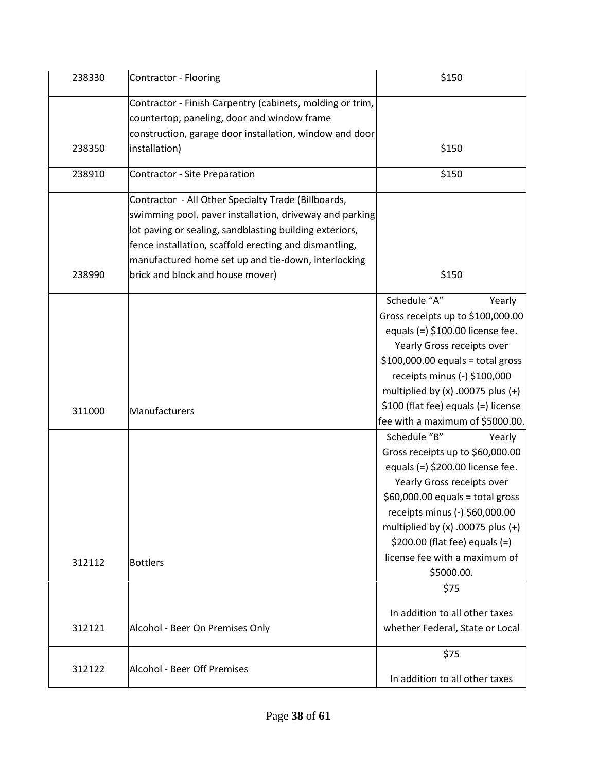| 238330 | Contractor - Flooring                                                                                    | \$150                                 |
|--------|----------------------------------------------------------------------------------------------------------|---------------------------------------|
|        | Contractor - Finish Carpentry (cabinets, molding or trim,<br>countertop, paneling, door and window frame |                                       |
|        | construction, garage door installation, window and door                                                  |                                       |
| 238350 | installation)                                                                                            | \$150                                 |
| 238910 | Contractor - Site Preparation                                                                            | \$150                                 |
|        | Contractor - All Other Specialty Trade (Billboards,                                                      |                                       |
|        | swimming pool, paver installation, driveway and parking                                                  |                                       |
|        | lot paving or sealing, sandblasting building exteriors,                                                  |                                       |
|        | fence installation, scaffold erecting and dismantling,                                                   |                                       |
|        | manufactured home set up and tie-down, interlocking                                                      |                                       |
| 238990 | brick and block and house mover)                                                                         | \$150                                 |
|        |                                                                                                          | Schedule "A"<br>Yearly                |
|        |                                                                                                          | Gross receipts up to \$100,000.00     |
|        |                                                                                                          | equals $(=)$ \$100.00 license fee.    |
|        |                                                                                                          | Yearly Gross receipts over            |
|        |                                                                                                          | $$100,000.00$ equals = total gross    |
|        |                                                                                                          | receipts minus (-) \$100,000          |
|        |                                                                                                          | multiplied by $(x)$ .00075 plus $(+)$ |
| 311000 | Manufacturers                                                                                            | \$100 (flat fee) equals (=) license   |
|        |                                                                                                          | fee with a maximum of \$5000.00.      |
|        |                                                                                                          | Schedule "B"<br>Yearly                |
|        |                                                                                                          | Gross receipts up to \$60,000.00      |
|        |                                                                                                          | equals $(=)$ \$200.00 license fee.    |
|        |                                                                                                          | Yearly Gross receipts over            |
|        |                                                                                                          | $$60,000.00$ equals = total gross     |
|        |                                                                                                          | receipts minus (-) \$60,000.00        |
|        |                                                                                                          | multiplied by $(x)$ .00075 plus $(+)$ |
|        |                                                                                                          | $$200.00$ (flat fee) equals (=)       |
|        |                                                                                                          | license fee with a maximum of         |
| 312112 | <b>Bottlers</b>                                                                                          | \$5000.00.                            |
|        |                                                                                                          | \$75                                  |
|        |                                                                                                          |                                       |
|        |                                                                                                          | In addition to all other taxes        |
| 312121 | Alcohol - Beer On Premises Only                                                                          | whether Federal, State or Local       |
|        |                                                                                                          | \$75                                  |
| 312122 | <b>Alcohol - Beer Off Premises</b>                                                                       |                                       |
|        |                                                                                                          | In addition to all other taxes        |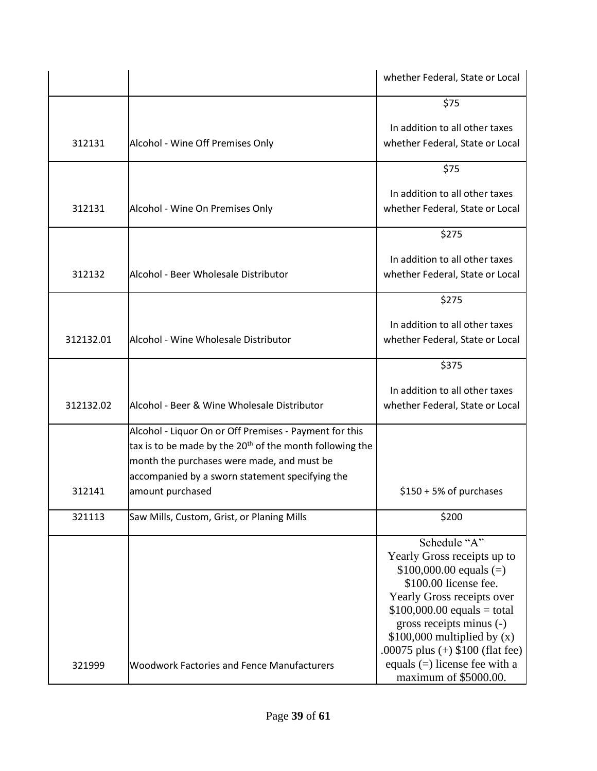|           |                                                                                                                                                                                                                                 | whether Federal, State or Local                                                                                                                                                                                                                                  |
|-----------|---------------------------------------------------------------------------------------------------------------------------------------------------------------------------------------------------------------------------------|------------------------------------------------------------------------------------------------------------------------------------------------------------------------------------------------------------------------------------------------------------------|
|           |                                                                                                                                                                                                                                 | \$75                                                                                                                                                                                                                                                             |
| 312131    | Alcohol - Wine Off Premises Only                                                                                                                                                                                                | In addition to all other taxes<br>whether Federal, State or Local                                                                                                                                                                                                |
|           |                                                                                                                                                                                                                                 | \$75                                                                                                                                                                                                                                                             |
| 312131    | Alcohol - Wine On Premises Only                                                                                                                                                                                                 | In addition to all other taxes<br>whether Federal, State or Local                                                                                                                                                                                                |
|           |                                                                                                                                                                                                                                 | \$275                                                                                                                                                                                                                                                            |
| 312132    | Alcohol - Beer Wholesale Distributor                                                                                                                                                                                            | In addition to all other taxes<br>whether Federal, State or Local                                                                                                                                                                                                |
|           |                                                                                                                                                                                                                                 | \$275                                                                                                                                                                                                                                                            |
| 312132.01 | Alcohol - Wine Wholesale Distributor                                                                                                                                                                                            | In addition to all other taxes<br>whether Federal, State or Local                                                                                                                                                                                                |
|           |                                                                                                                                                                                                                                 | \$375                                                                                                                                                                                                                                                            |
| 312132.02 | Alcohol - Beer & Wine Wholesale Distributor                                                                                                                                                                                     | In addition to all other taxes<br>whether Federal, State or Local                                                                                                                                                                                                |
|           | Alcohol - Liquor On or Off Premises - Payment for this<br>tax is to be made by the 20 <sup>th</sup> of the month following the<br>month the purchases were made, and must be<br>accompanied by a sworn statement specifying the |                                                                                                                                                                                                                                                                  |
| 312141    | amount purchased                                                                                                                                                                                                                | $$150 + 5\%$ of purchases                                                                                                                                                                                                                                        |
| 321113    | Saw Mills, Custom, Grist, or Planing Mills                                                                                                                                                                                      | \$200                                                                                                                                                                                                                                                            |
|           |                                                                                                                                                                                                                                 | Schedule "A"<br>Yearly Gross receipts up to<br>$$100,000.00$ equals (=)<br>\$100.00 license fee.<br>Yearly Gross receipts over<br>$$100,000.00$ equals = total<br>gross receipts minus (-)<br>$$100,000$ multiplied by (x)<br>.00075 plus $(+)$ \$100 (flat fee) |
| 321999    | <b>Woodwork Factories and Fence Manufacturers</b>                                                                                                                                                                               | equals $(=)$ license fee with a<br>maximum of \$5000.00.                                                                                                                                                                                                         |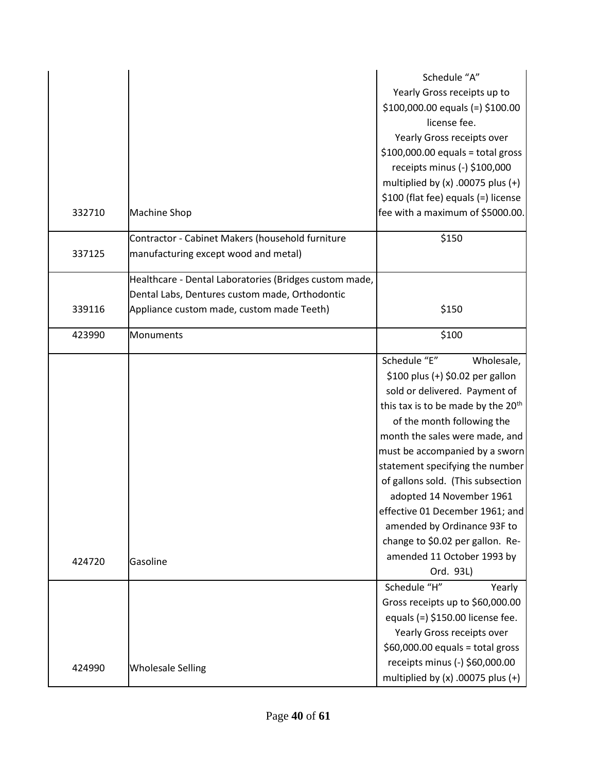|        |                                                                                          | Schedule "A"<br>Yearly Gross receipts up to<br>$$100,000.00$ equals (=) $$100.00$<br>license fee.<br>Yearly Gross receipts over<br>$$100,000.00$ equals = total gross<br>receipts minus (-) \$100,000<br>multiplied by $(x)$ .00075 plus $(+)$<br>\$100 (flat fee) equals (=) license                                                                                                                                                                                                       |
|--------|------------------------------------------------------------------------------------------|---------------------------------------------------------------------------------------------------------------------------------------------------------------------------------------------------------------------------------------------------------------------------------------------------------------------------------------------------------------------------------------------------------------------------------------------------------------------------------------------|
| 332710 | <b>Machine Shop</b>                                                                      | fee with a maximum of \$5000.00.                                                                                                                                                                                                                                                                                                                                                                                                                                                            |
| 337125 | Contractor - Cabinet Makers (household furniture<br>manufacturing except wood and metal) | \$150                                                                                                                                                                                                                                                                                                                                                                                                                                                                                       |
|        | Healthcare - Dental Laboratories (Bridges custom made,                                   |                                                                                                                                                                                                                                                                                                                                                                                                                                                                                             |
|        | Dental Labs, Dentures custom made, Orthodontic                                           |                                                                                                                                                                                                                                                                                                                                                                                                                                                                                             |
| 339116 | Appliance custom made, custom made Teeth)                                                | \$150                                                                                                                                                                                                                                                                                                                                                                                                                                                                                       |
| 423990 | Monuments                                                                                | \$100                                                                                                                                                                                                                                                                                                                                                                                                                                                                                       |
| 424720 | Gasoline                                                                                 | Schedule "E"<br>Wholesale,<br>\$100 plus (+) \$0.02 per gallon<br>sold or delivered. Payment of<br>this tax is to be made by the 20 <sup>th</sup><br>of the month following the<br>month the sales were made, and<br>must be accompanied by a sworn<br>statement specifying the number<br>of gallons sold. (This subsection<br>adopted 14 November 1961<br>effective 01 December 1961; and<br>amended by Ordinance 93F to<br>change to \$0.02 per gallon. Re-<br>amended 11 October 1993 by |
|        |                                                                                          | Ord. 93L)<br>Schedule "H"<br>Yearly                                                                                                                                                                                                                                                                                                                                                                                                                                                         |
|        |                                                                                          | Gross receipts up to \$60,000.00<br>equals $(=)$ \$150.00 license fee.<br>Yearly Gross receipts over<br>$$60,000.00$ equals = total gross                                                                                                                                                                                                                                                                                                                                                   |
| 424990 | <b>Wholesale Selling</b>                                                                 | receipts minus (-) \$60,000.00<br>multiplied by $(x)$ .00075 plus $(+)$                                                                                                                                                                                                                                                                                                                                                                                                                     |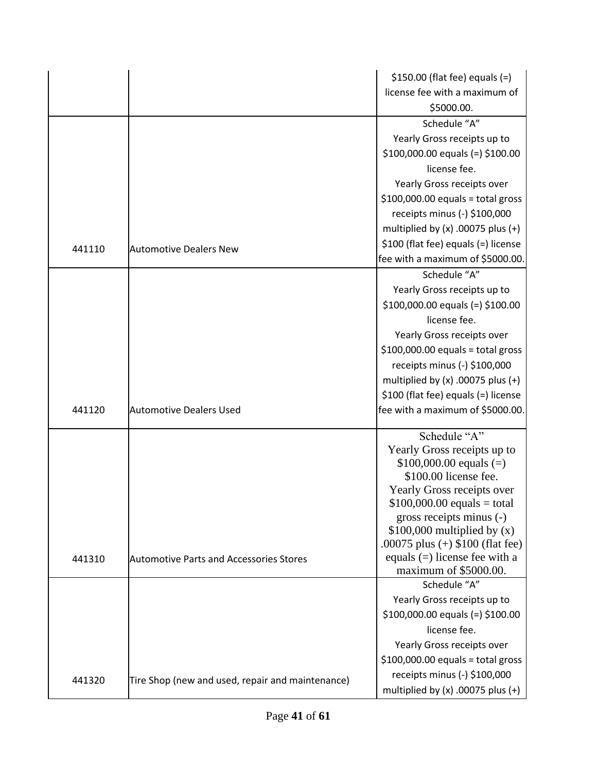|        |                                                  | $$150.00$ (flat fee) equals (=)                          |
|--------|--------------------------------------------------|----------------------------------------------------------|
|        |                                                  | license fee with a maximum of                            |
|        |                                                  | \$5000.00.                                               |
|        |                                                  | Schedule "A"                                             |
|        |                                                  | Yearly Gross receipts up to                              |
|        |                                                  | $$100,000.00$ equals (=) $$100.00$                       |
|        |                                                  | license fee.                                             |
|        |                                                  | Yearly Gross receipts over                               |
|        |                                                  | $$100,000.00$ equals = total gross                       |
|        |                                                  | receipts minus (-) \$100,000                             |
|        |                                                  | multiplied by $(x)$ .00075 plus $(+)$                    |
| 441110 | <b>Automotive Dealers New</b>                    | \$100 (flat fee) equals (=) license                      |
|        |                                                  | fee with a maximum of \$5000.00.                         |
|        |                                                  | Schedule "A"                                             |
|        |                                                  | Yearly Gross receipts up to                              |
|        |                                                  | $$100,000.00$ equals (=) $$100.00$                       |
|        |                                                  | license fee.                                             |
|        |                                                  | Yearly Gross receipts over                               |
|        |                                                  | $$100,000.00$ equals = total gross                       |
|        |                                                  | receipts minus (-) \$100,000                             |
|        |                                                  | multiplied by $(x)$ .00075 plus $(+)$                    |
|        |                                                  | \$100 (flat fee) equals (=) license                      |
| 441120 | <b>Automotive Dealers Used</b>                   | fee with a maximum of \$5000.00.                         |
|        |                                                  | Schedule "A"                                             |
|        |                                                  | Yearly Gross receipts up to                              |
|        |                                                  | $$100,000.00$ equals (=)                                 |
|        |                                                  | \$100.00 license fee.                                    |
|        |                                                  | Yearly Gross receipts over                               |
|        |                                                  | $$100,000.00$ equals = total<br>gross receipts minus (-) |
|        |                                                  | $$100,000$ multiplied by (x)                             |
|        |                                                  | .00075 plus $(+)$ \$100 (flat fee)                       |
| 441310 | <b>Automotive Parts and Accessories Stores</b>   | equals $(=)$ license fee with a                          |
|        |                                                  | maximum of \$5000.00.                                    |
|        |                                                  | Schedule "A"                                             |
|        |                                                  | Yearly Gross receipts up to                              |
|        |                                                  | $$100,000.00$ equals (=) $$100.00$                       |
|        |                                                  | license fee.                                             |
|        |                                                  | Yearly Gross receipts over                               |
|        |                                                  | $$100,000.00$ equals = total gross                       |
| 441320 | Tire Shop (new and used, repair and maintenance) | receipts minus (-) \$100,000                             |
|        |                                                  | multiplied by $(x)$ .00075 plus $(+)$                    |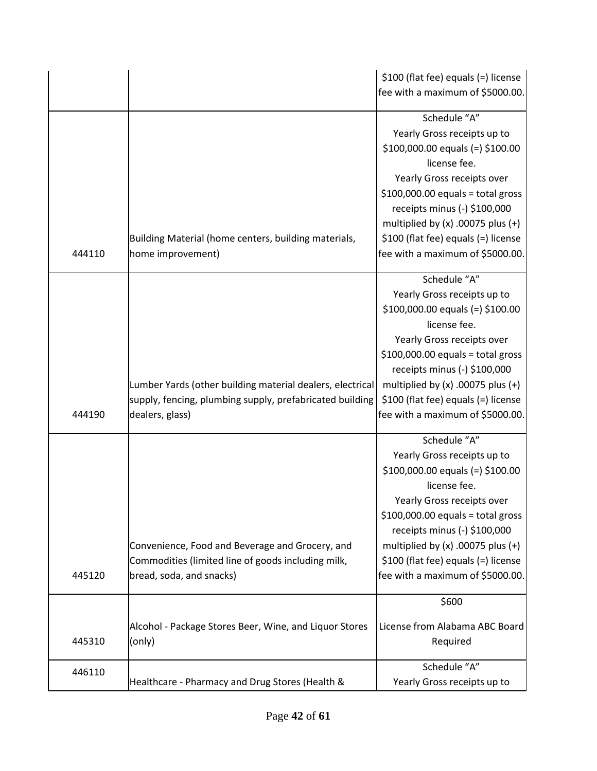|        |                                                                                                                                          | \$100 (flat fee) equals (=) license<br>fee with a maximum of \$5000.00.                                                                                                                                                                                                                                                   |
|--------|------------------------------------------------------------------------------------------------------------------------------------------|---------------------------------------------------------------------------------------------------------------------------------------------------------------------------------------------------------------------------------------------------------------------------------------------------------------------------|
| 444110 | Building Material (home centers, building materials,<br>home improvement)                                                                | Schedule "A"<br>Yearly Gross receipts up to<br>$$100,000.00$ equals (=) $$100.00$<br>license fee.<br>Yearly Gross receipts over<br>$$100,000.00$ equals = total gross<br>receipts minus (-) \$100,000<br>multiplied by $(x)$ .00075 plus $(+)$<br>\$100 (flat fee) equals (=) license<br>fee with a maximum of \$5000.00. |
| 444190 | Lumber Yards (other building material dealers, electrical<br>supply, fencing, plumbing supply, prefabricated building<br>dealers, glass) | Schedule "A"<br>Yearly Gross receipts up to<br>$$100,000.00$ equals (=) $$100.00$<br>license fee.<br>Yearly Gross receipts over<br>$$100,000.00$ equals = total gross<br>receipts minus (-) \$100,000<br>multiplied by $(x)$ .00075 plus $(+)$<br>\$100 (flat fee) equals (=) license<br>fee with a maximum of \$5000.00. |
| 445120 | Convenience, Food and Beverage and Grocery, and<br>Commodities (limited line of goods including milk,<br>bread, soda, and snacks)        | Schedule "A"<br>Yearly Gross receipts up to<br>$$100,000.00$ equals (=) $$100.00$<br>license fee.<br>Yearly Gross receipts over<br>$$100,000.00$ equals = total gross<br>receipts minus (-) \$100,000<br>multiplied by $(x)$ .00075 plus $(+)$<br>\$100 (flat fee) equals (=) license<br>fee with a maximum of \$5000.00. |
|        |                                                                                                                                          | \$600                                                                                                                                                                                                                                                                                                                     |
| 445310 | Alcohol - Package Stores Beer, Wine, and Liquor Stores<br>(only)                                                                         | License from Alabama ABC Board<br>Required                                                                                                                                                                                                                                                                                |
| 446110 | Healthcare - Pharmacy and Drug Stores (Health &                                                                                          | Schedule "A"<br>Yearly Gross receipts up to                                                                                                                                                                                                                                                                               |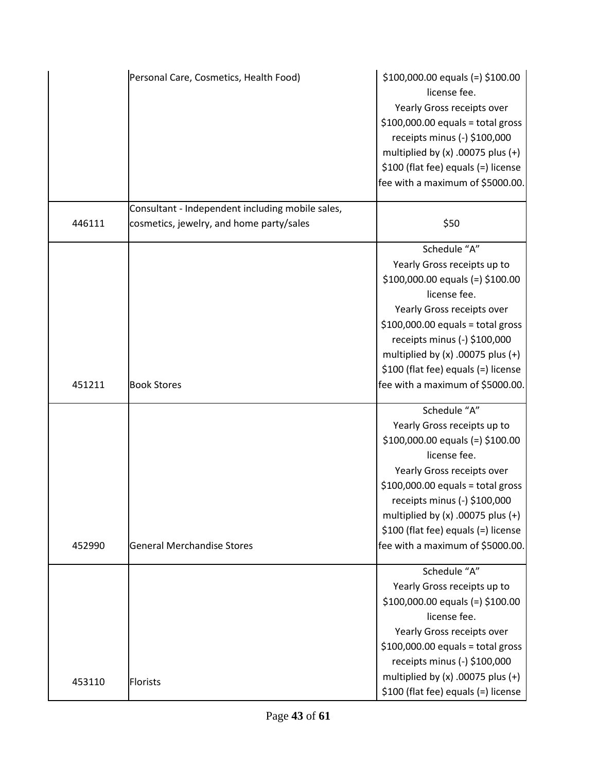|        | Personal Care, Cosmetics, Health Food)           | $$100,000.00$ equals (=) $$100.00$<br>license fee.<br>Yearly Gross receipts over<br>$$100,000.00$ equals = total gross<br>receipts minus (-) \$100,000<br>multiplied by $(x)$ .00075 plus $(+)$<br>\$100 (flat fee) equals (=) license<br>fee with a maximum of \$5000.00.                                                |
|--------|--------------------------------------------------|---------------------------------------------------------------------------------------------------------------------------------------------------------------------------------------------------------------------------------------------------------------------------------------------------------------------------|
|        | Consultant - Independent including mobile sales, |                                                                                                                                                                                                                                                                                                                           |
| 446111 | cosmetics, jewelry, and home party/sales         | \$50                                                                                                                                                                                                                                                                                                                      |
| 451211 | <b>Book Stores</b>                               | Schedule "A"<br>Yearly Gross receipts up to<br>$$100,000.00$ equals (=) $$100.00$<br>license fee.<br>Yearly Gross receipts over<br>$$100,000.00$ equals = total gross<br>receipts minus (-) \$100,000<br>multiplied by $(x)$ .00075 plus $(+)$<br>\$100 (flat fee) equals (=) license<br>fee with a maximum of \$5000.00. |
|        |                                                  | Schedule "A"                                                                                                                                                                                                                                                                                                              |
| 452990 | <b>General Merchandise Stores</b>                | Yearly Gross receipts up to<br>$$100,000.00$ equals (=) $$100.00$<br>license fee.<br>Yearly Gross receipts over<br>$$100,000.00$ equals = total gross<br>receipts minus (-) \$100,000<br>multiplied by $(x)$ .00075 plus $(+)$<br>\$100 (flat fee) equals (=) license<br>fee with a maximum of \$5000.00.                 |
| 453110 | <b>Florists</b>                                  | Schedule "A"<br>Yearly Gross receipts up to<br>$$100,000.00$ equals (=) $$100.00$<br>license fee.<br>Yearly Gross receipts over<br>$$100,000.00$ equals = total gross<br>receipts minus (-) \$100,000<br>multiplied by $(x)$ .00075 plus $(+)$<br>\$100 (flat fee) equals (=) license                                     |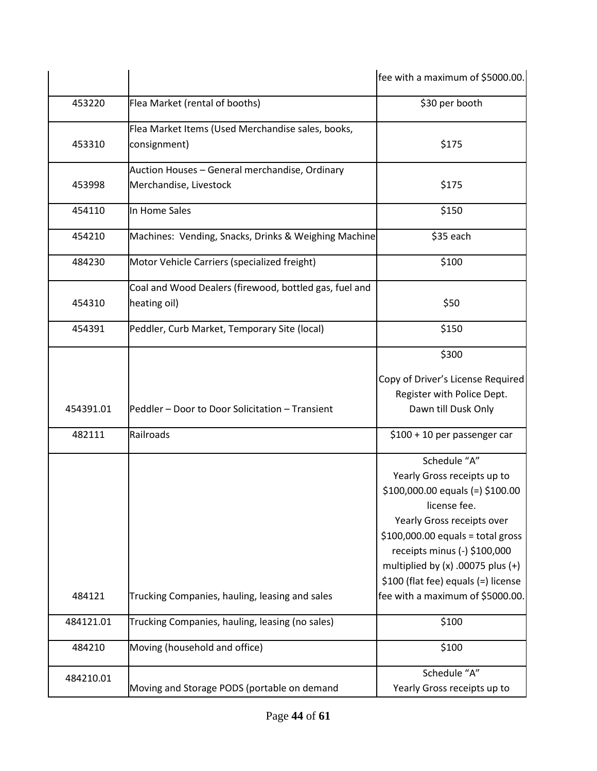|           |                                                                          | fee with a maximum of \$5000.00.                                                                                                                                                                                                                                                      |
|-----------|--------------------------------------------------------------------------|---------------------------------------------------------------------------------------------------------------------------------------------------------------------------------------------------------------------------------------------------------------------------------------|
| 453220    | Flea Market (rental of booths)                                           | \$30 per booth                                                                                                                                                                                                                                                                        |
| 453310    | Flea Market Items (Used Merchandise sales, books,<br>consignment)        | \$175                                                                                                                                                                                                                                                                                 |
| 453998    | Auction Houses - General merchandise, Ordinary<br>Merchandise, Livestock | \$175                                                                                                                                                                                                                                                                                 |
| 454110    | In Home Sales                                                            | \$150                                                                                                                                                                                                                                                                                 |
| 454210    | Machines: Vending, Snacks, Drinks & Weighing Machine                     | \$35 each                                                                                                                                                                                                                                                                             |
| 484230    | Motor Vehicle Carriers (specialized freight)                             | \$100                                                                                                                                                                                                                                                                                 |
| 454310    | Coal and Wood Dealers (firewood, bottled gas, fuel and<br>heating oil)   | \$50                                                                                                                                                                                                                                                                                  |
| 454391    | Peddler, Curb Market, Temporary Site (local)                             | \$150                                                                                                                                                                                                                                                                                 |
| 454391.01 | Peddler - Door to Door Solicitation - Transient                          | \$300<br>Copy of Driver's License Required<br>Register with Police Dept.<br>Dawn till Dusk Only                                                                                                                                                                                       |
| 482111    | Railroads                                                                | \$100 + 10 per passenger car                                                                                                                                                                                                                                                          |
|           |                                                                          | Schedule "A"<br>Yearly Gross receipts up to<br>$$100,000.00$ equals (=) $$100.00$<br>license fee.<br>Yearly Gross receipts over<br>$$100,000.00$ equals = total gross<br>receipts minus (-) \$100,000<br>multiplied by $(x)$ .00075 plus $(+)$<br>\$100 (flat fee) equals (=) license |
| 484121    | Trucking Companies, hauling, leasing and sales                           | fee with a maximum of \$5000.00.                                                                                                                                                                                                                                                      |
| 484121.01 | Trucking Companies, hauling, leasing (no sales)                          | \$100                                                                                                                                                                                                                                                                                 |
| 484210    | Moving (household and office)                                            | \$100                                                                                                                                                                                                                                                                                 |
| 484210.01 | Moving and Storage PODS (portable on demand                              | Schedule "A"<br>Yearly Gross receipts up to                                                                                                                                                                                                                                           |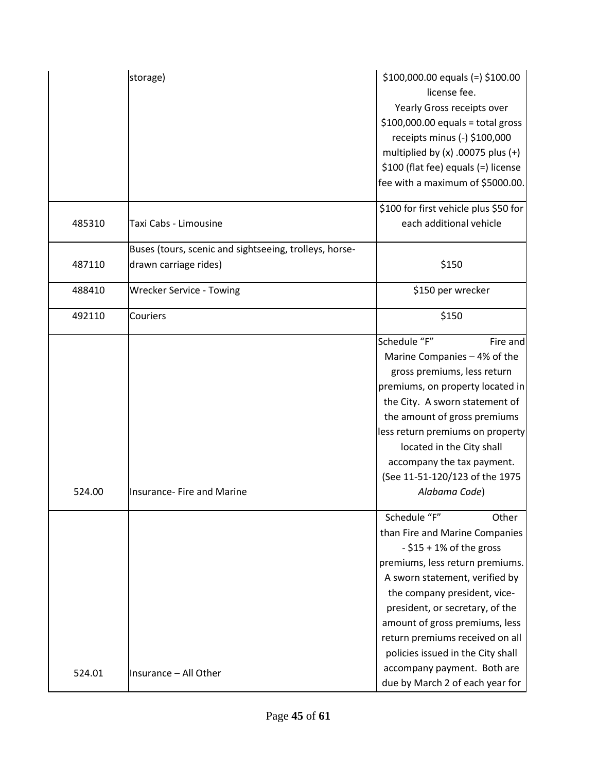|        | storage)                                                                        | $$100,000.00$ equals (=) $$100.00$<br>license fee.<br>Yearly Gross receipts over<br>$$100,000.00$ equals = total gross<br>receipts minus (-) \$100,000<br>multiplied by $(x)$ .00075 plus $(+)$<br>\$100 (flat fee) equals (=) license<br>fee with a maximum of \$5000.00.<br>\$100 for first vehicle plus \$50 for                                                                                       |
|--------|---------------------------------------------------------------------------------|-----------------------------------------------------------------------------------------------------------------------------------------------------------------------------------------------------------------------------------------------------------------------------------------------------------------------------------------------------------------------------------------------------------|
| 485310 | Taxi Cabs - Limousine                                                           | each additional vehicle                                                                                                                                                                                                                                                                                                                                                                                   |
| 487110 | Buses (tours, scenic and sightseeing, trolleys, horse-<br>drawn carriage rides) | \$150                                                                                                                                                                                                                                                                                                                                                                                                     |
| 488410 | <b>Wrecker Service - Towing</b>                                                 | \$150 per wrecker                                                                                                                                                                                                                                                                                                                                                                                         |
| 492110 | Couriers                                                                        | \$150                                                                                                                                                                                                                                                                                                                                                                                                     |
| 524.00 | <b>Insurance- Fire and Marine</b>                                               | Schedule "F"<br>Fire and<br>Marine Companies - 4% of the<br>gross premiums, less return<br>premiums, on property located in<br>the City. A sworn statement of<br>the amount of gross premiums<br>less return premiums on property<br>located in the City shall<br>accompany the tax payment.<br>(See 11-51-120/123 of the 1975<br>Alabama Code)                                                           |
| 524.01 | Insurance - All Other                                                           | Schedule "F"<br>Other<br>than Fire and Marine Companies<br>$-$ \$15 + 1% of the gross<br>premiums, less return premiums.<br>A sworn statement, verified by<br>the company president, vice-<br>president, or secretary, of the<br>amount of gross premiums, less<br>return premiums received on all<br>policies issued in the City shall<br>accompany payment. Both are<br>due by March 2 of each year for |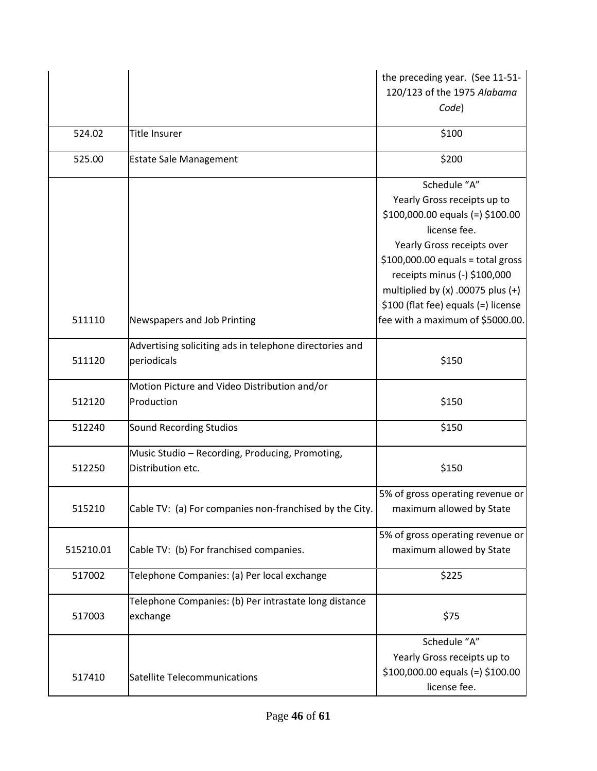|           |                                                                        | the preceding year. (See 11-51-<br>120/123 of the 1975 Alabama<br>Code)                                                                                                                                                                        |
|-----------|------------------------------------------------------------------------|------------------------------------------------------------------------------------------------------------------------------------------------------------------------------------------------------------------------------------------------|
| 524.02    | Title Insurer                                                          | \$100                                                                                                                                                                                                                                          |
| 525.00    | <b>Estate Sale Management</b>                                          | \$200                                                                                                                                                                                                                                          |
|           |                                                                        | Schedule "A"<br>Yearly Gross receipts up to<br>$$100,000.00$ equals (=) $$100.00$<br>license fee.<br>Yearly Gross receipts over<br>$$100,000.00$ equals = total gross<br>receipts minus (-) \$100,000<br>multiplied by $(x)$ .00075 plus $(+)$ |
| 511110    | Newspapers and Job Printing                                            | \$100 (flat fee) equals (=) license<br>fee with a maximum of \$5000.00.                                                                                                                                                                        |
| 511120    | Advertising soliciting ads in telephone directories and<br>periodicals | \$150                                                                                                                                                                                                                                          |
| 512120    | Motion Picture and Video Distribution and/or<br>Production             | \$150                                                                                                                                                                                                                                          |
| 512240    | Sound Recording Studios                                                | \$150                                                                                                                                                                                                                                          |
| 512250    | Music Studio - Recording, Producing, Promoting,<br>Distribution etc.   | \$150                                                                                                                                                                                                                                          |
| 515210    | Cable TV: (a) For companies non-franchised by the City.                | 5% of gross operating revenue or<br>maximum allowed by State                                                                                                                                                                                   |
| 515210.01 | Cable TV: (b) For franchised companies.                                | 5% of gross operating revenue or<br>maximum allowed by State                                                                                                                                                                                   |
| 517002    | Telephone Companies: (a) Per local exchange                            | \$225                                                                                                                                                                                                                                          |
| 517003    | Telephone Companies: (b) Per intrastate long distance<br>exchange      | \$75                                                                                                                                                                                                                                           |
| 517410    | Satellite Telecommunications                                           | Schedule "A"<br>Yearly Gross receipts up to<br>$$100,000.00$ equals (=) $$100.00$<br>license fee.                                                                                                                                              |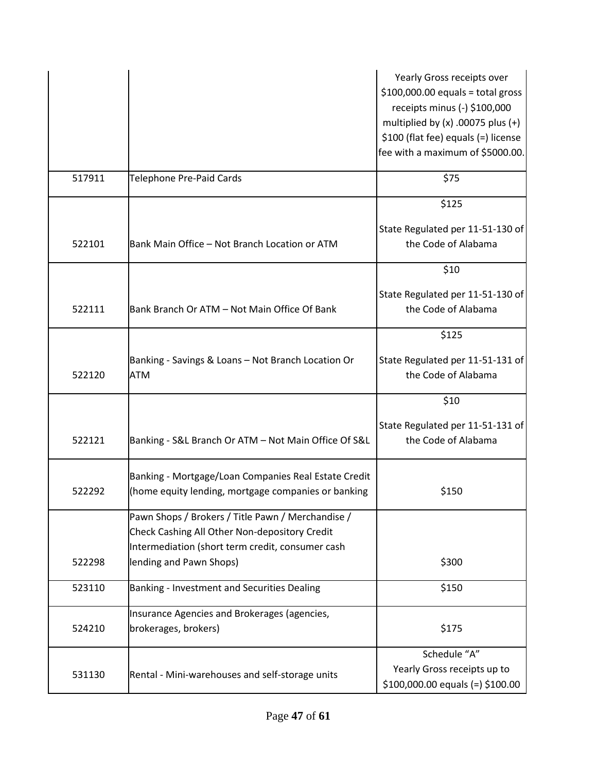|        |                                                                                                                                                        | Yearly Gross receipts over<br>$$100,000.00$ equals = total gross<br>receipts minus (-) \$100,000<br>multiplied by $(x)$ .00075 plus $(+)$<br>\$100 (flat fee) equals (=) license<br>fee with a maximum of \$5000.00. |
|--------|--------------------------------------------------------------------------------------------------------------------------------------------------------|----------------------------------------------------------------------------------------------------------------------------------------------------------------------------------------------------------------------|
| 517911 | <b>Telephone Pre-Paid Cards</b>                                                                                                                        | \$75                                                                                                                                                                                                                 |
|        |                                                                                                                                                        | \$125                                                                                                                                                                                                                |
| 522101 | Bank Main Office - Not Branch Location or ATM                                                                                                          | State Regulated per 11-51-130 of<br>the Code of Alabama                                                                                                                                                              |
|        |                                                                                                                                                        | \$10                                                                                                                                                                                                                 |
| 522111 | Bank Branch Or ATM - Not Main Office Of Bank                                                                                                           | State Regulated per 11-51-130 of<br>the Code of Alabama                                                                                                                                                              |
|        |                                                                                                                                                        | \$125                                                                                                                                                                                                                |
| 522120 | Banking - Savings & Loans - Not Branch Location Or<br><b>ATM</b>                                                                                       | State Regulated per 11-51-131 of<br>the Code of Alabama                                                                                                                                                              |
|        |                                                                                                                                                        | \$10                                                                                                                                                                                                                 |
| 522121 | Banking - S&L Branch Or ATM - Not Main Office Of S&L                                                                                                   | State Regulated per 11-51-131 of<br>the Code of Alabama                                                                                                                                                              |
| 522292 | Banking - Mortgage/Loan Companies Real Estate Credit<br>(home equity lending, mortgage companies or banking                                            | \$150                                                                                                                                                                                                                |
|        | Pawn Shops / Brokers / Title Pawn / Merchandise /<br>Check Cashing All Other Non-depository Credit<br>Intermediation (short term credit, consumer cash |                                                                                                                                                                                                                      |
| 522298 | lending and Pawn Shops)                                                                                                                                | \$300                                                                                                                                                                                                                |
| 523110 | Banking - Investment and Securities Dealing                                                                                                            | \$150                                                                                                                                                                                                                |
| 524210 | Insurance Agencies and Brokerages (agencies,<br>brokerages, brokers)                                                                                   | \$175                                                                                                                                                                                                                |
| 531130 | Rental - Mini-warehouses and self-storage units                                                                                                        | Schedule "A"<br>Yearly Gross receipts up to<br>$$100,000.00$ equals (=) $$100.00$                                                                                                                                    |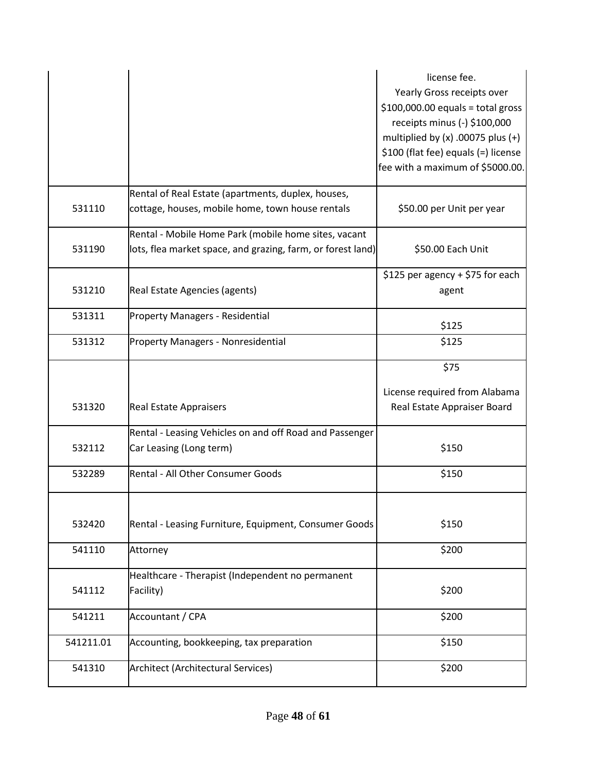|           |                                                             | license fee.                          |
|-----------|-------------------------------------------------------------|---------------------------------------|
|           |                                                             | Yearly Gross receipts over            |
|           |                                                             | $$100,000.00$ equals = total gross    |
|           |                                                             | receipts minus (-) \$100,000          |
|           |                                                             | multiplied by $(x)$ .00075 plus $(+)$ |
|           |                                                             | \$100 (flat fee) equals (=) license   |
|           |                                                             | fee with a maximum of \$5000.00.      |
|           |                                                             |                                       |
|           | Rental of Real Estate (apartments, duplex, houses,          |                                       |
| 531110    | cottage, houses, mobile home, town house rentals            | \$50.00 per Unit per year             |
|           | Rental - Mobile Home Park (mobile home sites, vacant        |                                       |
| 531190    | lots, flea market space, and grazing, farm, or forest land) | \$50.00 Each Unit                     |
|           |                                                             |                                       |
|           |                                                             | \$125 per agency + \$75 for each      |
| 531210    | Real Estate Agencies (agents)                               | agent                                 |
|           |                                                             |                                       |
| 531311    | <b>Property Managers - Residential</b>                      | \$125                                 |
| 531312    |                                                             | \$125                                 |
|           | <b>Property Managers - Nonresidential</b>                   |                                       |
|           |                                                             | \$75                                  |
|           |                                                             | License required from Alabama         |
| 531320    | <b>Real Estate Appraisers</b>                               | Real Estate Appraiser Board           |
|           |                                                             |                                       |
|           | Rental - Leasing Vehicles on and off Road and Passenger     |                                       |
| 532112    | Car Leasing (Long term)                                     | \$150                                 |
|           |                                                             |                                       |
| 532289    | Rental - All Other Consumer Goods                           | \$150                                 |
|           |                                                             |                                       |
|           |                                                             |                                       |
| 532420    | Rental - Leasing Furniture, Equipment, Consumer Goods       | \$150                                 |
|           |                                                             |                                       |
| 541110    |                                                             |                                       |
|           | Attorney                                                    | \$200                                 |
|           |                                                             |                                       |
|           | Healthcare - Therapist (Independent no permanent            |                                       |
| 541112    | Facility)                                                   | \$200                                 |
|           |                                                             |                                       |
| 541211    | Accountant / CPA                                            | \$200                                 |
|           |                                                             |                                       |
| 541211.01 | Accounting, bookkeeping, tax preparation                    | \$150                                 |
| 541310    | <b>Architect (Architectural Services)</b>                   | \$200                                 |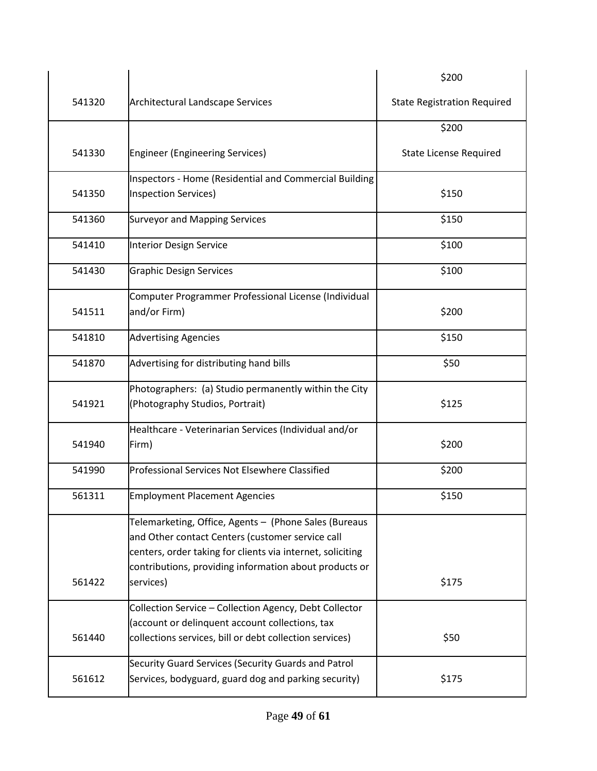|        |                                                            | \$200                              |
|--------|------------------------------------------------------------|------------------------------------|
| 541320 | <b>Architectural Landscape Services</b>                    | <b>State Registration Required</b> |
|        |                                                            | \$200                              |
| 541330 | <b>Engineer (Engineering Services)</b>                     | <b>State License Required</b>      |
|        | Inspectors - Home (Residential and Commercial Building     |                                    |
| 541350 | Inspection Services)                                       | \$150                              |
| 541360 | <b>Surveyor and Mapping Services</b>                       | \$150                              |
| 541410 | Interior Design Service                                    | \$100                              |
| 541430 | <b>Graphic Design Services</b>                             | \$100                              |
|        | Computer Programmer Professional License (Individual       |                                    |
| 541511 | and/or Firm)                                               | \$200                              |
| 541810 | <b>Advertising Agencies</b>                                | \$150                              |
| 541870 | Advertising for distributing hand bills                    | \$50                               |
|        | Photographers: (a) Studio permanently within the City      |                                    |
| 541921 | (Photography Studios, Portrait)                            | \$125                              |
|        | Healthcare - Veterinarian Services (Individual and/or      |                                    |
| 541940 | Firm)                                                      | \$200                              |
| 541990 | Professional Services Not Elsewhere Classified             | \$200                              |
| 561311 | <b>Employment Placement Agencies</b>                       | \$150                              |
|        | Telemarketing, Office, Agents - (Phone Sales (Bureaus      |                                    |
|        | and Other contact Centers (customer service call           |                                    |
|        | centers, order taking for clients via internet, soliciting |                                    |
|        | contributions, providing information about products or     |                                    |
| 561422 | services)                                                  | \$175                              |
|        | Collection Service - Collection Agency, Debt Collector     |                                    |
|        | (account or delinquent account collections, tax            |                                    |
| 561440 | collections services, bill or debt collection services)    | \$50                               |
|        | Security Guard Services (Security Guards and Patrol        |                                    |
| 561612 | Services, bodyguard, guard dog and parking security)       | \$175                              |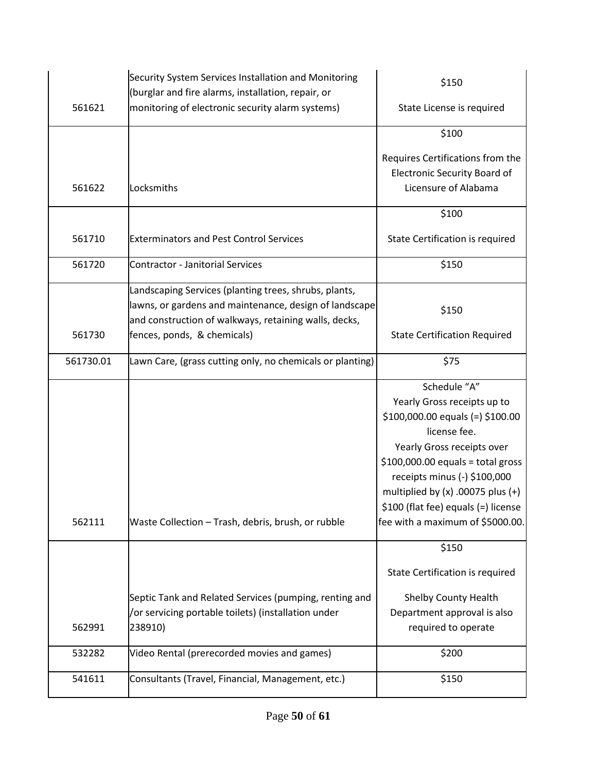|           | Security System Services Installation and Monitoring<br>(burglar and fire alarms, installation, repair, or                                                               | \$150                                                                                                                                                                                                                                                                                                                     |
|-----------|--------------------------------------------------------------------------------------------------------------------------------------------------------------------------|---------------------------------------------------------------------------------------------------------------------------------------------------------------------------------------------------------------------------------------------------------------------------------------------------------------------------|
| 561621    | monitoring of electronic security alarm systems)                                                                                                                         | State License is required                                                                                                                                                                                                                                                                                                 |
|           |                                                                                                                                                                          | \$100                                                                                                                                                                                                                                                                                                                     |
| 561622    | Locksmiths                                                                                                                                                               | Requires Certifications from the<br><b>Electronic Security Board of</b><br>Licensure of Alabama                                                                                                                                                                                                                           |
|           |                                                                                                                                                                          | \$100                                                                                                                                                                                                                                                                                                                     |
| 561710    | <b>Exterminators and Pest Control Services</b>                                                                                                                           | State Certification is required                                                                                                                                                                                                                                                                                           |
| 561720    | <b>Contractor - Janitorial Services</b>                                                                                                                                  | \$150                                                                                                                                                                                                                                                                                                                     |
|           | Landscaping Services (planting trees, shrubs, plants,<br>lawns, or gardens and maintenance, design of landscape<br>and construction of walkways, retaining walls, decks, | \$150                                                                                                                                                                                                                                                                                                                     |
| 561730    | fences, ponds, & chemicals)                                                                                                                                              | <b>State Certification Required</b>                                                                                                                                                                                                                                                                                       |
| 561730.01 | Lawn Care, (grass cutting only, no chemicals or planting)                                                                                                                | \$75                                                                                                                                                                                                                                                                                                                      |
|           |                                                                                                                                                                          |                                                                                                                                                                                                                                                                                                                           |
| 562111    | Waste Collection - Trash, debris, brush, or rubble                                                                                                                       | Schedule "A"<br>Yearly Gross receipts up to<br>$$100,000.00$ equals (=) $$100.00$<br>license fee.<br>Yearly Gross receipts over<br>$$100,000.00$ equals = total gross<br>receipts minus (-) \$100,000<br>multiplied by $(x)$ .00075 plus $(+)$<br>\$100 (flat fee) equals (=) license<br>fee with a maximum of \$5000.00. |
|           |                                                                                                                                                                          | \$150<br>State Certification is required                                                                                                                                                                                                                                                                                  |
| 562991    | Septic Tank and Related Services (pumping, renting and<br>/or servicing portable toilets) (installation under<br>238910)                                                 | Shelby County Health<br>Department approval is also<br>required to operate                                                                                                                                                                                                                                                |
| 532282    | Video Rental (prerecorded movies and games)                                                                                                                              | \$200                                                                                                                                                                                                                                                                                                                     |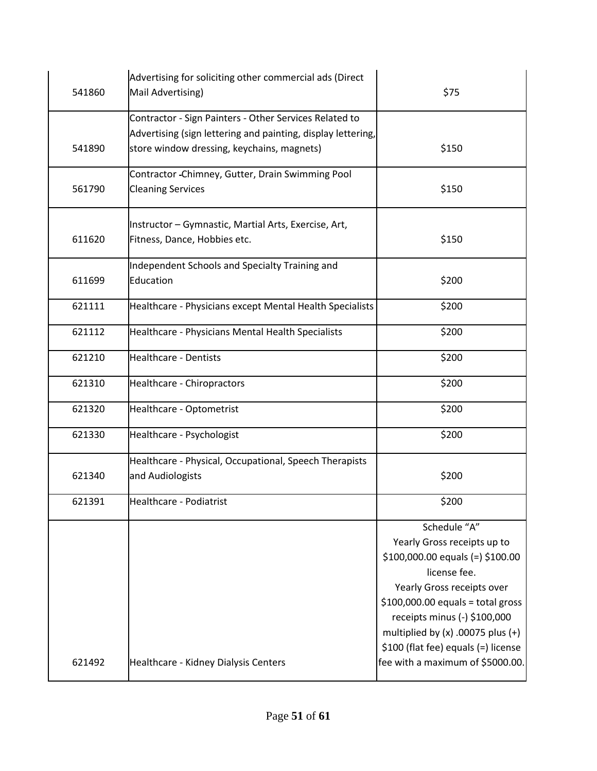| 541860 | Advertising for soliciting other commercial ads (Direct<br>Mail Advertising)                               | \$75                                                                                                                                                                                                                                                                                                                      |
|--------|------------------------------------------------------------------------------------------------------------|---------------------------------------------------------------------------------------------------------------------------------------------------------------------------------------------------------------------------------------------------------------------------------------------------------------------------|
|        | Contractor - Sign Painters - Other Services Related to                                                     |                                                                                                                                                                                                                                                                                                                           |
| 541890 | Advertising (sign lettering and painting, display lettering,<br>store window dressing, keychains, magnets) | \$150                                                                                                                                                                                                                                                                                                                     |
| 561790 | Contractor - Chimney, Gutter, Drain Swimming Pool<br><b>Cleaning Services</b>                              | \$150                                                                                                                                                                                                                                                                                                                     |
| 611620 | Instructor - Gymnastic, Martial Arts, Exercise, Art,<br>Fitness, Dance, Hobbies etc.                       | \$150                                                                                                                                                                                                                                                                                                                     |
| 611699 | Independent Schools and Specialty Training and<br>Education                                                | \$200                                                                                                                                                                                                                                                                                                                     |
| 621111 | Healthcare - Physicians except Mental Health Specialists                                                   | \$200                                                                                                                                                                                                                                                                                                                     |
| 621112 | Healthcare - Physicians Mental Health Specialists                                                          | \$200                                                                                                                                                                                                                                                                                                                     |
| 621210 | <b>Healthcare - Dentists</b>                                                                               | \$200                                                                                                                                                                                                                                                                                                                     |
| 621310 | Healthcare - Chiropractors                                                                                 | \$200                                                                                                                                                                                                                                                                                                                     |
| 621320 | Healthcare - Optometrist                                                                                   | \$200                                                                                                                                                                                                                                                                                                                     |
| 621330 | Healthcare - Psychologist                                                                                  | \$200                                                                                                                                                                                                                                                                                                                     |
| 621340 | Healthcare - Physical, Occupational, Speech Therapists<br>and Audiologists                                 | \$200                                                                                                                                                                                                                                                                                                                     |
| 621391 | <b>Healthcare - Podiatrist</b>                                                                             | \$200                                                                                                                                                                                                                                                                                                                     |
| 621492 | Healthcare - Kidney Dialysis Centers                                                                       | Schedule "A"<br>Yearly Gross receipts up to<br>$$100,000.00$ equals (=) $$100.00$<br>license fee.<br>Yearly Gross receipts over<br>$$100,000.00$ equals = total gross<br>receipts minus (-) \$100,000<br>multiplied by $(x)$ .00075 plus $(+)$<br>\$100 (flat fee) equals (=) license<br>fee with a maximum of \$5000.00. |
|        |                                                                                                            |                                                                                                                                                                                                                                                                                                                           |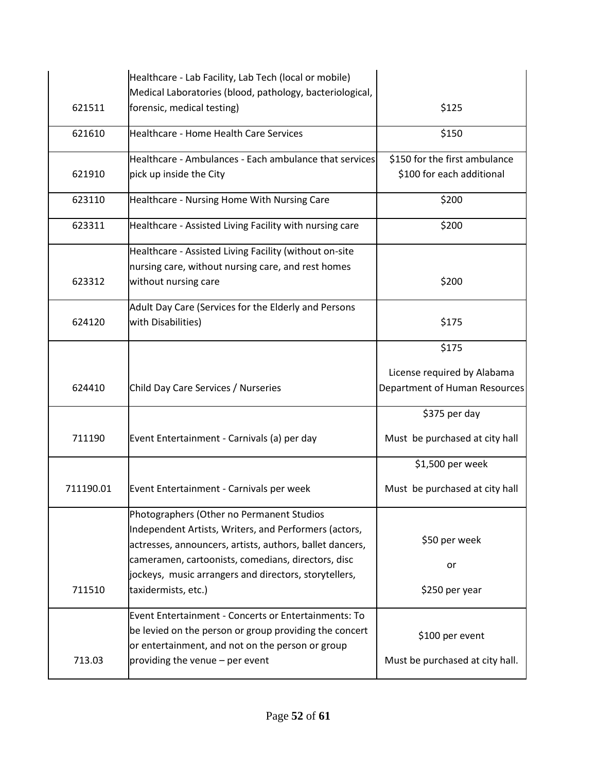|           | Healthcare - Lab Facility, Lab Tech (local or mobile)                                                      |                                 |
|-----------|------------------------------------------------------------------------------------------------------------|---------------------------------|
| 621511    | Medical Laboratories (blood, pathology, bacteriological,<br>forensic, medical testing)                     | \$125                           |
| 621610    | Healthcare - Home Health Care Services                                                                     | \$150                           |
|           |                                                                                                            |                                 |
|           | Healthcare - Ambulances - Each ambulance that services                                                     | \$150 for the first ambulance   |
| 621910    | pick up inside the City                                                                                    | \$100 for each additional       |
| 623110    | Healthcare - Nursing Home With Nursing Care                                                                | \$200                           |
| 623311    | Healthcare - Assisted Living Facility with nursing care                                                    | \$200                           |
|           | Healthcare - Assisted Living Facility (without on-site                                                     |                                 |
|           | nursing care, without nursing care, and rest homes                                                         |                                 |
| 623312    | without nursing care                                                                                       | \$200                           |
|           | Adult Day Care (Services for the Elderly and Persons                                                       |                                 |
| 624120    | with Disabilities)                                                                                         | \$175                           |
|           |                                                                                                            | \$175                           |
|           |                                                                                                            | License required by Alabama     |
| 624410    | Child Day Care Services / Nurseries                                                                        | Department of Human Resources   |
|           |                                                                                                            | \$375 per day                   |
| 711190    | Event Entertainment - Carnivals (a) per day                                                                | Must be purchased at city hall  |
|           |                                                                                                            | \$1,500 per week                |
| 711190.01 | Event Entertainment - Carnivals per week                                                                   | Must be purchased at city hall  |
|           | Photographers (Other no Permanent Studios                                                                  |                                 |
|           | Independent Artists, Writers, and Performers (actors,                                                      |                                 |
|           | actresses, announcers, artists, authors, ballet dancers,                                                   | \$50 per week                   |
|           | cameramen, cartoonists, comedians, directors, disc                                                         | or                              |
| 711510    | jockeys, music arrangers and directors, storytellers,<br>taxidermists, etc.)                               | \$250 per year                  |
|           |                                                                                                            |                                 |
|           | Event Entertainment - Concerts or Entertainments: To                                                       |                                 |
|           | be levied on the person or group providing the concert<br>or entertainment, and not on the person or group | \$100 per event                 |
| 713.03    | providing the venue - per event                                                                            | Must be purchased at city hall. |
|           |                                                                                                            |                                 |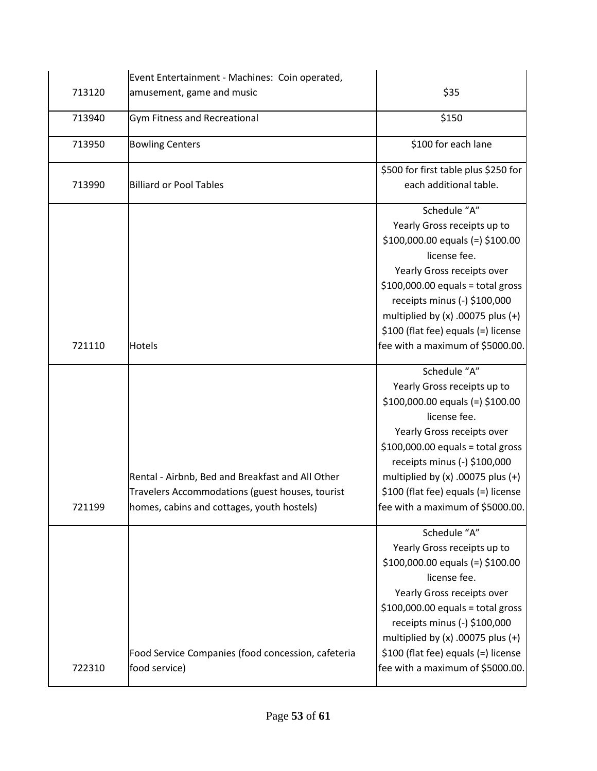|        | Event Entertainment - Machines: Coin operated,                                                                                                    |                                                                                                                                                                                                                                                                                                                           |
|--------|---------------------------------------------------------------------------------------------------------------------------------------------------|---------------------------------------------------------------------------------------------------------------------------------------------------------------------------------------------------------------------------------------------------------------------------------------------------------------------------|
| 713120 | amusement, game and music                                                                                                                         | \$35                                                                                                                                                                                                                                                                                                                      |
| 713940 | Gym Fitness and Recreational                                                                                                                      | \$150                                                                                                                                                                                                                                                                                                                     |
| 713950 | <b>Bowling Centers</b>                                                                                                                            | \$100 for each lane                                                                                                                                                                                                                                                                                                       |
| 713990 | <b>Billiard or Pool Tables</b>                                                                                                                    | \$500 for first table plus \$250 for<br>each additional table.                                                                                                                                                                                                                                                            |
| 721110 | <b>Hotels</b>                                                                                                                                     | Schedule "A"<br>Yearly Gross receipts up to<br>$$100,000.00$ equals (=) $$100.00$<br>license fee.<br>Yearly Gross receipts over<br>$$100,000.00$ equals = total gross<br>receipts minus (-) \$100,000<br>multiplied by $(x)$ .00075 plus $(+)$<br>\$100 (flat fee) equals (=) license<br>fee with a maximum of \$5000.00. |
| 721199 | Rental - Airbnb, Bed and Breakfast and All Other<br>Travelers Accommodations (guest houses, tourist<br>homes, cabins and cottages, youth hostels) | Schedule "A"<br>Yearly Gross receipts up to<br>\$100,000.00 equals (=) \$100.00<br>license fee.<br>Yearly Gross receipts over<br>$$100,000.00$ equals = total gross<br>receipts minus (-) \$100,000<br>multiplied by $(x)$ .00075 plus $(+)$<br>\$100 (flat fee) equals (=) license<br>fee with a maximum of \$5000.00.   |
| 722310 | Food Service Companies (food concession, cafeteria<br>food service)                                                                               | Schedule "A"<br>Yearly Gross receipts up to<br>$$100,000.00$ equals (=) $$100.00$<br>license fee.<br>Yearly Gross receipts over<br>$$100,000.00$ equals = total gross<br>receipts minus (-) \$100,000<br>multiplied by $(x)$ .00075 plus $(+)$<br>\$100 (flat fee) equals (=) license<br>fee with a maximum of \$5000.00. |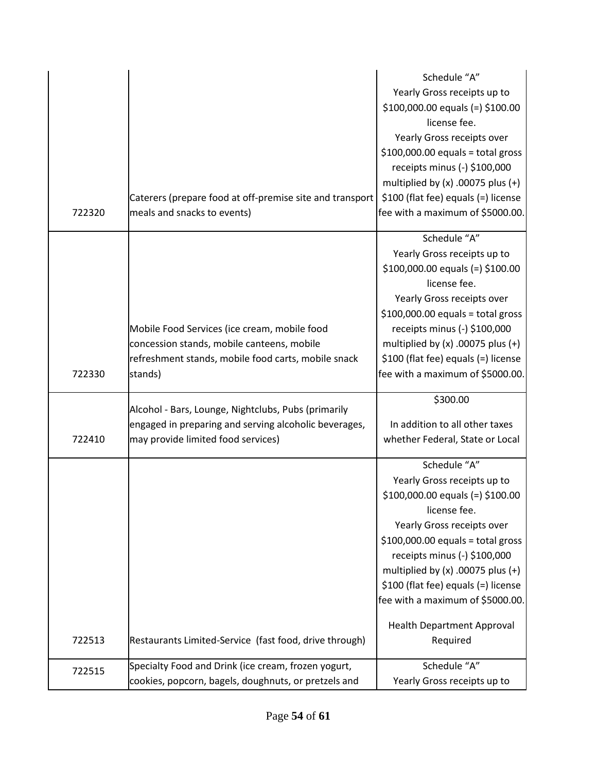|        |                                                          | Schedule "A"                          |
|--------|----------------------------------------------------------|---------------------------------------|
|        |                                                          | Yearly Gross receipts up to           |
|        |                                                          | $$100,000.00$ equals (=) $$100.00$    |
|        |                                                          | license fee.                          |
|        |                                                          |                                       |
|        |                                                          | Yearly Gross receipts over            |
|        |                                                          | $$100,000.00$ equals = total gross    |
|        |                                                          | receipts minus (-) \$100,000          |
|        |                                                          | multiplied by $(x)$ .00075 plus $(+)$ |
|        | Caterers (prepare food at off-premise site and transport | \$100 (flat fee) equals (=) license   |
| 722320 | meals and snacks to events)                              | fee with a maximum of \$5000.00.      |
|        |                                                          | Schedule "A"                          |
|        |                                                          | Yearly Gross receipts up to           |
|        |                                                          | $$100,000.00$ equals (=) $$100.00$    |
|        |                                                          | license fee.                          |
|        |                                                          | Yearly Gross receipts over            |
|        |                                                          | $$100,000.00$ equals = total gross    |
|        | Mobile Food Services (ice cream, mobile food             | receipts minus (-) \$100,000          |
|        | concession stands, mobile canteens, mobile               | multiplied by $(x)$ .00075 plus $(+)$ |
|        | refreshment stands, mobile food carts, mobile snack      | \$100 (flat fee) equals (=) license   |
| 722330 | stands)                                                  | fee with a maximum of \$5000.00.      |
|        |                                                          |                                       |
|        | Alcohol - Bars, Lounge, Nightclubs, Pubs (primarily      | \$300.00                              |
|        | engaged in preparing and serving alcoholic beverages,    | In addition to all other taxes        |
| 722410 | may provide limited food services)                       | whether Federal, State or Local       |
|        |                                                          |                                       |
|        |                                                          | Schedule "A"                          |
|        |                                                          | Yearly Gross receipts up to           |
|        |                                                          | $$100,000.00$ equals (=) $$100.00$    |
|        |                                                          | license fee.                          |
|        |                                                          | Yearly Gross receipts over            |
|        |                                                          | $$100,000.00$ equals = total gross    |
|        |                                                          | receipts minus (-) \$100,000          |
|        |                                                          | multiplied by $(x)$ .00075 plus $(+)$ |
|        |                                                          | \$100 (flat fee) equals (=) license   |
|        |                                                          | fee with a maximum of \$5000.00.      |
|        |                                                          | <b>Health Department Approval</b>     |
| 722513 | Restaurants Limited-Service (fast food, drive through)   | Required                              |
|        |                                                          |                                       |
| 722515 | Specialty Food and Drink (ice cream, frozen yogurt,      | Schedule "A"                          |
|        | cookies, popcorn, bagels, doughnuts, or pretzels and     | Yearly Gross receipts up to           |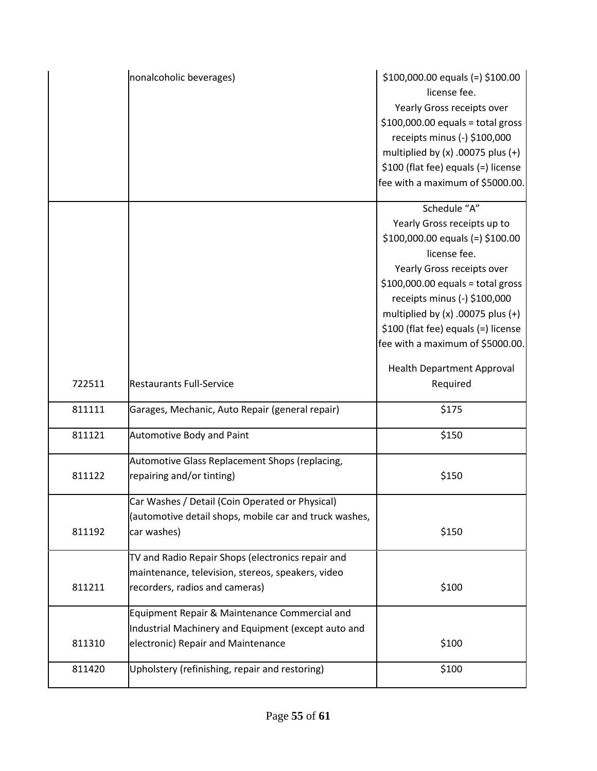|        | nonalcoholic beverages)                                | $$100,000.00$ equals (=) $$100.00$<br>license fee.<br>Yearly Gross receipts over<br>$$100,000.00$ equals = total gross<br>receipts minus (-) \$100,000<br>multiplied by $(x)$ .00075 plus $(+)$<br>\$100 (flat fee) equals (=) license<br>fee with a maximum of \$5000.00. |
|--------|--------------------------------------------------------|----------------------------------------------------------------------------------------------------------------------------------------------------------------------------------------------------------------------------------------------------------------------------|
|        |                                                        | Schedule "A"<br>Yearly Gross receipts up to                                                                                                                                                                                                                                |
|        |                                                        | $$100,000.00$ equals (=) $$100.00$                                                                                                                                                                                                                                         |
|        |                                                        | license fee.                                                                                                                                                                                                                                                               |
|        |                                                        | Yearly Gross receipts over                                                                                                                                                                                                                                                 |
|        |                                                        | $$100,000.00$ equals = total gross<br>receipts minus (-) \$100,000                                                                                                                                                                                                         |
|        |                                                        | multiplied by $(x)$ .00075 plus $(+)$                                                                                                                                                                                                                                      |
|        |                                                        | \$100 (flat fee) equals (=) license                                                                                                                                                                                                                                        |
|        |                                                        | fee with a maximum of \$5000.00.                                                                                                                                                                                                                                           |
|        |                                                        | <b>Health Department Approval</b>                                                                                                                                                                                                                                          |
| 722511 | <b>Restaurants Full-Service</b>                        | Required                                                                                                                                                                                                                                                                   |
| 811111 | Garages, Mechanic, Auto Repair (general repair)        | \$175                                                                                                                                                                                                                                                                      |
| 811121 | <b>Automotive Body and Paint</b>                       | \$150                                                                                                                                                                                                                                                                      |
|        | Automotive Glass Replacement Shops (replacing,         |                                                                                                                                                                                                                                                                            |
| 811122 | repairing and/or tinting)                              | \$150                                                                                                                                                                                                                                                                      |
|        | Car Washes / Detail (Coin Operated or Physical)        |                                                                                                                                                                                                                                                                            |
|        | (automotive detail shops, mobile car and truck washes, |                                                                                                                                                                                                                                                                            |
| 811192 | car washes)                                            | \$150                                                                                                                                                                                                                                                                      |
|        | TV and Radio Repair Shops (electronics repair and      |                                                                                                                                                                                                                                                                            |
|        | maintenance, television, stereos, speakers, video      |                                                                                                                                                                                                                                                                            |
| 811211 | recorders, radios and cameras)                         | \$100                                                                                                                                                                                                                                                                      |
|        | Equipment Repair & Maintenance Commercial and          |                                                                                                                                                                                                                                                                            |
|        | Industrial Machinery and Equipment (except auto and    |                                                                                                                                                                                                                                                                            |
| 811310 | electronic) Repair and Maintenance                     | \$100                                                                                                                                                                                                                                                                      |
| 811420 | Upholstery (refinishing, repair and restoring)         | \$100                                                                                                                                                                                                                                                                      |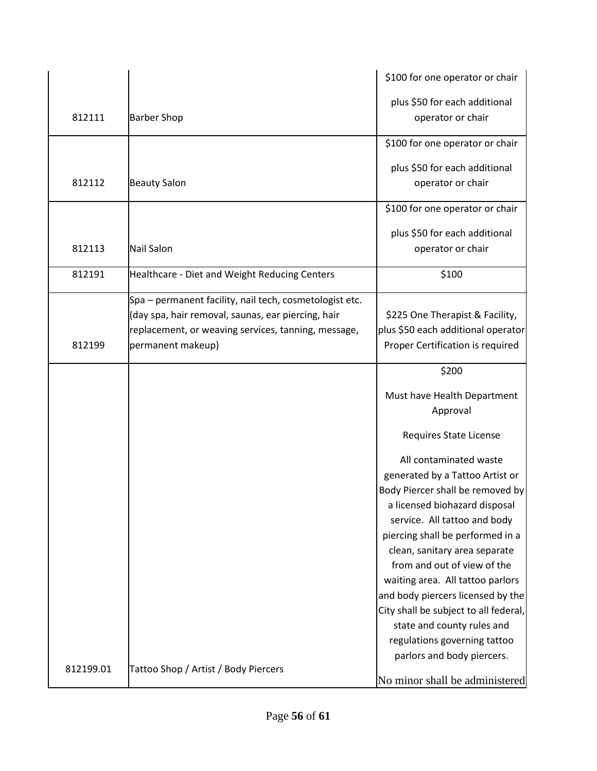|           |                                                         | \$100 for one operator or chair       |
|-----------|---------------------------------------------------------|---------------------------------------|
|           |                                                         | plus \$50 for each additional         |
| 812111    | <b>Barber Shop</b>                                      | operator or chair                     |
|           |                                                         |                                       |
|           |                                                         | \$100 for one operator or chair       |
|           |                                                         | plus \$50 for each additional         |
| 812112    | <b>Beauty Salon</b>                                     | operator or chair                     |
|           |                                                         |                                       |
|           |                                                         | \$100 for one operator or chair       |
|           |                                                         | plus \$50 for each additional         |
| 812113    | <b>Nail Salon</b>                                       | operator or chair                     |
| 812191    | Healthcare - Diet and Weight Reducing Centers           | \$100                                 |
|           |                                                         |                                       |
|           | Spa - permanent facility, nail tech, cosmetologist etc. |                                       |
|           | (day spa, hair removal, saunas, ear piercing, hair      | \$225 One Therapist & Facility,       |
|           | replacement, or weaving services, tanning, message,     | plus \$50 each additional operator    |
| 812199    | permanent makeup)                                       | Proper Certification is required      |
|           |                                                         | \$200                                 |
|           |                                                         | Must have Health Department           |
|           |                                                         | Approval                              |
|           |                                                         |                                       |
|           |                                                         | Requires State License                |
|           |                                                         | All contaminated waste                |
|           |                                                         | generated by a Tattoo Artist or       |
|           |                                                         | Body Piercer shall be removed by      |
|           |                                                         | a licensed biohazard disposal         |
|           |                                                         | service. All tattoo and body          |
|           |                                                         | piercing shall be performed in a      |
|           |                                                         | clean, sanitary area separate         |
|           |                                                         | from and out of view of the           |
|           |                                                         | waiting area. All tattoo parlors      |
|           |                                                         | and body piercers licensed by the     |
|           |                                                         | City shall be subject to all federal, |
|           |                                                         | state and county rules and            |
|           |                                                         | regulations governing tattoo          |
|           |                                                         | parlors and body piercers.            |
| 812199.01 | Tattoo Shop / Artist / Body Piercers                    |                                       |
|           |                                                         | No minor shall be administered        |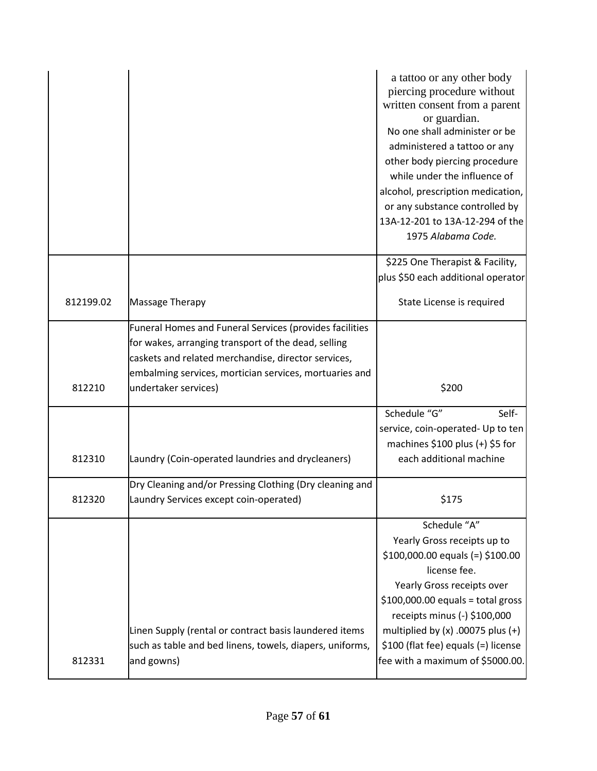|           |                                                                                                                                                                                                                                 | a tattoo or any other body<br>piercing procedure without<br>written consent from a parent<br>or guardian.<br>No one shall administer or be<br>administered a tattoo or any<br>other body piercing procedure<br>while under the influence of<br>alcohol, prescription medication,<br>or any substance controlled by<br>13A-12-201 to 13A-12-294 of the<br>1975 Alabama Code. |
|-----------|---------------------------------------------------------------------------------------------------------------------------------------------------------------------------------------------------------------------------------|-----------------------------------------------------------------------------------------------------------------------------------------------------------------------------------------------------------------------------------------------------------------------------------------------------------------------------------------------------------------------------|
|           |                                                                                                                                                                                                                                 | \$225 One Therapist & Facility,<br>plus \$50 each additional operator                                                                                                                                                                                                                                                                                                       |
| 812199.02 | Massage Therapy                                                                                                                                                                                                                 | State License is required                                                                                                                                                                                                                                                                                                                                                   |
|           | Funeral Homes and Funeral Services (provides facilities<br>for wakes, arranging transport of the dead, selling<br>caskets and related merchandise, director services,<br>embalming services, mortician services, mortuaries and |                                                                                                                                                                                                                                                                                                                                                                             |
| 812210    | undertaker services)                                                                                                                                                                                                            | \$200                                                                                                                                                                                                                                                                                                                                                                       |
|           |                                                                                                                                                                                                                                 | Schedule "G"<br>Self-<br>service, coin-operated- Up to ten<br>machines $$100$ plus (+) $$5$ for                                                                                                                                                                                                                                                                             |
| 812310    | Laundry (Coin-operated laundries and drycleaners)                                                                                                                                                                               | each additional machine                                                                                                                                                                                                                                                                                                                                                     |
| 812320    | Dry Cleaning and/or Pressing Clothing (Dry cleaning and<br>Laundry Services except coin-operated)                                                                                                                               | \$175                                                                                                                                                                                                                                                                                                                                                                       |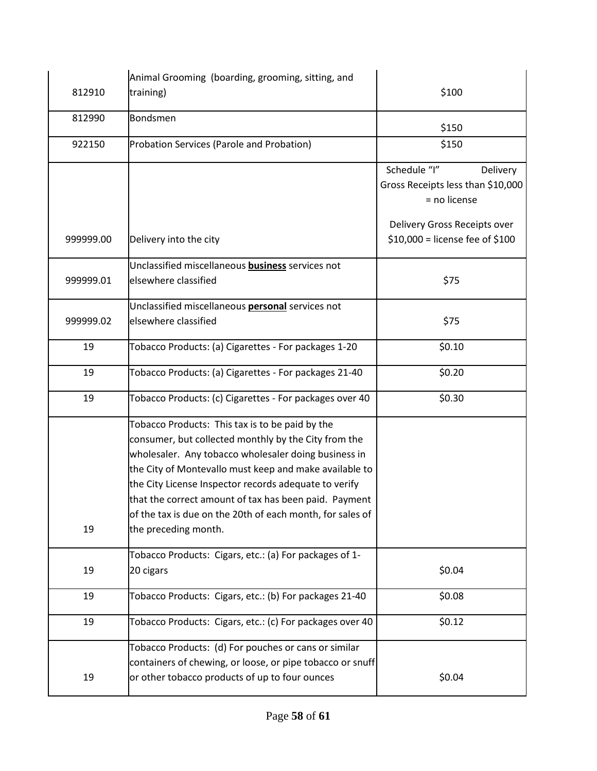|           | Animal Grooming (boarding, grooming, sitting, and                                                                                                                                                                                                                                                                                                                                                                                |                                                                               |
|-----------|----------------------------------------------------------------------------------------------------------------------------------------------------------------------------------------------------------------------------------------------------------------------------------------------------------------------------------------------------------------------------------------------------------------------------------|-------------------------------------------------------------------------------|
| 812910    | training)                                                                                                                                                                                                                                                                                                                                                                                                                        | \$100                                                                         |
| 812990    | <b>Bondsmen</b>                                                                                                                                                                                                                                                                                                                                                                                                                  | \$150                                                                         |
| 922150    | Probation Services (Parole and Probation)                                                                                                                                                                                                                                                                                                                                                                                        | \$150                                                                         |
|           |                                                                                                                                                                                                                                                                                                                                                                                                                                  | Schedule "I"<br>Delivery<br>Gross Receipts less than \$10,000<br>= no license |
| 999999.00 | Delivery into the city                                                                                                                                                                                                                                                                                                                                                                                                           | Delivery Gross Receipts over<br>$$10,000 =$ license fee of \$100              |
| 999999.01 | Unclassified miscellaneous <b>business</b> services not<br>elsewhere classified                                                                                                                                                                                                                                                                                                                                                  | \$75                                                                          |
| 999999.02 | Unclassified miscellaneous personal services not<br>elsewhere classified                                                                                                                                                                                                                                                                                                                                                         | \$75                                                                          |
| 19        | Tobacco Products: (a) Cigarettes - For packages 1-20                                                                                                                                                                                                                                                                                                                                                                             | \$0.10                                                                        |
| 19        | Tobacco Products: (a) Cigarettes - For packages 21-40                                                                                                                                                                                                                                                                                                                                                                            | \$0.20                                                                        |
| 19        | Tobacco Products: (c) Cigarettes - For packages over 40                                                                                                                                                                                                                                                                                                                                                                          | \$0.30                                                                        |
| 19        | Tobacco Products: This tax is to be paid by the<br>consumer, but collected monthly by the City from the<br>wholesaler. Any tobacco wholesaler doing business in<br>the City of Montevallo must keep and make available to<br>the City License Inspector records adequate to verify<br>that the correct amount of tax has been paid. Payment<br>of the tax is due on the 20th of each month, for sales of<br>the preceding month. |                                                                               |
| 19        | Tobacco Products: Cigars, etc.: (a) For packages of 1-<br>20 cigars                                                                                                                                                                                                                                                                                                                                                              | \$0.04                                                                        |
| 19        | Tobacco Products: Cigars, etc.: (b) For packages 21-40                                                                                                                                                                                                                                                                                                                                                                           | \$0.08                                                                        |
| 19        | Tobacco Products: Cigars, etc.: (c) For packages over 40                                                                                                                                                                                                                                                                                                                                                                         | \$0.12                                                                        |
| 19        | Tobacco Products: (d) For pouches or cans or similar<br>containers of chewing, or loose, or pipe tobacco or snuff<br>or other tobacco products of up to four ounces                                                                                                                                                                                                                                                              | \$0.04                                                                        |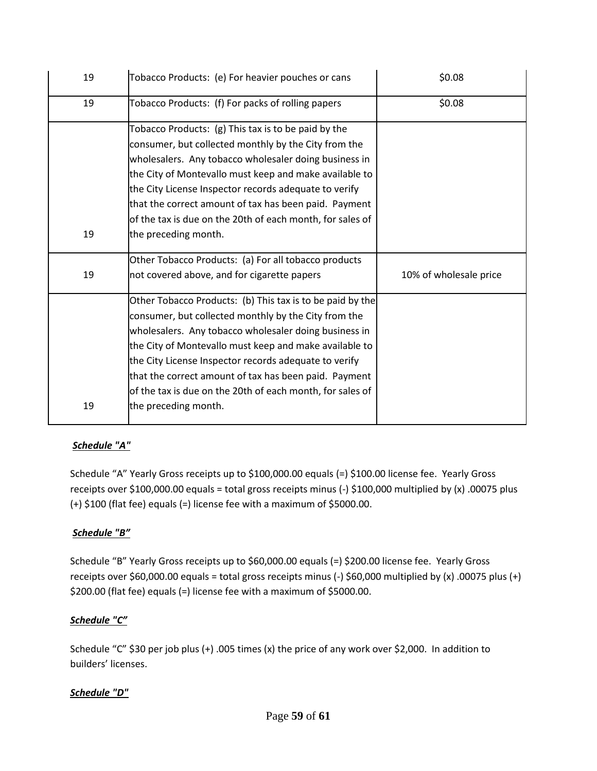| 19 | Tobacco Products: (e) For heavier pouches or cans         | \$0.08                 |
|----|-----------------------------------------------------------|------------------------|
| 19 | Tobacco Products: (f) For packs of rolling papers         | \$0.08                 |
|    | Tobacco Products: (g) This tax is to be paid by the       |                        |
|    | consumer, but collected monthly by the City from the      |                        |
|    | wholesalers. Any tobacco wholesaler doing business in     |                        |
|    | the City of Montevallo must keep and make available to    |                        |
|    | the City License Inspector records adequate to verify     |                        |
|    | that the correct amount of tax has been paid. Payment     |                        |
|    | of the tax is due on the 20th of each month, for sales of |                        |
| 19 | the preceding month.                                      |                        |
|    | Other Tobacco Products: (a) For all tobacco products      |                        |
| 19 | not covered above, and for cigarette papers               | 10% of wholesale price |
|    | Other Tobacco Products: (b) This tax is to be paid by the |                        |
|    | consumer, but collected monthly by the City from the      |                        |
|    | wholesalers. Any tobacco wholesaler doing business in     |                        |
|    | the City of Montevallo must keep and make available to    |                        |
|    | the City License Inspector records adequate to verify     |                        |
|    | that the correct amount of tax has been paid. Payment     |                        |
|    | of the tax is due on the 20th of each month, for sales of |                        |
| 19 | the preceding month.                                      |                        |

### *Schedule "A"*

Schedule "A" Yearly Gross receipts up to \$100,000.00 equals (=) \$100.00 license fee. Yearly Gross receipts over \$100,000.00 equals = total gross receipts minus (-) \$100,000 multiplied by (x) .00075 plus (+) \$100 (flat fee) equals (=) license fee with a maximum of \$5000.00.

### *Schedule "B"*

Schedule "B" Yearly Gross receipts up to \$60,000.00 equals (=) \$200.00 license fee. Yearly Gross receipts over \$60,000.00 equals = total gross receipts minus (-) \$60,000 multiplied by (x) .00075 plus (+) \$200.00 (flat fee) equals (=) license fee with a maximum of \$5000.00.

### *Schedule "C"*

Schedule "C" \$30 per job plus (+) .005 times (x) the price of any work over \$2,000. In addition to builders' licenses.

### *Schedule "D"*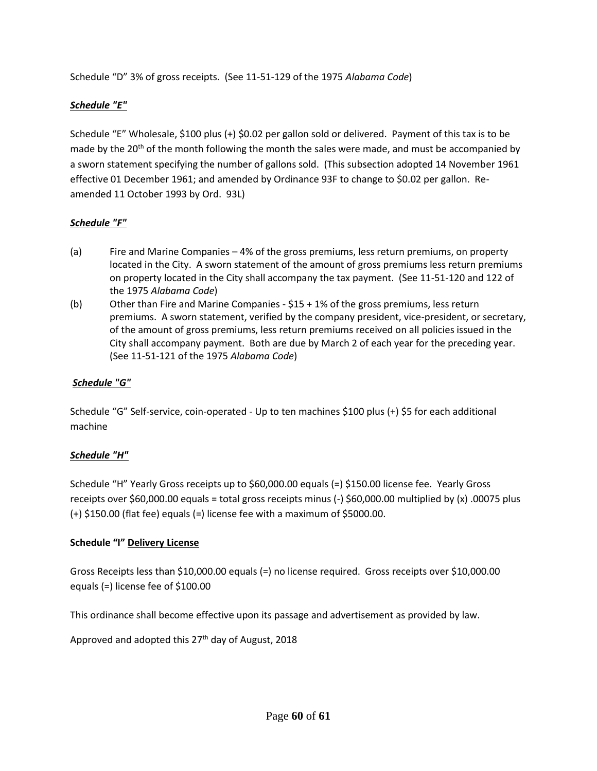Schedule "D" 3% of gross receipts. (See 11-51-129 of the 1975 *Alabama Code*)

### *Schedule "E"*

Schedule "E" Wholesale, \$100 plus (+) \$0.02 per gallon sold or delivered. Payment of this tax is to be made by the  $20<sup>th</sup>$  of the month following the month the sales were made, and must be accompanied by a sworn statement specifying the number of gallons sold. (This subsection adopted 14 November 1961 effective 01 December 1961; and amended by Ordinance 93F to change to \$0.02 per gallon. Reamended 11 October 1993 by Ord. 93L)

#### *Schedule "F"*

- (a) Fire and Marine Companies 4% of the gross premiums, less return premiums, on property located in the City. A sworn statement of the amount of gross premiums less return premiums on property located in the City shall accompany the tax payment. (See 11-51-120 and 122 of the 1975 *Alabama Code*)
- (b) Other than Fire and Marine Companies \$15 + 1% of the gross premiums, less return premiums. A sworn statement, verified by the company president, vice-president, or secretary, of the amount of gross premiums, less return premiums received on all policies issued in the City shall accompany payment. Both are due by March 2 of each year for the preceding year. (See 11-51-121 of the 1975 *Alabama Code*)

#### *Schedule "G"*

Schedule "G" Self-service, coin-operated - Up to ten machines \$100 plus (+) \$5 for each additional machine

#### *Schedule "H"*

Schedule "H" Yearly Gross receipts up to \$60,000.00 equals (=) \$150.00 license fee. Yearly Gross receipts over \$60,000.00 equals = total gross receipts minus (-) \$60,000.00 multiplied by (x) .00075 plus (+) \$150.00 (flat fee) equals (=) license fee with a maximum of \$5000.00.

#### **Schedule "I" Delivery License**

Gross Receipts less than \$10,000.00 equals (=) no license required. Gross receipts over \$10,000.00 equals (=) license fee of \$100.00

This ordinance shall become effective upon its passage and advertisement as provided by law.

Approved and adopted this 27<sup>th</sup> day of August, 2018